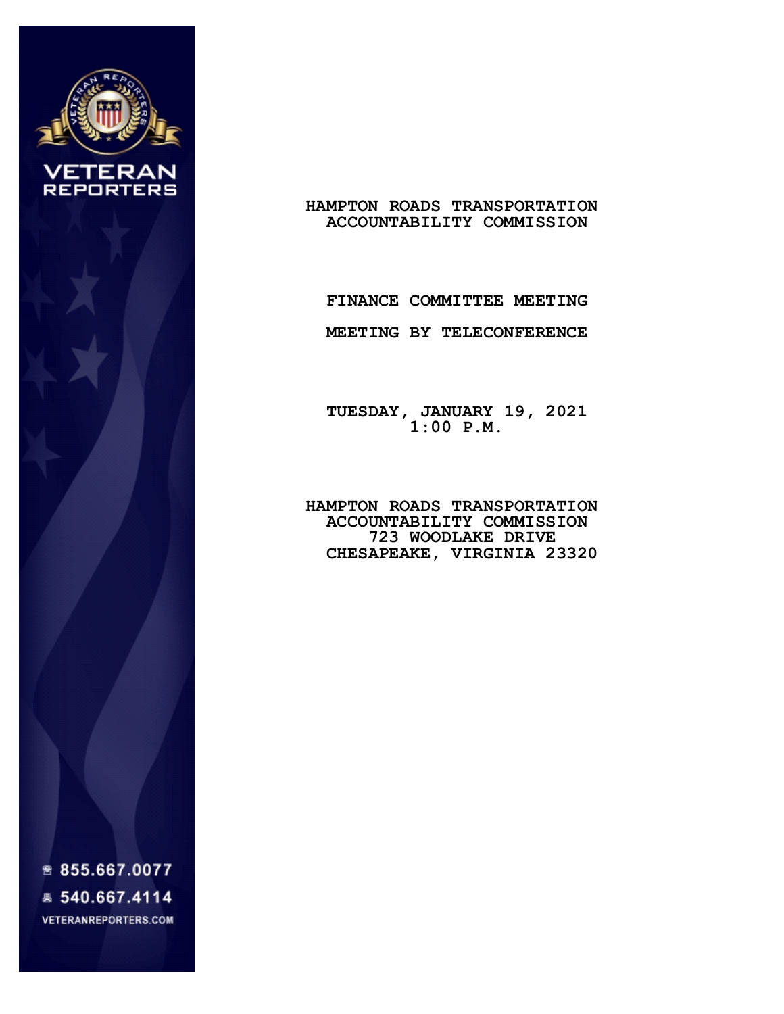

## **HAMPTON ROADS TRANSPORTATION ACCOUNTABILITY COMMISSION**

## **FINANCE COMMITTEE MEETING**

 **MEETING BY TELECONFERENCE**

 **TUESDAY, JANUARY 19, 2021 1:00 P.M.**

> **HAMPTON ROADS TRANSPORTATION ACCOUNTABILITY COMMISSION 723 WOODLAKE DRIVE CHESAPEAKE, VIRGINIA 23320**

₩ 855.667.0077 ■ 540.667.4114 **VETERANREPORTERS.COM**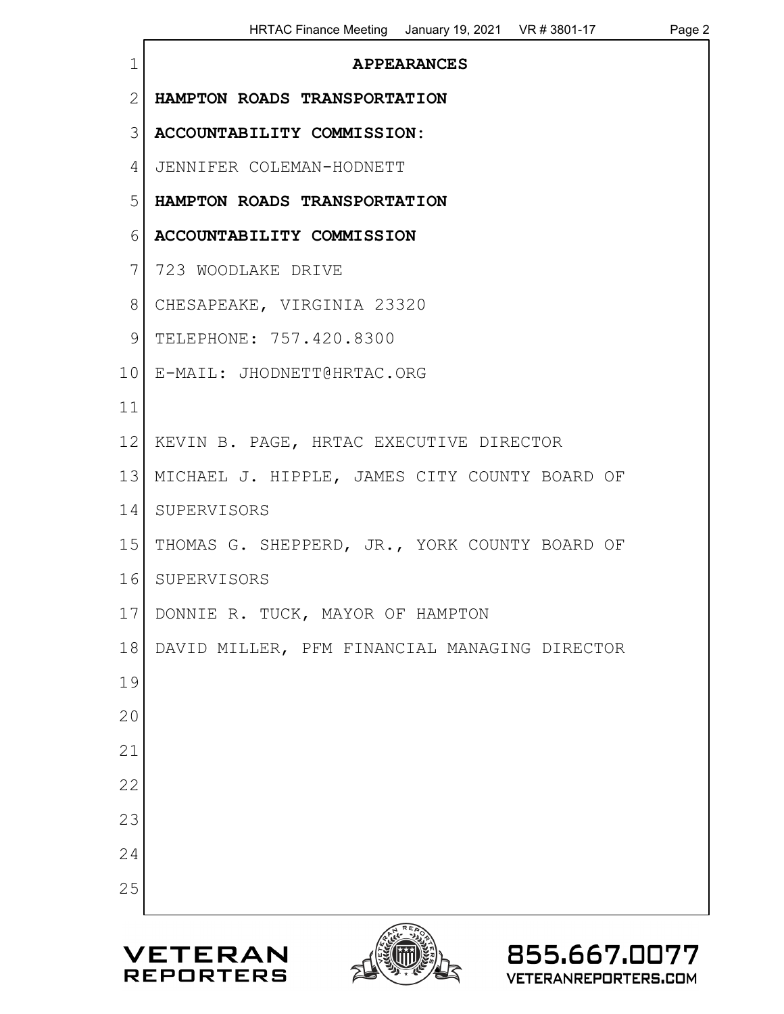| $\mathbf 1$     | <b>APPEARANCES</b>                            |
|-----------------|-----------------------------------------------|
| $\overline{2}$  | HAMPTON ROADS TRANSPORTATION                  |
| 3               | ACCOUNTABILITY COMMISSION:                    |
| 4               | JENNIFER COLEMAN-HODNETT                      |
| 5               | HAMPTON ROADS TRANSPORTATION                  |
| 6               | ACCOUNTABILITY COMMISSION                     |
| 7               | 723 WOODLAKE DRIVE                            |
| 8               | CHESAPEAKE, VIRGINIA 23320                    |
| 9               | TELEPHONE: 757.420.8300                       |
| 10 <sub>l</sub> | E-MAIL: JHODNETT@HRTAC.ORG                    |
| 11              |                                               |
| 12              | KEVIN B. PAGE, HRTAC EXECUTIVE DIRECTOR       |
| 13              | MICHAEL J. HIPPLE, JAMES CITY COUNTY BOARD OF |
| 14              | SUPERVISORS                                   |
| 15              | THOMAS G. SHEPPERD, JR., YORK COUNTY BOARD OF |
| 16              | SUPERVISORS                                   |
|                 | 17 DONNIE R. TUCK, MAYOR OF HAMPTON           |
| 18              | DAVID MILLER, PFM FINANCIAL MANAGING DIRECTOR |
| 19              |                                               |
| 20              |                                               |
| 21              |                                               |
| 22              |                                               |
| 23              |                                               |
| 24              |                                               |
| 25              |                                               |
|                 | 855.667.0077<br><b>VETERAN</b>                |



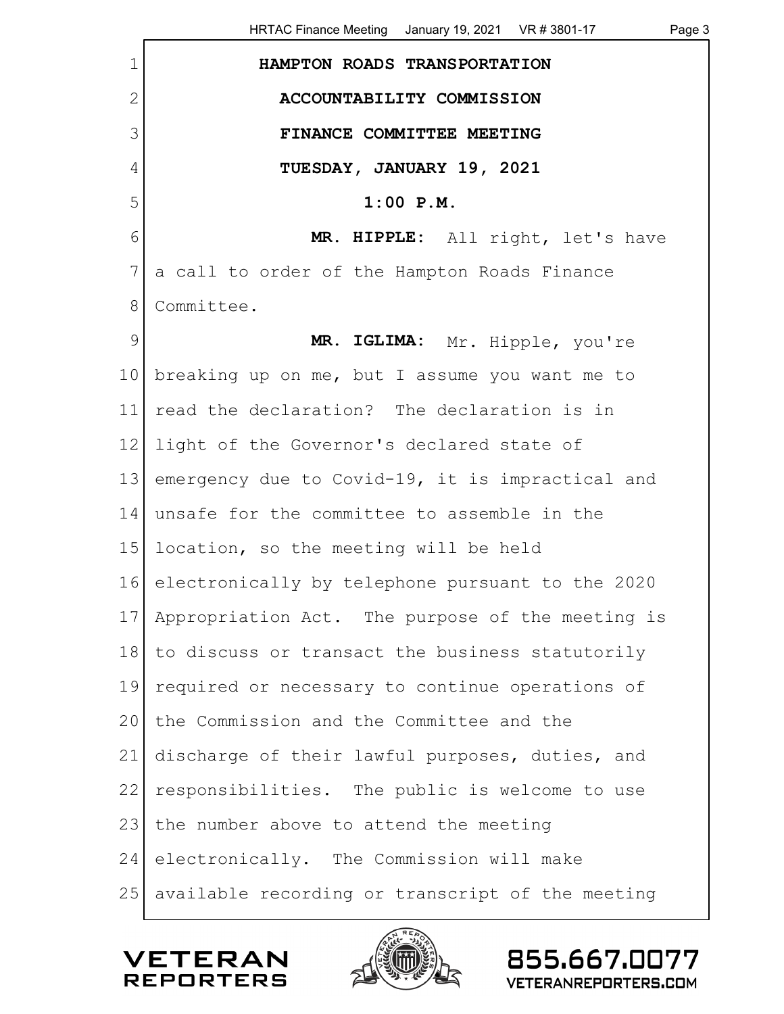1 **HAMPTON ROADS TRANSPORTATION** 2 **ACCOUNTABILITY COMMISSION** 3 **FINANCE COMMITTEE MEETING** 4 **TUESDAY, JANUARY 19, 2021** 5 **1:00 P.M.** 6 **MR. HIPPLE:** All right, let's have 7 a call to order of the Hampton Roads Finance 8 Committee. 9 MR. IGLIMA: Mr. Hipple, you're 10 breaking up on me, but I assume you want me to 11 read the declaration? The declaration is in 12 light of the Governor's declared state of 13 emergency due to Covid-19, it is impractical and 14 unsafe for the committee to assemble in the 15 location, so the meeting will be held 16 electronically by telephone pursuant to the 2020 17 Appropriation Act. The purpose of the meeting is 18 to discuss or transact the business statutorily 19 required or necessary to continue operations of 20 the Commission and the Committee and the 21 discharge of their lawful purposes, duties, and 22 responsibilities. The public is welcome to use 23 the number above to attend the meeting 24 electronically. The Commission will make 25 available recording or transcript of the meeting

/FTFR/ REPORTERS

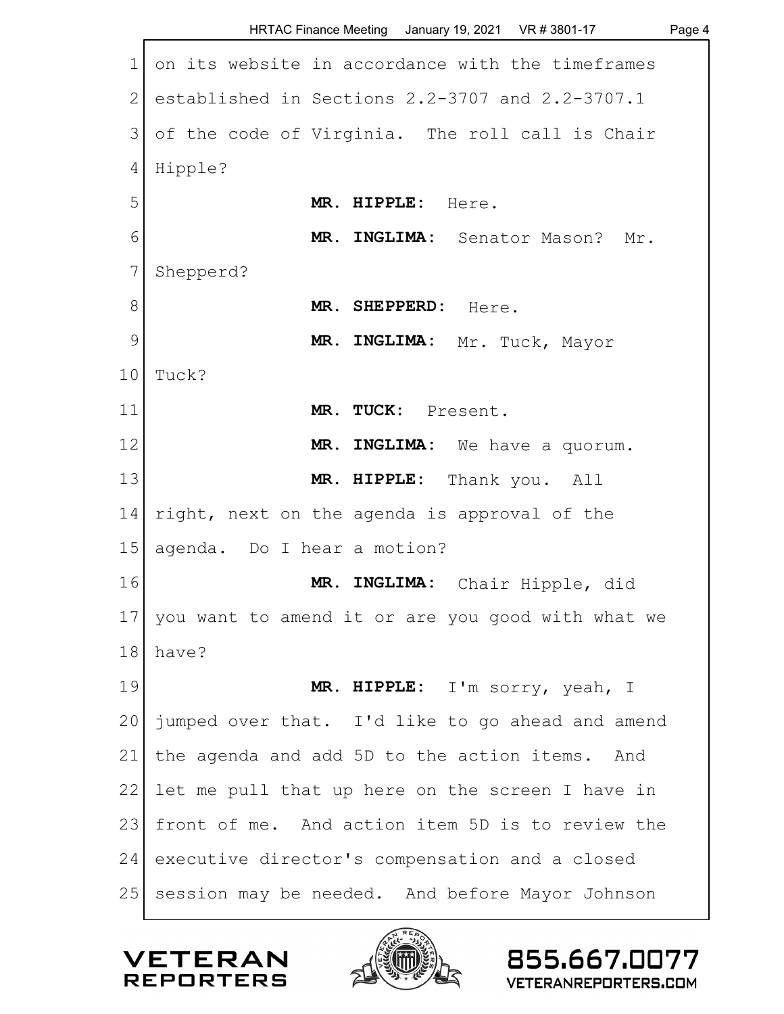|                 | HRTAC Finance Meeting January 19, 2021 VR # 3801-17<br>Page 4 |
|-----------------|---------------------------------------------------------------|
| $\mathbf 1$     | on its website in accordance with the timeframes              |
| $\mathbf{2}$    | established in Sections 2.2-3707 and 2.2-3707.1               |
| 3               | of the code of Virginia. The roll call is Chair               |
| 4               | Hipple?                                                       |
| 5               | MR. HIPPLE: Here.                                             |
| 6               | MR. INGLIMA: Senator Mason? Mr.                               |
| 7               | Shepperd?                                                     |
| 8               | MR. SHEPPERD: Here.                                           |
| 9               | MR. INGLIMA: Mr. Tuck, Mayor                                  |
| 10              | Tuck?                                                         |
| 11              | MR. TUCK: Present.                                            |
| 12              | MR. INGLIMA: We have a quorum.                                |
| 13              | MR. HIPPLE: Thank you. All                                    |
| 14              | right, next on the agenda is approval of the                  |
| 15              | agenda. Do I hear a motion?                                   |
| 16              | MR. INGLIMA: Chair Hipple, did                                |
| 17 <sup>1</sup> | you want to amend it or are you good with what we             |
| 18              | have?                                                         |
| 19              | MR. HIPPLE: I'm sorry, yeah, I                                |
| 20              | jumped over that. I'd like to go ahead and amend              |
| 21              | the agenda and add 5D to the action items. And                |
| 22              | let me pull that up here on the screen I have in              |
| 23              | front of me. And action item 5D is to review the              |
| 24              | executive director's compensation and a closed                |
| 25              | session may be needed. And before Mayor Johnson               |

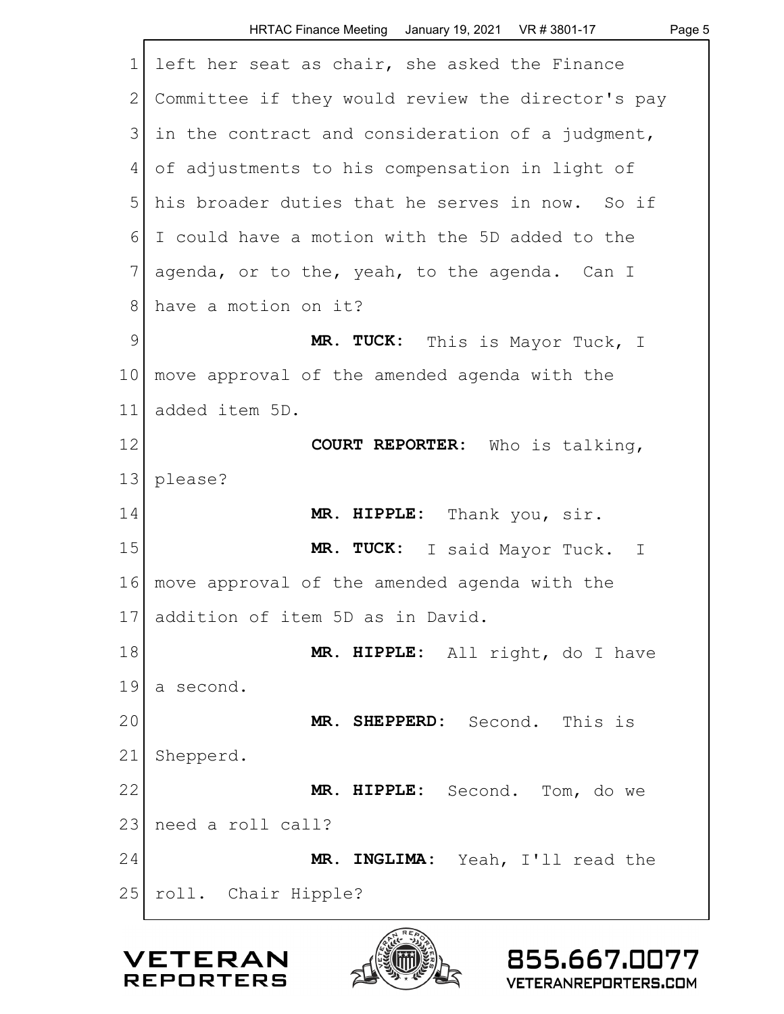| $\mathbf 1$   | left her seat as chair, she asked the Finance     |
|---------------|---------------------------------------------------|
| $\mathbf{2}$  | Committee if they would review the director's pay |
| 3             | in the contract and consideration of a judgment,  |
| 4             | of adjustments to his compensation in light of    |
| 5             | his broader duties that he serves in now. So if   |
| 6             | I could have a motion with the 5D added to the    |
| 7             | agenda, or to the, yeah, to the agenda. Can I     |
| $8\,$         | have a motion on it?                              |
| $\mathcal{G}$ | MR. TUCK: This is Mayor Tuck, I                   |
| 10            | move approval of the amended agenda with the      |
| 11            | added item 5D.                                    |
| 12            | COURT REPORTER: Who is talking,                   |
| 13            | please?                                           |
| 14            | MR. HIPPLE: Thank you, sir.                       |
| 15            | MR. TUCK: I said Mayor Tuck. I                    |
| 16            | move approval of the amended agenda with the      |
| 17            | addition of item 5D as in David.                  |
| 18            | MR. HIPPLE: All right, do I have                  |
| 19            | a second.                                         |
| 20            | MR. SHEPPERD: Second.<br>This is                  |
| 21            | Shepperd.                                         |
| 22            | MR. HIPPLE: Second. Tom, do we                    |
| 23            | need a roll call?                                 |
| 24            | MR. INGLIMA: Yeah, I'll read the                  |
| 25            | roll. Chair Hipple?                               |
|               |                                                   |



855.667.0077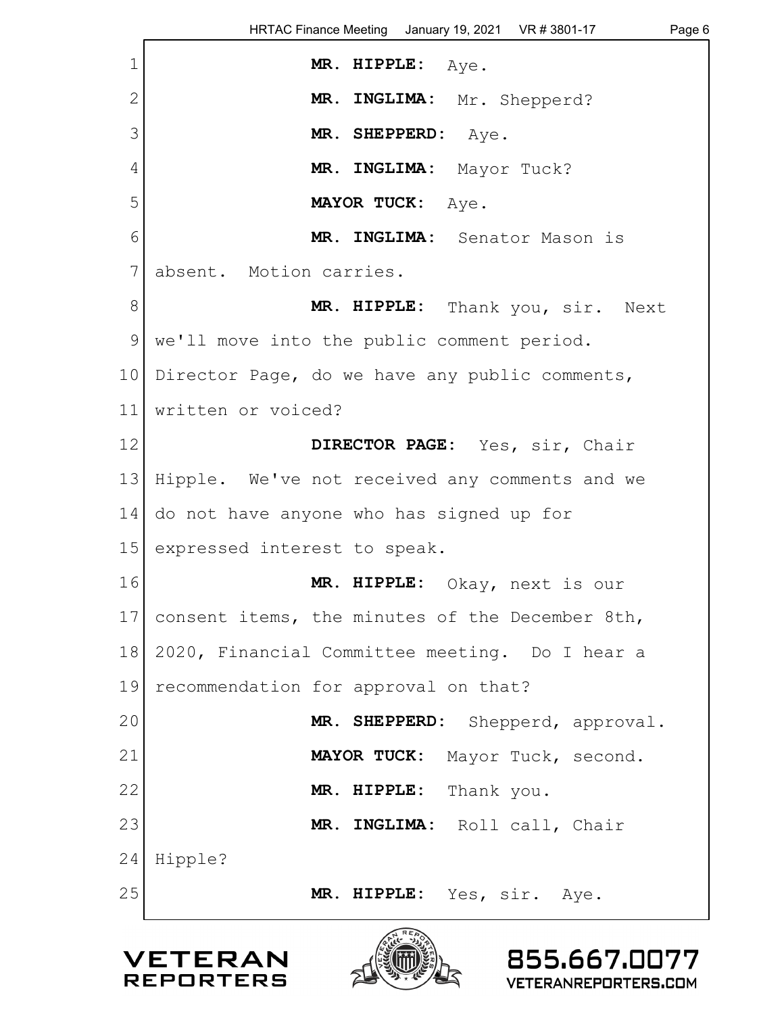| $\mathbf 1$     | MR. HIPPLE: Aye.                                |
|-----------------|-------------------------------------------------|
| $\mathbf{2}$    | MR. INGLIMA: Mr. Shepperd?                      |
| 3               | MR. SHEPPERD: Aye.                              |
| 4               | MR. INGLIMA: Mayor Tuck?                        |
| 5               | MAYOR TUCK: Aye.                                |
| 6               | MR. INGLIMA: Senator Mason is                   |
| 7               | absent. Motion carries.                         |
| 8               | MR. HIPPLE: Thank you, sir. Next                |
| 9               | we'll move into the public comment period.      |
| 10 <sup>1</sup> | Director Page, do we have any public comments,  |
| 11              | written or voiced?                              |
| 12              | DIRECTOR PAGE: Yes, sir, Chair                  |
| 13              | Hipple. We've not received any comments and we  |
| 14              | do not have anyone who has signed up for        |
| 15              | expressed interest to speak.                    |
| 16              | MR. HIPPLE: Okay, next is our                   |
| 17              | consent items, the minutes of the December 8th, |
| 18              | 2020, Financial Committee meeting. Do I hear a  |
| 19              | recommendation for approval on that?            |
| 20              | MR. SHEPPERD:<br>Shepperd, approval.            |
| 21              | MAYOR TUCK: Mayor Tuck, second.                 |
| 22              | MR. HIPPLE: Thank you.                          |
| 23              | MR. INGLIMA: Roll call, Chair                   |
| 24              | Hipple?                                         |
| 25              | MR. HIPPLE: Yes, sir. Aye.                      |
|                 |                                                 |



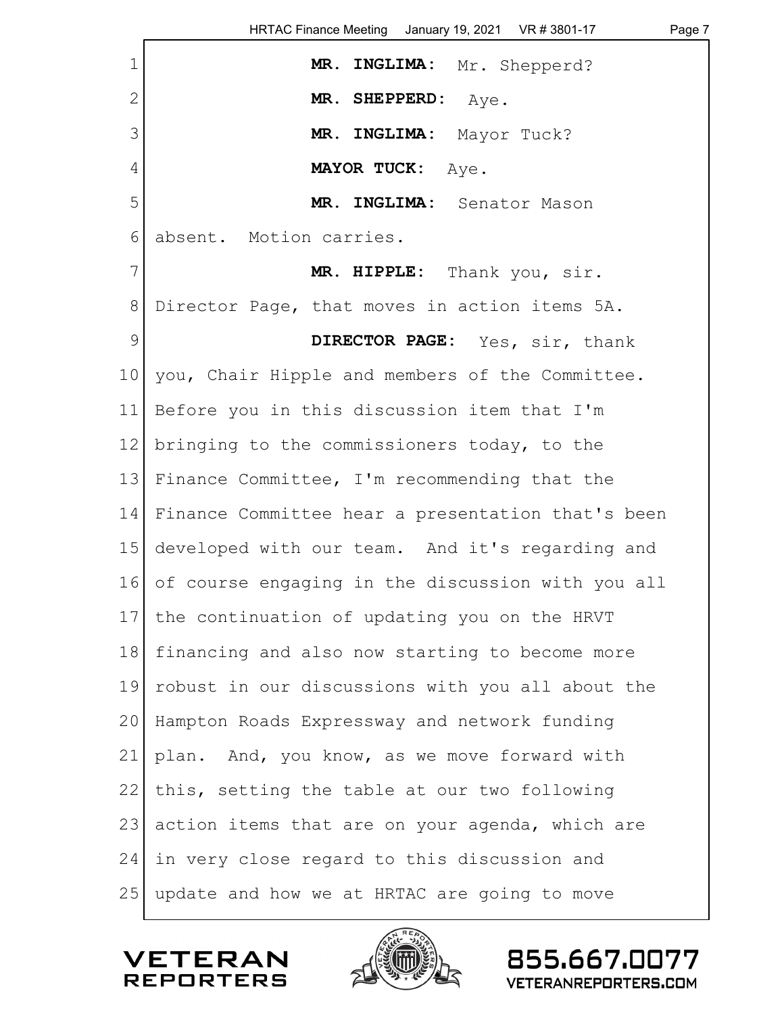| $\mathbf 1$   | MR. INGLIMA: Mr. Shepperd?                        |
|---------------|---------------------------------------------------|
| $\mathbf{2}$  | MR. SHEPPERD: Aye.                                |
| 3             | MR. INGLIMA: Mayor Tuck?                          |
| 4             | <b>MAYOR TUCK:</b><br>Aye.                        |
| 5             | MR. INGLIMA: Senator Mason                        |
| $6\,$         | absent. Motion carries.                           |
| 7             | MR. HIPPLE: Thank you, sir.                       |
| $8\,$         | Director Page, that moves in action items 5A.     |
| $\mathcal{G}$ | DIRECTOR PAGE: Yes, sir, thank                    |
| 10            | you, Chair Hipple and members of the Committee.   |
| 11            | Before you in this discussion item that I'm       |
| 12            | bringing to the commissioners today, to the       |
| 13            | Finance Committee, I'm recommending that the      |
| 14            | Finance Committee hear a presentation that's been |
| 15            | developed with our team. And it's regarding and   |
| 16            | of course engaging in the discussion with you all |
|               | 17 the continuation of updating you on the HRVT   |
| 18            | financing and also now starting to become more    |
| 19            | robust in our discussions with you all about the  |
| 20            | Hampton Roads Expressway and network funding      |
| 21            | plan. And, you know, as we move forward with      |
| 22            | this, setting the table at our two following      |
| 23            | action items that are on your agenda, which are   |
| 24            | in very close regard to this discussion and       |
| 25            | update and how we at HRTAC are going to move      |

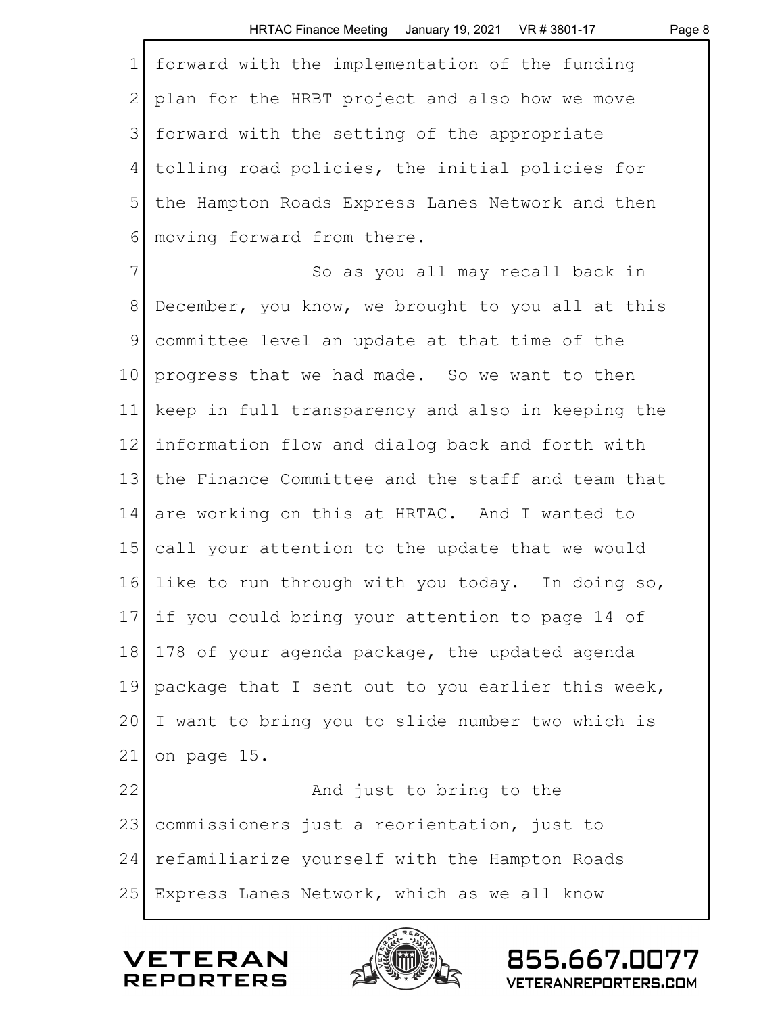|              | HRTAC Finance Meeting January 19, 2021 VR # 3801-17<br>Page 8 |
|--------------|---------------------------------------------------------------|
| $\mathbf 1$  | forward with the implementation of the funding                |
| $\mathbf{2}$ | plan for the HRBT project and also how we move                |
| 3            | forward with the setting of the appropriate                   |
| 4            | tolling road policies, the initial policies for               |
| 5            | the Hampton Roads Express Lanes Network and then              |
| 6            | moving forward from there.                                    |
| 7            | So as you all may recall back in                              |
| $8\,$        | December, you know, we brought to you all at this             |
| 9            | committee level an update at that time of the                 |
| 10           | progress that we had made. So we want to then                 |
| 11           | keep in full transparency and also in keeping the             |
| 12           | information flow and dialog back and forth with               |
| 13           | the Finance Committee and the staff and team that             |
| 14           | are working on this at HRTAC. And I wanted to                 |
| 15           | call your attention to the update that we would               |
| 16           | like to run through with you today. In doing so,              |
| 17           | if you could bring your attention to page 14 of               |
| 18           | 178 of your agenda package, the updated agenda                |
| 19           | package that I sent out to you earlier this week,             |
| 20           | I want to bring you to slide number two which is              |
| 21           | on page 15.                                                   |
| 22           | And just to bring to the                                      |
| 23           | commissioners just a reorientation, just to                   |
| 24           | refamiliarize yourself with the Hampton Roads                 |
| 25           | Express Lanes Network, which as we all know                   |



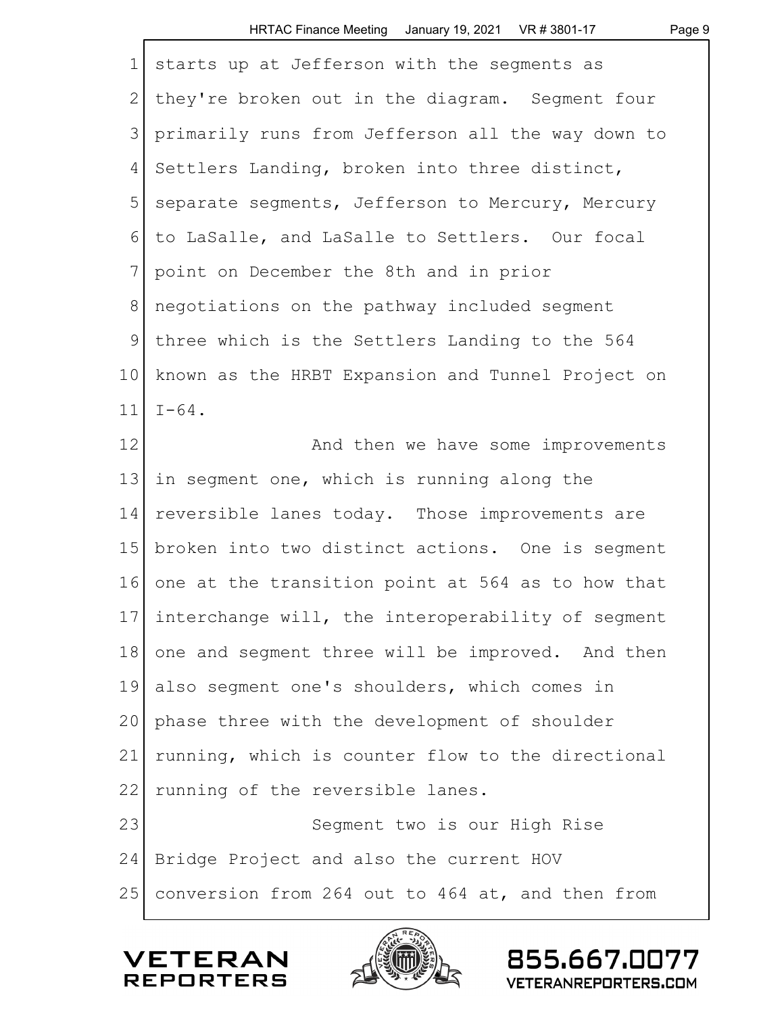| $\mathbf 1$   | starts up at Jefferson with the segments as          |
|---------------|------------------------------------------------------|
| $\mathbf{2}$  | they're broken out in the diagram. Segment four      |
| 3             | primarily runs from Jefferson all the way down to    |
| 4             | Settlers Landing, broken into three distinct,        |
| 5             | separate segments, Jefferson to Mercury, Mercury     |
| 6             | to LaSalle, and LaSalle to Settlers. Our focal       |
| 7             | point on December the 8th and in prior               |
| $8\,$         | negotiations on the pathway included segment         |
| $\mathcal{G}$ | three which is the Settlers Landing to the 564       |
| 10            | known as the HRBT Expansion and Tunnel Project on    |
| 11            | $I-64$ .                                             |
| 12            | And then we have some improvements                   |
| 13            | in segment one, which is running along the           |
| 14            | reversible lanes today. Those improvements are       |
| 15            | broken into two distinct actions. One is segment     |
| 16            | one at the transition point at 564 as to how that    |
|               | 17 interchange will, the interoperability of segment |
| 18            | one and segment three will be improved. And then     |
| 19            | also segment one's shoulders, which comes in         |
| 20            | phase three with the development of shoulder         |
| 21            | running, which is counter flow to the directional    |
| 22            | running of the reversible lanes.                     |
| 23            | Segment two is our High Rise                         |
| 24            | Bridge Project and also the current HOV              |
| 25            | conversion from 264 out to 464 at, and then from     |
|               |                                                      |



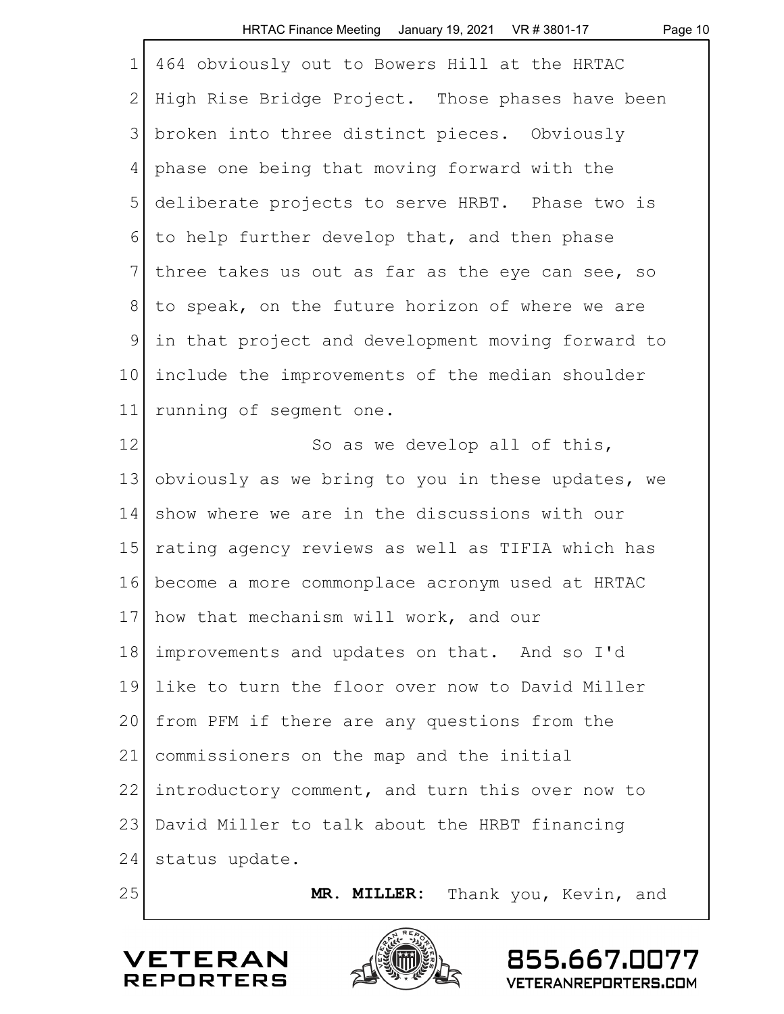Page 10

| $\mathbf 1$  | 464 obviously out to Bowers Hill at the HRTAC     |
|--------------|---------------------------------------------------|
| $\mathbf{2}$ | High Rise Bridge Project. Those phases have been  |
| 3            | broken into three distinct pieces. Obviously      |
| 4            | phase one being that moving forward with the      |
| 5            | deliberate projects to serve HRBT. Phase two is   |
| 6            | to help further develop that, and then phase      |
| 7            | three takes us out as far as the eye can see, so  |
| 8            | to speak, on the future horizon of where we are   |
| $\mathsf 9$  | in that project and development moving forward to |
| 10           | include the improvements of the median shoulder   |
| 11           | running of segment one.                           |
| 12           | So as we develop all of this,                     |
| 13           | obviously as we bring to you in these updates, we |
| 14           | show where we are in the discussions with our     |
| 15           | rating agency reviews as well as TIFIA which has  |
| 16           | become a more commonplace acronym used at HRTAC   |
| 17           | how that mechanism will work, and our             |
| 18           | improvements and updates on that. And so I'd      |
| 19           | like to turn the floor over now to David Miller   |
| 20           | from PFM if there are any questions from the      |
| 21           | commissioners on the map and the initial          |
| 22           | introductory comment, and turn this over now to   |
| 23           | David Miller to talk about the HRBT financing     |
| 24           | status update.                                    |
| 25           | <b>MR. MILLER:</b><br>Thank you, Kevin, and       |





855.667.0077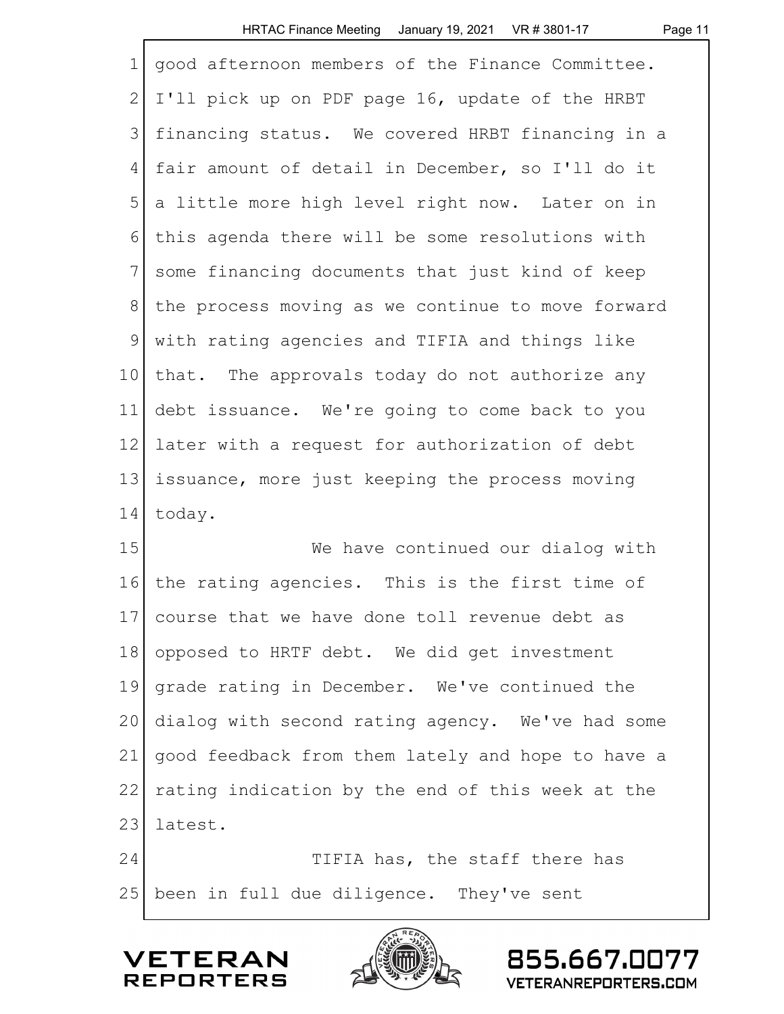|  | <b>HRTAC Finance Meeting</b> | January 19, 2021 | VR # 3801-1 |
|--|------------------------------|------------------|-------------|
|--|------------------------------|------------------|-------------|

Page 11

| $\mathbf 1$    | good afternoon members of the Finance Committee.  |
|----------------|---------------------------------------------------|
| $\mathbf{2}$   | I'll pick up on PDF page 16, update of the HRBT   |
| 3              | financing status. We covered HRBT financing in a  |
| 4              | fair amount of detail in December, so I'll do it  |
| 5              | a little more high level right now. Later on in   |
| 6              | this agenda there will be some resolutions with   |
| $7\phantom{.}$ | some financing documents that just kind of keep   |
| 8              | the process moving as we continue to move forward |
| $\mathsf 9$    | with rating agencies and TIFIA and things like    |
| 10             | that. The approvals today do not authorize any    |
| 11             | debt issuance. We're going to come back to you    |
| 12             | later with a request for authorization of debt    |
| 13             | issuance, more just keeping the process moving    |
| 14             | today.                                            |
| 15             | We have continued our dialog with                 |
| 16             | the rating agencies. This is the first time of    |
| 17             | course that we have done toll revenue debt as     |
| 18             | opposed to HRTF debt. We did get investment       |
| 19             | grade rating in December. We've continued the     |
| 20             | dialog with second rating agency. We've had some  |
| 21             | good feedback from them lately and hope to have a |
| 22             | rating indication by the end of this week at the  |
| 23             | latest.                                           |
| 24             | TIFIA has, the staff there has                    |
| 25             | been in full due diligence. They've sent          |



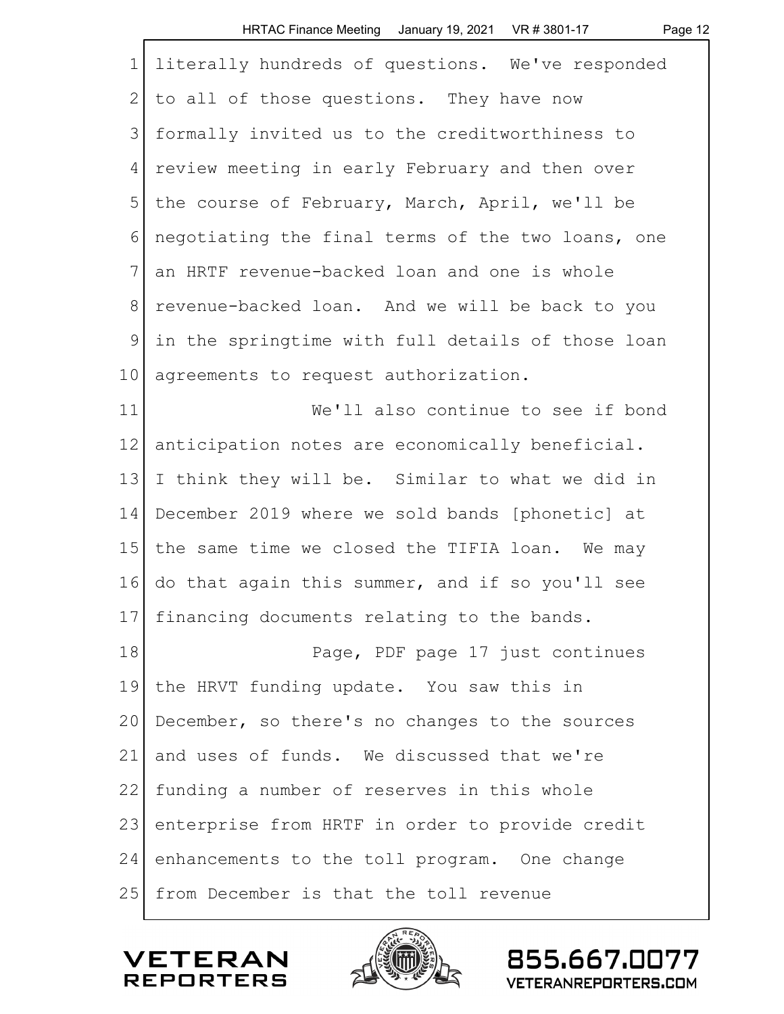|              | HRTAC Finance Meeting January 19, 2021 VR # 3801-17<br>Page 12 |
|--------------|----------------------------------------------------------------|
| $\mathbf 1$  | literally hundreds of questions. We've responded               |
| $\mathbf{2}$ | to all of those questions. They have now                       |
| 3            | formally invited us to the creditworthiness to                 |
| 4            | review meeting in early February and then over                 |
| 5            | the course of February, March, April, we'll be                 |
| 6            | negotiating the final terms of the two loans, one              |
| 7            | an HRTF revenue-backed loan and one is whole                   |
| 8            | revenue-backed loan. And we will be back to you                |
| $\mathsf 9$  | in the springtime with full details of those loan              |
| 10           | agreements to request authorization.                           |
| 11           | We'll also continue to see if bond                             |
| 12           | anticipation notes are economically beneficial.                |
| 13           | I think they will be. Similar to what we did in                |
| 14           | December 2019 where we sold bands [phonetic] at                |
| 15           | the same time we closed the TIFIA loan. We may                 |
| 16           | do that again this summer, and if so you'll see                |
| 17           | financing documents relating to the bands.                     |
| 18           | Page, PDF page 17 just continues                               |
| 19           | the HRVT funding update. You saw this in                       |
| 20           | December, so there's no changes to the sources                 |
| 21           | and uses of funds. We discussed that we're                     |
| 22           | funding a number of reserves in this whole                     |
| 23           | enterprise from HRTF in order to provide credit                |
| 24           | enhancements to the toll program. One change                   |
| 25           | from December is that the toll revenue                         |



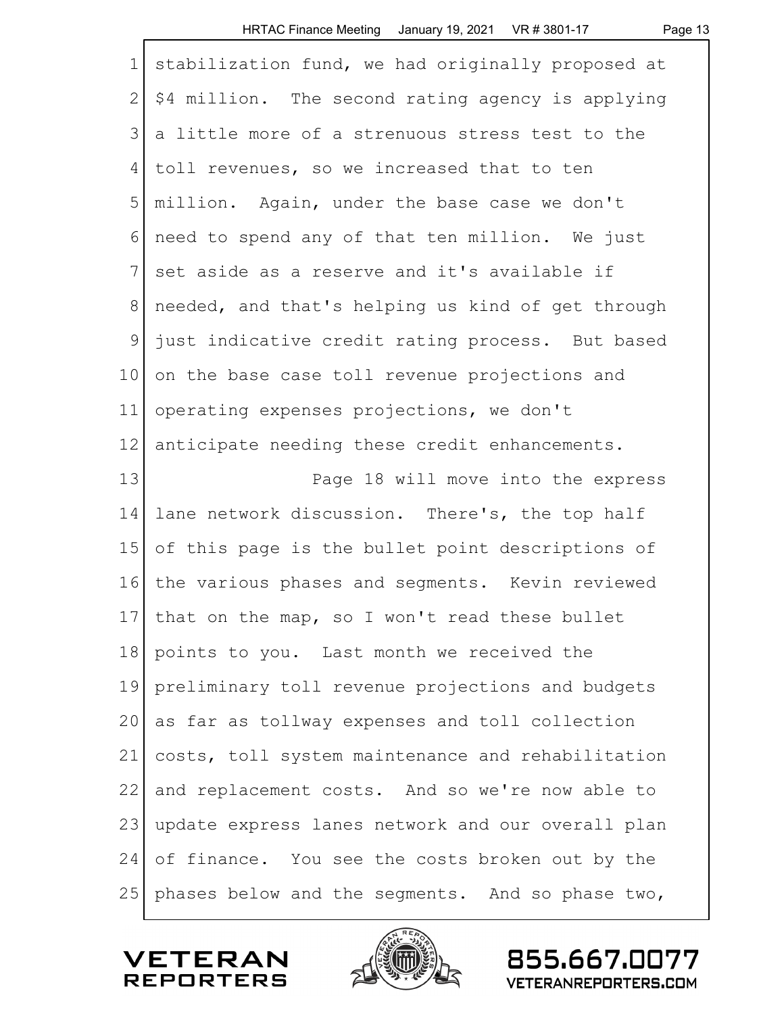|                 | HRTAC Finance Meeting January 19, 2021 VR # 3801-17<br>Page 13 |
|-----------------|----------------------------------------------------------------|
| $\mathbf 1$     | stabilization fund, we had originally proposed at              |
| $\mathbf{2}$    | \$4 million. The second rating agency is applying              |
| 3               | a little more of a strenuous stress test to the                |
| 4               | toll revenues, so we increased that to ten                     |
| 5               | million. Again, under the base case we don't                   |
| 6               | need to spend any of that ten million. We just                 |
| 7               | set aside as a reserve and it's available if                   |
| 8               | needed, and that's helping us kind of get through              |
| 9               | just indicative credit rating process. But based               |
| 10 <sub>o</sub> | on the base case toll revenue projections and                  |
| 11              | operating expenses projections, we don't                       |
| 12              | anticipate needing these credit enhancements.                  |
| 13              | Page 18 will move into the express                             |
| 14              | lane network discussion. There's, the top half                 |
| 15              | of this page is the bullet point descriptions of               |
| 16              | the various phases and segments. Kevin reviewed                |
| 17              | that on the map, so I won't read these bullet                  |
| 18              | points to you. Last month we received the                      |
| 19              | preliminary toll revenue projections and budgets               |
| 20              | as far as tollway expenses and toll collection                 |
| 21              | costs, toll system maintenance and rehabilitation              |
| 22              | and replacement costs. And so we're now able to                |
| 23              | update express lanes network and our overall plan              |
| 24              | of finance. You see the costs broken out by the                |
| 25              | phases below and the segments. And so phase two,               |

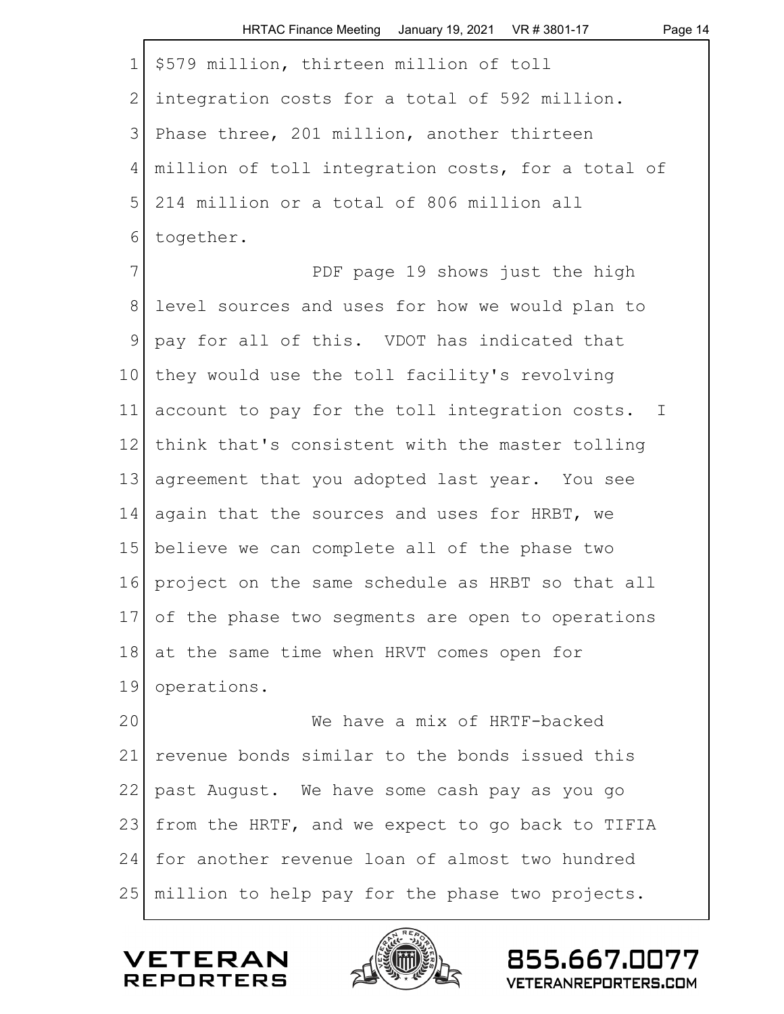|              | HRTAC Finance Meeting January 19, 2021 VR # 3801-17<br>Page 14 |
|--------------|----------------------------------------------------------------|
| $\mathbf 1$  | \$579 million, thirteen million of toll                        |
| $\mathbf{2}$ | integration costs for a total of 592 million.                  |
| 3            | Phase three, 201 million, another thirteen                     |
| 4            | million of toll integration costs, for a total of              |
| 5            | 214 million or a total of 806 million all                      |
| 6            | together.                                                      |
| 7            | PDF page 19 shows just the high                                |
| 8            | level sources and uses for how we would plan to                |
| 9            | pay for all of this. VDOT has indicated that                   |
| 10           | they would use the toll facility's revolving                   |
| 11           | account to pay for the toll integration costs. I               |
| 12           | think that's consistent with the master tolling                |
| 13           | agreement that you adopted last year. You see                  |
| 14           | again that the sources and uses for HRBT, we                   |
| 15           | believe we can complete all of the phase two                   |
| 16           | project on the same schedule as HRBT so that all               |
| 171          | of the phase two segments are open to operations               |
| 18           | at the same time when HRVT comes open for                      |
| 19           | operations.                                                    |
| 20           | We have a mix of HRTF-backed                                   |
| 21           | revenue bonds similar to the bonds issued this                 |
| 22           | past August. We have some cash pay as you go                   |
| 23           | from the HRTF, and we expect to go back to TIFIA               |
| 24           | for another revenue loan of almost two hundred                 |
| 25           | million to help pay for the phase two projects.                |

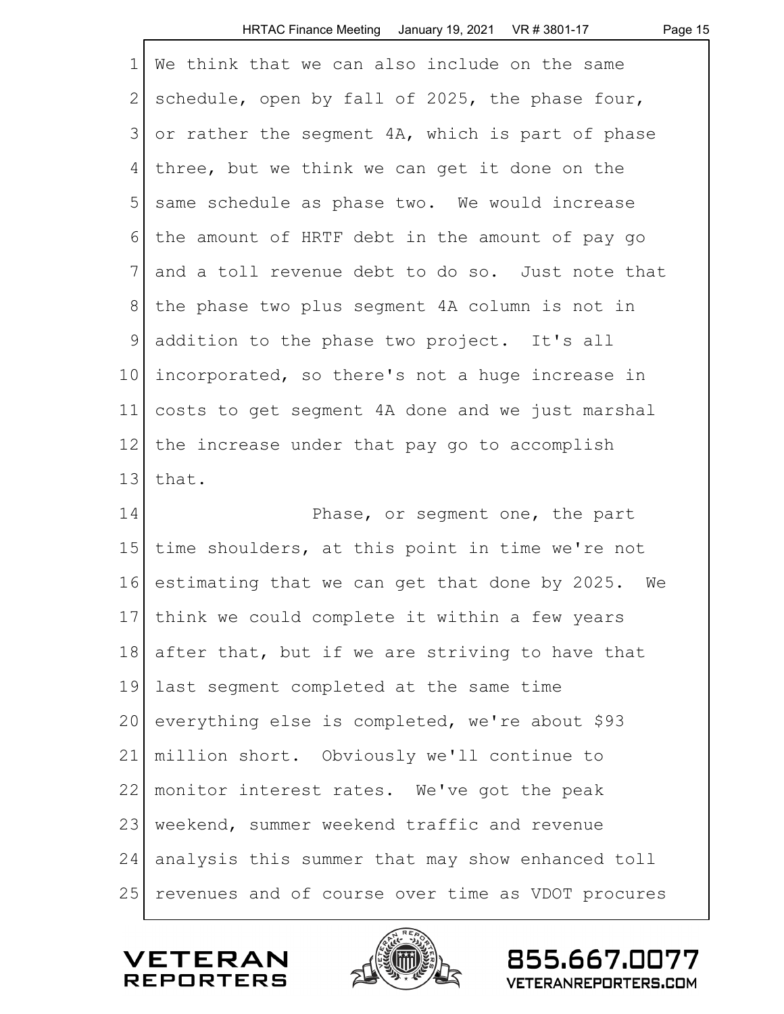|              | HRTAC Finance Meeting January 19, 2021 VR # 3801-17<br>Page 15 |
|--------------|----------------------------------------------------------------|
| $\mathbf 1$  | We think that we can also include on the same                  |
| $\mathbf{2}$ | schedule, open by fall of 2025, the phase four,                |
| 3            | or rather the segment 4A, which is part of phase               |
| 4            | three, but we think we can get it done on the                  |
| 5            | same schedule as phase two. We would increase                  |
| 6            | the amount of HRTF debt in the amount of pay go                |
| 7            | and a toll revenue debt to do so. Just note that               |
| 8            | the phase two plus segment 4A column is not in                 |
| $\mathsf 9$  | addition to the phase two project. It's all                    |
| 10           | incorporated, so there's not a huge increase in                |
| 11           | costs to get segment 4A done and we just marshal               |
| 12           | the increase under that pay go to accomplish                   |
| 13           | that.                                                          |
| 14           | Phase, or segment one, the part                                |
| 15           | time shoulders, at this point in time we're not                |
| 16           | estimating that we can get that done by 2025. We               |
| 17           | think we could complete it within a few years                  |
| 18           | after that, but if we are striving to have that                |
| 19           | last segment completed at the same time                        |
| 20           | everything else is completed, we're about \$93                 |
| 21           | million short. Obviously we'll continue to                     |
| 22           | monitor interest rates. We've got the peak                     |
| 23           | weekend, summer weekend traffic and revenue                    |
| 24           | analysis this summer that may show enhanced toll               |
| 25           | revenues and of course over time as VDOT procures              |

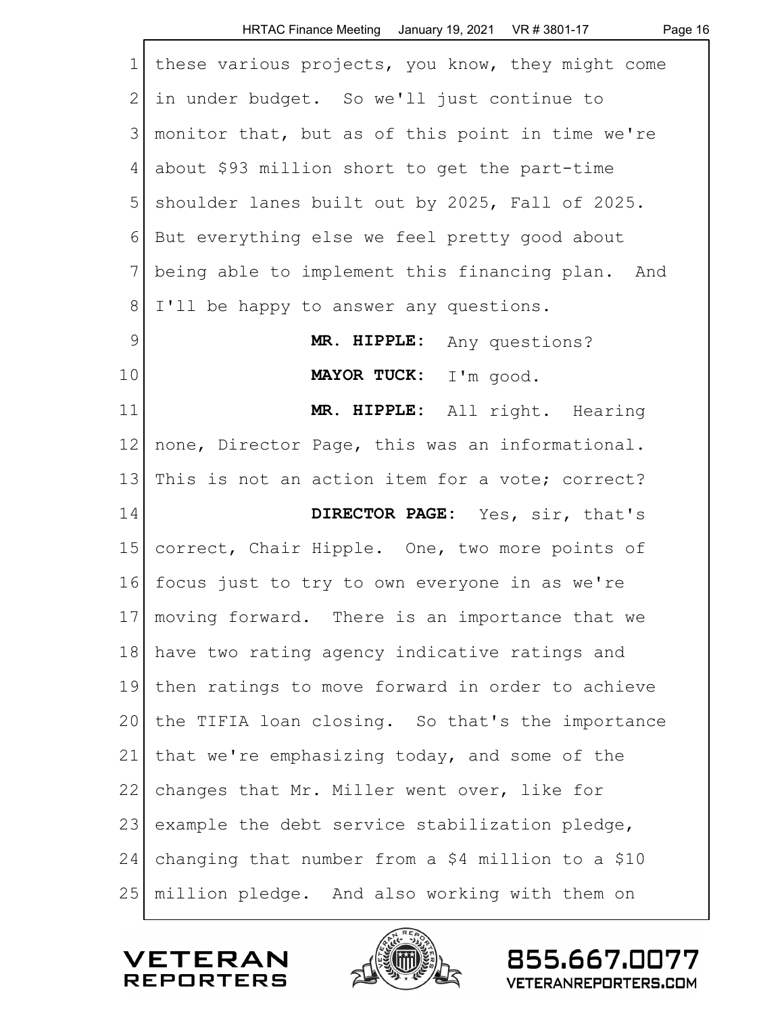|               | HRTAC Finance Meeting January 19, 2021 VR # 3801-17<br>Page 16 |
|---------------|----------------------------------------------------------------|
| $\mathbf 1$   | these various projects, you know, they might come              |
| 2             | in under budget. So we'll just continue to                     |
| 3             | monitor that, but as of this point in time we're               |
| 4             | about \$93 million short to get the part-time                  |
| 5             | shoulder lanes built out by 2025, Fall of 2025.                |
| 6             | But everything else we feel pretty good about                  |
| 7             | being able to implement this financing plan. And               |
| 8             | I'll be happy to answer any questions.                         |
| $\mathcal{G}$ | MR. HIPPLE: Any questions?                                     |
| 10            | MAYOR TUCK: I'm good.                                          |
| 11            | MR. HIPPLE: All right. Hearing                                 |
| 12            | none, Director Page, this was an informational.                |
| 13            | This is not an action item for a vote; correct?                |
| 14            | DIRECTOR PAGE: Yes, sir, that's                                |
| 15            | correct, Chair Hipple. One, two more points of                 |
| 16            | focus just to try to own everyone in as we're                  |
| 17            | moving forward. There is an importance that we                 |
| 18            | have two rating agency indicative ratings and                  |
| 19            | then ratings to move forward in order to achieve               |
| 20            | the TIFIA loan closing. So that's the importance               |
| 21            | that we're emphasizing today, and some of the                  |
| 22            | changes that Mr. Miller went over, like for                    |
| 23            | example the debt service stabilization pledge,                 |
| 24            | changing that number from a \$4 million to a \$10              |
| 25            | million pledge. And also working with them on                  |

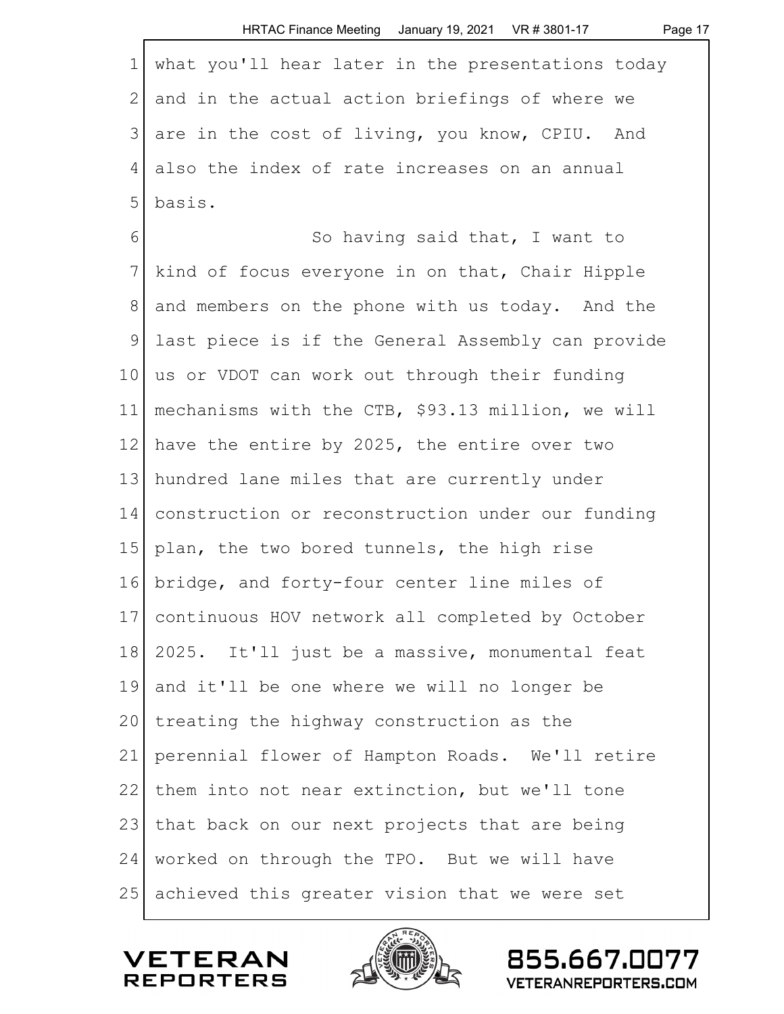|                | HRTAC Finance Meeting January 19, 2021 VR # 3801-17<br>Page 17 |
|----------------|----------------------------------------------------------------|
| 1              | what you'll hear later in the presentations today              |
| $\overline{2}$ | and in the actual action briefings of where we                 |
| 3              | are in the cost of living, you know, CPIU. And                 |
| 4              | also the index of rate increases on an annual                  |
| 5              | basis.                                                         |
| 6              | So having said that, I want to                                 |
| 7              | kind of focus everyone in on that, Chair Hipple                |
| $8\,$          | and members on the phone with us today. And the                |
| 9              | last piece is if the General Assembly can provide              |
| 10             | us or VDOT can work out through their funding                  |
| 11             | mechanisms with the CTB, \$93.13 million, we will              |
| 12             | have the entire by 2025, the entire over two                   |
| 13             | hundred lane miles that are currently under                    |
| 14             | construction or reconstruction under our funding               |
| 15             | plan, the two bored tunnels, the high rise                     |
| 16             | bridge, and forty-four center line miles of                    |
| 17             | continuous HOV network all completed by October                |
| 18             | 2025. It'll just be a massive, monumental feat                 |
| 19             | and it'll be one where we will no longer be                    |
| 20             | treating the highway construction as the                       |
| 21             | perennial flower of Hampton Roads. We'll retire                |
| 22             | them into not near extinction, but we'll tone                  |
| 23             | that back on our next projects that are being                  |
| 24             | worked on through the TPO. But we will have                    |
| 25             | achieved this greater vision that we were set                  |

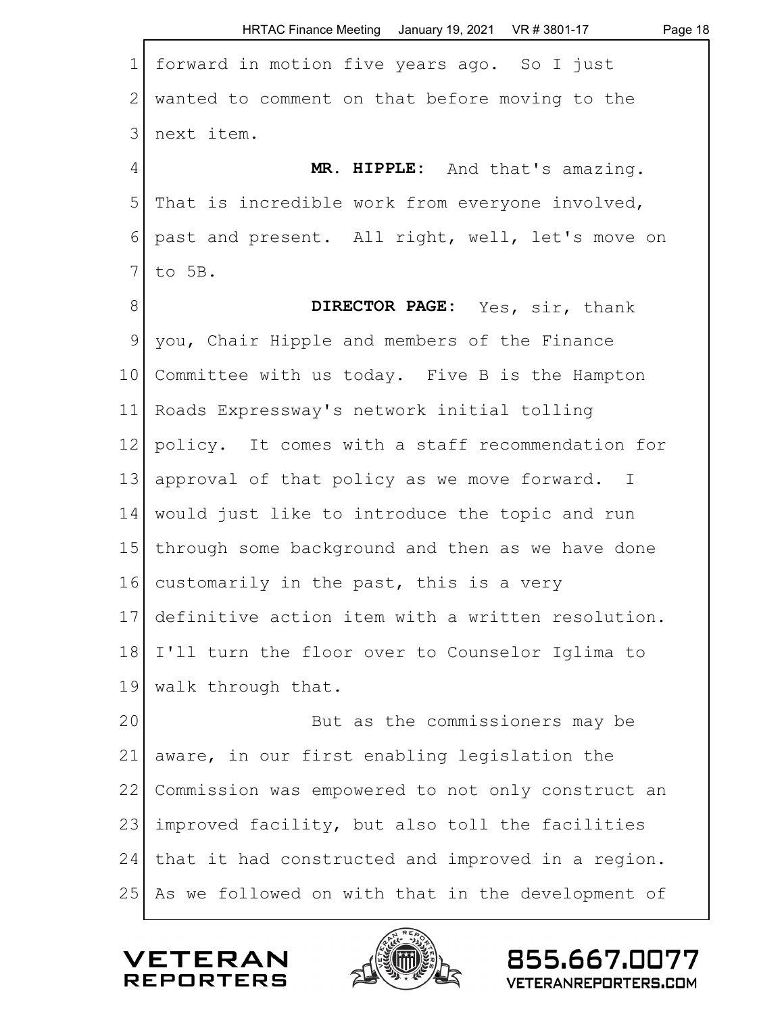|                 | HRTAC Finance Meeting January 19, 2021 VR # 3801-17<br>Page 18 |
|-----------------|----------------------------------------------------------------|
| $\mathbf 1$     | forward in motion five years ago. So I just                    |
| 2               | wanted to comment on that before moving to the                 |
| 3               | next item.                                                     |
| $\overline{4}$  | MR. HIPPLE: And that's amazing.                                |
| 5               | That is incredible work from everyone involved,                |
| 6               | past and present. All right, well, let's move on               |
| 7               | to 5B.                                                         |
| 8               | DIRECTOR PAGE: Yes, sir, thank                                 |
| 9               | you, Chair Hipple and members of the Finance                   |
| 10 <sup>°</sup> | Committee with us today. Five B is the Hampton                 |
| 11              | Roads Expressway's network initial tolling                     |
| 12              | policy. It comes with a staff recommendation for               |
| 13              | approval of that policy as we move forward. I                  |
| 14              | would just like to introduce the topic and run                 |
| 15 <sup>1</sup> | through some background and then as we have done               |
| 16              | customarily in the past, this is a very                        |
| 17              | definitive action item with a written resolution.              |
| 18              | I'll turn the floor over to Counselor Iglima to                |
| 19              | walk through that.                                             |
| 20              | But as the commissioners may be                                |
| 21              | aware, in our first enabling legislation the                   |
| 22              | Commission was empowered to not only construct an              |
| 23              | improved facility, but also toll the facilities                |
| 24              | that it had constructed and improved in a region.              |
| 25              | As we followed on with that in the development of              |

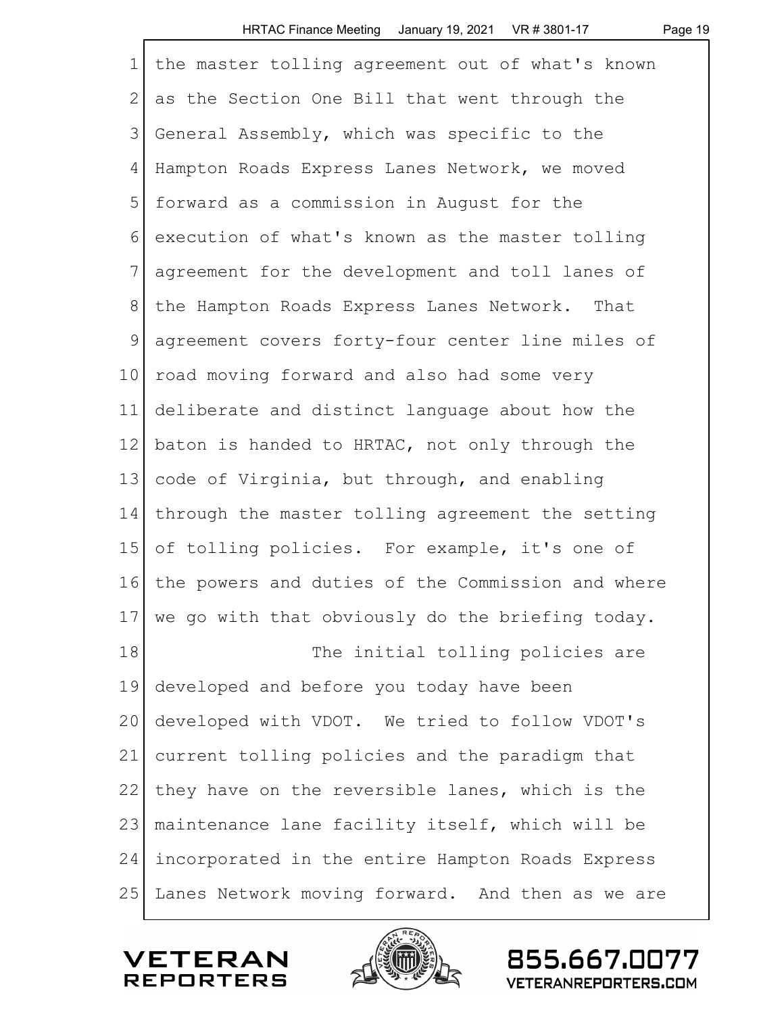|                 | HRTAC Finance Meeting $\,$ January 19, 2021 $\,$ VR $\,\pi$ 3801-17 $\,$<br>Page 19 |
|-----------------|-------------------------------------------------------------------------------------|
| $\mathbf 1$     | the master tolling agreement out of what's known                                    |
| 2               | as the Section One Bill that went through the                                       |
| 3               | General Assembly, which was specific to the                                         |
| 4               | Hampton Roads Express Lanes Network, we moved                                       |
| 5               | forward as a commission in August for the                                           |
| 6               | execution of what's known as the master tolling                                     |
| 7               | agreement for the development and toll lanes of                                     |
| 8               | the Hampton Roads Express Lanes Network. That                                       |
| $\mathsf 9$     | agreement covers forty-four center line miles of                                    |
| 10 <sub>o</sub> | road moving forward and also had some very                                          |
| 11              | deliberate and distinct language about how the                                      |
| 12              | baton is handed to HRTAC, not only through the                                      |
| 13              | code of Virginia, but through, and enabling                                         |
| 14              | through the master tolling agreement the setting                                    |
| 15              | of tolling policies. For example, it's one of                                       |
| 16              | the powers and duties of the Commission and where                                   |
| 17              | we go with that obviously do the briefing today.                                    |
| 18              | The initial tolling policies are                                                    |
| 19              | developed and before you today have been                                            |
| 20              | developed with VDOT. We tried to follow VDOT's                                      |
| 21              | current tolling policies and the paradigm that                                      |
| 22              | they have on the reversible lanes, which is the                                     |
| 23              | maintenance lane facility itself, which will be                                     |
| 24              | incorporated in the entire Hampton Roads Express                                    |
| 25              | Lanes Network moving forward. And then as we are                                    |
|                 |                                                                                     |

 $0.02$ 

 $1/2$   $\sqrt{2}$ 

**VETERAN**<br>REPORTERS

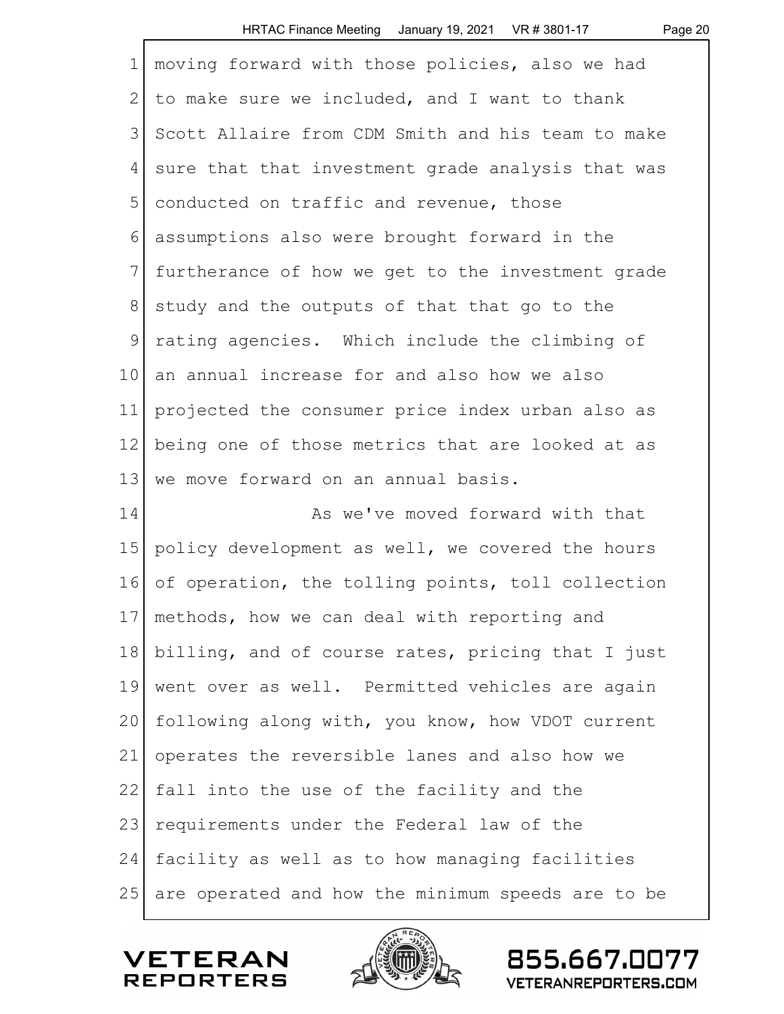|                | HRTAC Finance Meeting January 19, 2021 VR # 3801-17<br>Page 20 |
|----------------|----------------------------------------------------------------|
| $\mathbf 1$    | moving forward with those policies, also we had                |
| $\overline{2}$ | to make sure we included, and I want to thank                  |
| 3              | Scott Allaire from CDM Smith and his team to make              |
| 4              | sure that that investment grade analysis that was              |
| 5              | conducted on traffic and revenue, those                        |
| 6              | assumptions also were brought forward in the                   |
| 7              | furtherance of how we get to the investment grade              |
| 8              | study and the outputs of that that go to the                   |
| 9              | rating agencies. Which include the climbing of                 |
| 10             | an annual increase for and also how we also                    |
| 11             | projected the consumer price index urban also as               |
| 12             | being one of those metrics that are looked at as               |
| 13             | we move forward on an annual basis.                            |
| 14             | As we've moved forward with that                               |
| 15             | policy development as well, we covered the hours               |
| 16             | of operation, the tolling points, toll collection              |
| 17             | methods, how we can deal with reporting and                    |
| 18             | billing, and of course rates, pricing that I just              |
| 19             | went over as well. Permitted vehicles are again                |
| 20             | following along with, you know, how VDOT current               |
| 21             | operates the reversible lanes and also how we                  |
| 22             | fall into the use of the facility and the                      |
| 23             | requirements under the Federal law of the                      |
| 24             | facility as well as to how managing facilities                 |
| 25             | are operated and how the minimum speeds are to be              |



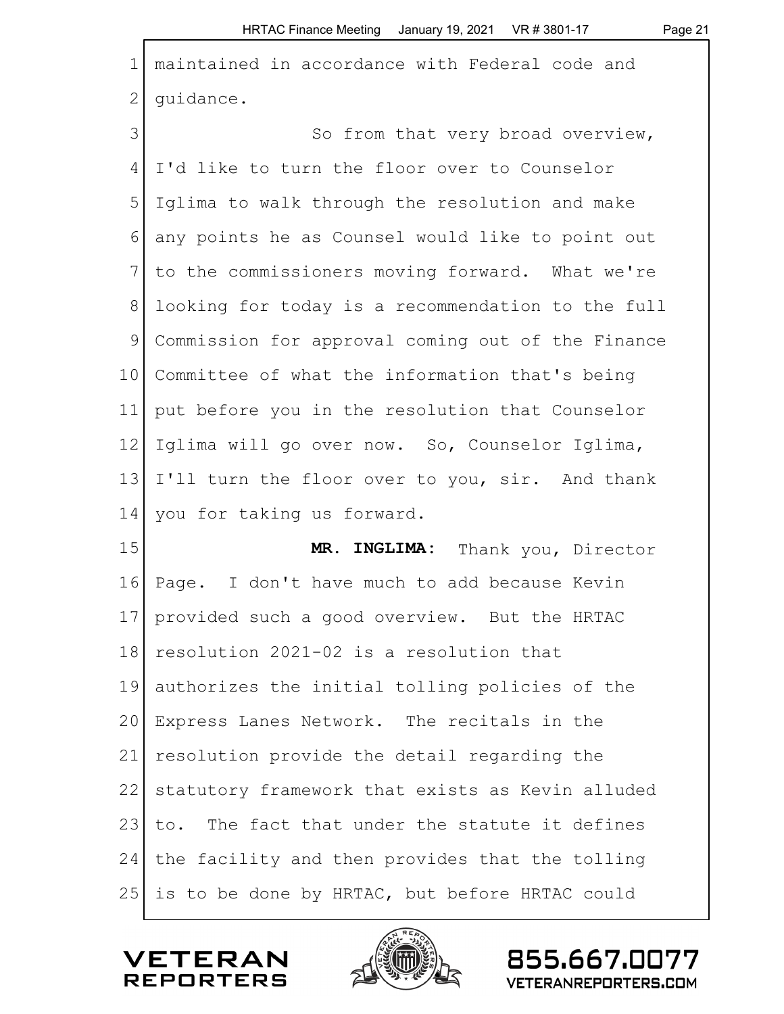| $\mathbf 1$     | maintained in accordance with Federal code and    |
|-----------------|---------------------------------------------------|
| $\mathbf{2}$    | quidance.                                         |
| 3               | So from that very broad overview,                 |
| 4               | I'd like to turn the floor over to Counselor      |
| 5               | Iglima to walk through the resolution and make    |
| 6               | any points he as Counsel would like to point out  |
| 7               | to the commissioners moving forward. What we're   |
| $8\,$           | looking for today is a recommendation to the full |
| 9               | Commission for approval coming out of the Finance |
| 10 <sub>o</sub> | Committee of what the information that's being    |
| 11              | put before you in the resolution that Counselor   |
| 12              | Iglima will go over now. So, Counselor Iglima,    |
| 13              | I'll turn the floor over to you, sir. And thank   |
| 14              | you for taking us forward.                        |
| 15              | MR. INGLIMA: Thank you, Director                  |
| 16              | Page. I don't have much to add because Kevin      |
| 17              | provided such a good overview. But the HRTAC      |
| 18              | resolution 2021-02 is a resolution that           |
| 19              | authorizes the initial tolling policies of the    |
| 20              | Express Lanes Network. The recitals in the        |
| 21              | resolution provide the detail regarding the       |
| 22              | statutory framework that exists as Kevin alluded  |
| 23              | to. The fact that under the statute it defines    |
| 24              | the facility and then provides that the tolling   |
| 25              | is to be done by HRTAC, but before HRTAC could    |



 $\Gamma$ 



855.667.0077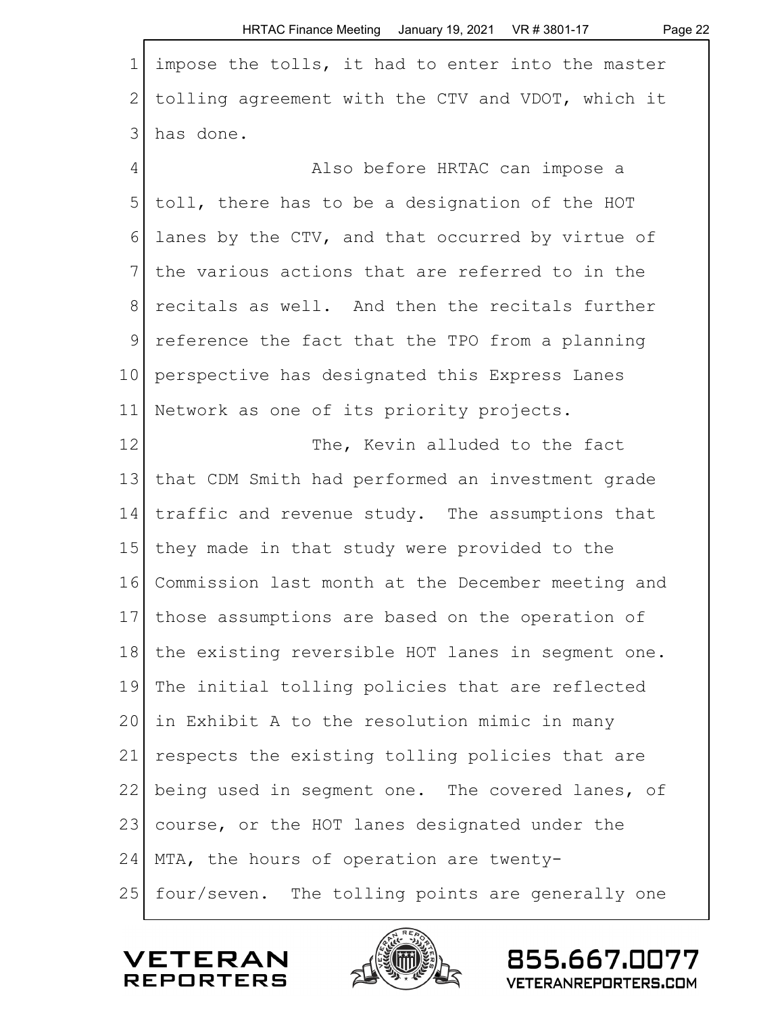|                | HRTAC Finance Meeting January 19, 2021 VR # 3801-17<br>Page 22 |
|----------------|----------------------------------------------------------------|
| $\mathbf 1$    | impose the tolls, it had to enter into the master              |
| $\overline{2}$ | tolling agreement with the CTV and VDOT, which it              |
| 3              | has done.                                                      |
| 4              | Also before HRTAC can impose a                                 |
| 5              | toll, there has to be a designation of the HOT                 |
| 6              | lanes by the CTV, and that occurred by virtue of               |
| 7              | the various actions that are referred to in the                |
| 8              | recitals as well. And then the recitals further                |
| 9              | reference the fact that the TPO from a planning                |
| 10             | perspective has designated this Express Lanes                  |
| 11             | Network as one of its priority projects.                       |
| 12             | The, Kevin alluded to the fact                                 |
| 13             | that CDM Smith had performed an investment grade               |
| 14             | traffic and revenue study. The assumptions that                |
| 15             | they made in that study were provided to the                   |
| 16             | Commission last month at the December meeting and              |
| 17             | those assumptions are based on the operation of                |
| 18             | the existing reversible HOT lanes in segment one.              |
| 19             | The initial tolling policies that are reflected                |
| 20             | in Exhibit A to the resolution mimic in many                   |
| 21             | respects the existing tolling policies that are                |
| 22             | being used in segment one. The covered lanes, of               |
| 23             | course, or the HOT lanes designated under the                  |
| 24             | MTA, the hours of operation are twenty-                        |
| 25             | four/seven. The tolling points are generally one               |

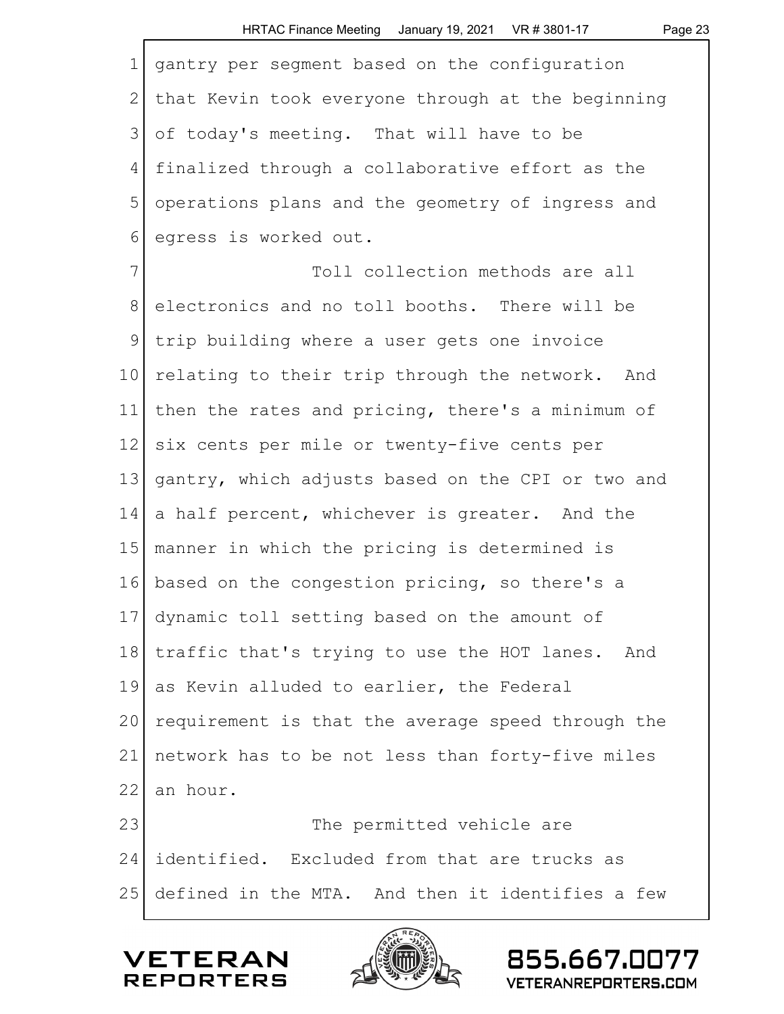| $\mathbf 1$    | gantry per segment based on the configuration     |
|----------------|---------------------------------------------------|
| $\overline{2}$ | that Kevin took everyone through at the beginning |
| 3              | of today's meeting. That will have to be          |
| 4              | finalized through a collaborative effort as the   |
| 5              | operations plans and the geometry of ingress and  |
| 6              | egress is worked out.                             |
| $7\phantom{.}$ | Toll collection methods are all                   |
| $8\,$          | electronics and no toll booths. There will be     |
| $\mathsf 9$    | trip building where a user gets one invoice       |
| 10             | relating to their trip through the network. And   |
| 11             | then the rates and pricing, there's a minimum of  |
| 12             | six cents per mile or twenty-five cents per       |
| 13             | gantry, which adjusts based on the CPI or two and |
| 14             | a half percent, whichever is greater. And the     |
| 15             | manner in which the pricing is determined is      |
| 16             | based on the congestion pricing, so there's a     |
| 17             | dynamic toll setting based on the amount of       |
| 18             | traffic that's trying to use the HOT lanes. And   |
| 19             | as Kevin alluded to earlier, the Federal          |
| 20             | requirement is that the average speed through the |
| 21             | network has to be not less than forty-five miles  |
| 22             | an hour.                                          |
| 23             | The permitted vehicle are                         |
| 24             | identified. Excluded from that are trucks as      |
| 25             | defined in the MTA. And then it identifies a few  |
|                |                                                   |



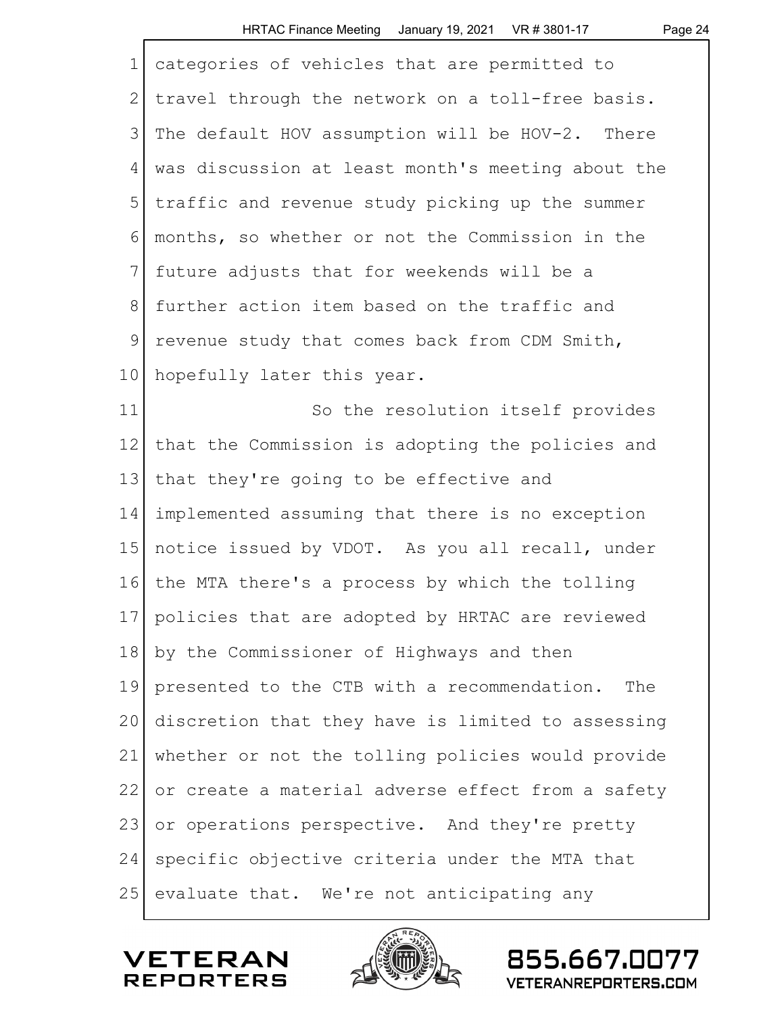| categories of vehicles that are permitted to          |
|-------------------------------------------------------|
| travel through the network on a toll-free basis.      |
| The default HOV assumption will be HOV-2. There       |
| was discussion at least month's meeting about the     |
| traffic and revenue study picking up the summer       |
| months, so whether or not the Commission in the       |
| future adjusts that for weekends will be a            |
| further action item based on the traffic and          |
| revenue study that comes back from CDM Smith,         |
| hopefully later this year.                            |
| So the resolution itself provides                     |
| that the Commission is adopting the policies and      |
| that they're going to be effective and                |
| implemented assuming that there is no exception       |
| notice issued by VDOT. As you all recall, under       |
| the MTA there's a process by which the tolling        |
| 17<br>policies that are adopted by HRTAC are reviewed |
| by the Commissioner of Highways and then              |
| presented to the CTB with a recommendation.<br>The    |
| discretion that they have is limited to assessing     |
| whether or not the tolling policies would provide     |
| or create a material adverse effect from a safety     |
| or operations perspective. And they're pretty         |
| specific objective criteria under the MTA that        |
| evaluate that. We're not anticipating any             |
|                                                       |

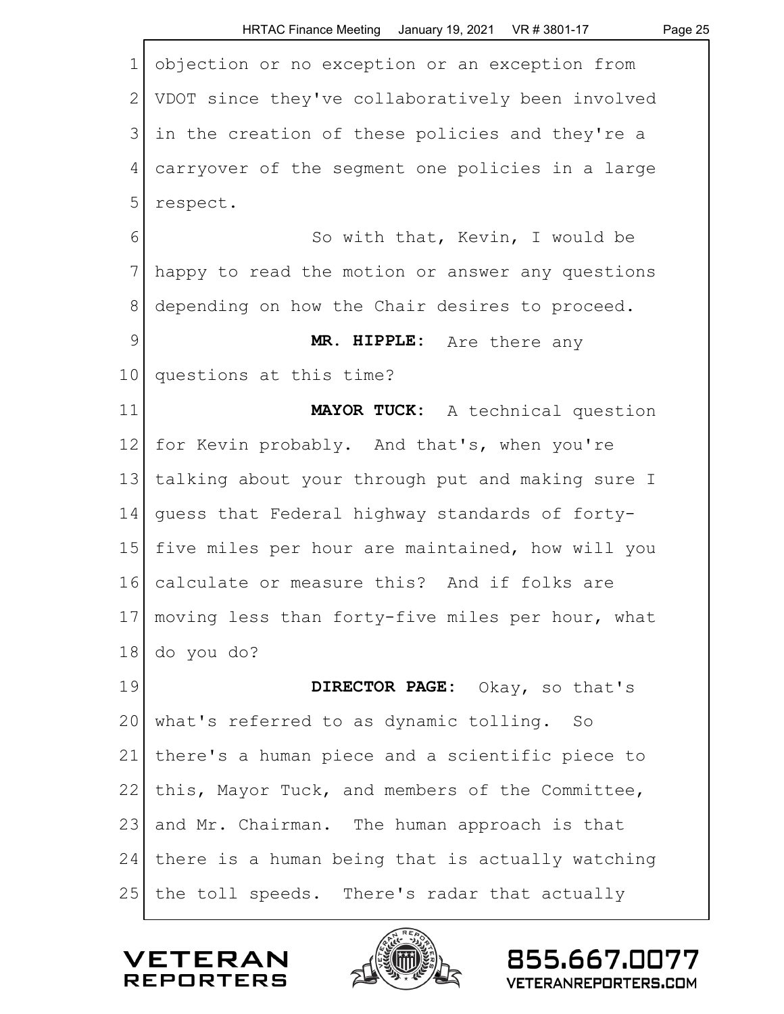|                | HRTAC Finance Meeting January 19, 2021 VR #3801-17<br>Page 25 |
|----------------|---------------------------------------------------------------|
| $\mathbf 1$    | objection or no exception or an exception from                |
| $\mathbf{2}$   | VDOT since they've collaboratively been involved              |
| 3              | in the creation of these policies and they're a               |
| $\overline{4}$ | carryover of the segment one policies in a large              |
| 5              | respect.                                                      |
| 6              | So with that, Kevin, I would be                               |
| 7              | happy to read the motion or answer any questions              |
| 8              | depending on how the Chair desires to proceed.                |
| $\mathcal{G}$  | MR. HIPPLE: Are there any                                     |
| 10             | questions at this time?                                       |
| 11             | MAYOR TUCK: A technical question                              |
| 12             | for Kevin probably. And that's, when you're                   |
| 13             | talking about your through put and making sure I              |
| 14             | guess that Federal highway standards of forty-                |
| 15             | five miles per hour are maintained, how will you              |
| 16             | calculate or measure this? And if folks are                   |
| 17             | moving less than forty-five miles per hour, what              |
| 18             | do you do?                                                    |
| 19             | DIRECTOR PAGE: Okay, so that's                                |
| 20             | what's referred to as dynamic tolling. So                     |
| 21             | there's a human piece and a scientific piece to               |
| 22             | this, Mayor Tuck, and members of the Committee,               |
| 23             | and Mr. Chairman. The human approach is that                  |
| 24             | there is a human being that is actually watching              |
| 25             | the toll speeds. There's radar that actually                  |

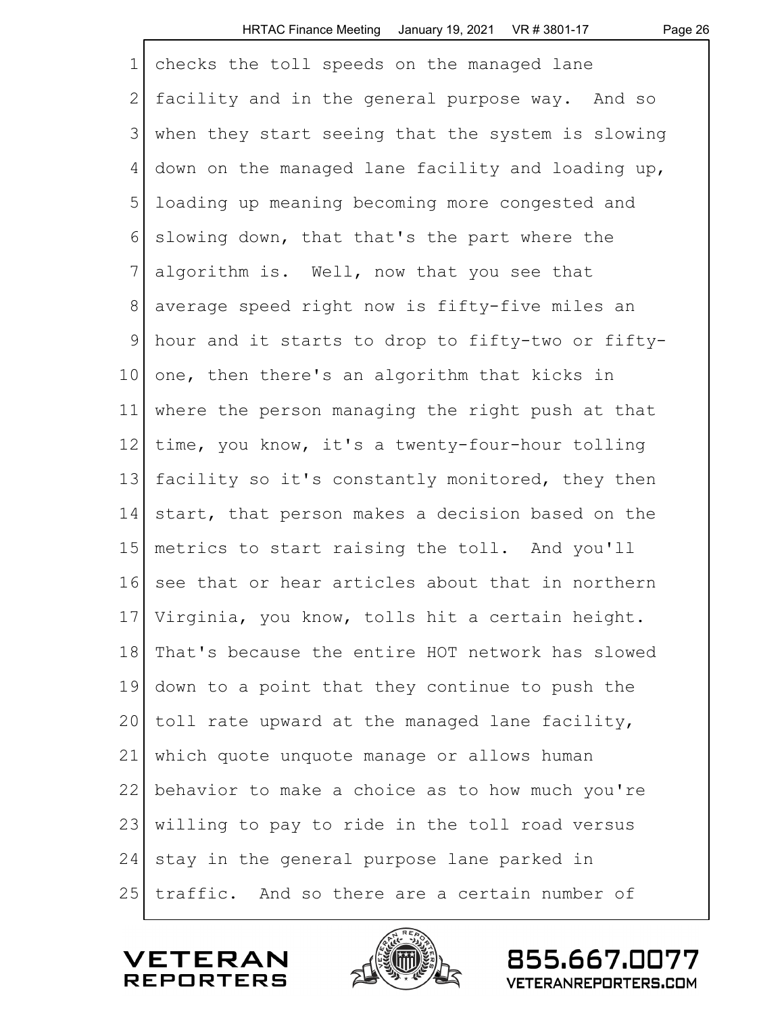| $\mathbf 1$  | checks the toll speeds on the managed lane         |
|--------------|----------------------------------------------------|
| $\mathbf{2}$ | facility and in the general purpose way. And so    |
| 3            | when they start seeing that the system is slowing  |
| 4            | down on the managed lane facility and loading up,  |
| 5            | loading up meaning becoming more congested and     |
| 6            | slowing down, that that's the part where the       |
| 7            | algorithm is. Well, now that you see that          |
| 8            | average speed right now is fifty-five miles an     |
| $\mathsf 9$  | hour and it starts to drop to fifty-two or fifty-  |
| 10           | one, then there's an algorithm that kicks in       |
| 11           | where the person managing the right push at that   |
| 12           | time, you know, it's a twenty-four-hour tolling    |
| 13           | facility so it's constantly monitored, they then   |
| 14           | start, that person makes a decision based on the   |
| 15           | metrics to start raising the toll. And you'll      |
| 16           | see that or hear articles about that in northern   |
|              | 17 Virginia, you know, tolls hit a certain height. |
| 18           | That's because the entire HOT network has slowed   |
| 19           | down to a point that they continue to push the     |
| 20           | toll rate upward at the managed lane facility,     |
| 21           | which quote unquote manage or allows human         |
| 22           | behavior to make a choice as to how much you're    |
| 23           | willing to pay to ride in the toll road versus     |
| 24           | stay in the general purpose lane parked in         |
| 25           | traffic. And so there are a certain number of      |

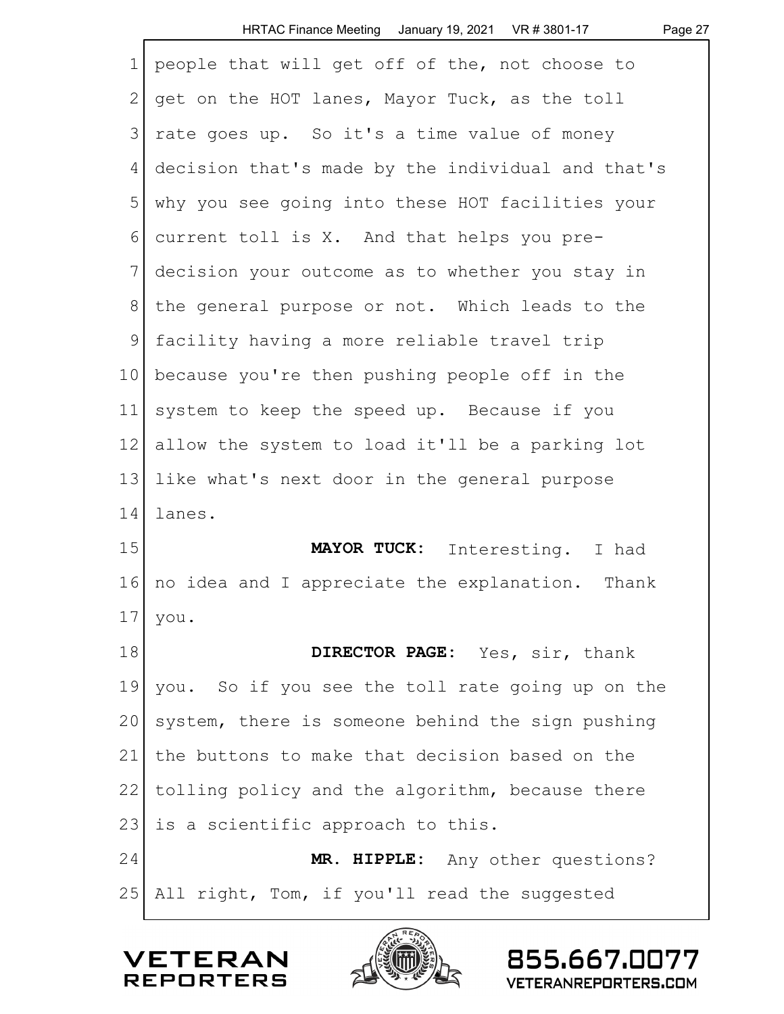|              | HRTAC Finance Meeting January 19, 2021 VR # 3801-17<br>Page 27 |
|--------------|----------------------------------------------------------------|
| $\mathbf 1$  | people that will get off of the, not choose to                 |
| $\mathbf{2}$ | get on the HOT lanes, Mayor Tuck, as the toll                  |
| 3            | rate goes up. So it's a time value of money                    |
| 4            | decision that's made by the individual and that's              |
| 5            | why you see going into these HOT facilities your               |
| 6            | current toll is X. And that helps you pre-                     |
| 7            | decision your outcome as to whether you stay in                |
| 8            | the general purpose or not. Which leads to the                 |
| 9            | facility having a more reliable travel trip                    |
| 10           | because you're then pushing people off in the                  |
| 11           | system to keep the speed up. Because if you                    |
| 12           | allow the system to load it'll be a parking lot                |
| 13           | like what's next door in the general purpose                   |
| 14           | lanes.                                                         |
| 15           | MAYOR TUCK: Interesting. I had                                 |
| 16           | no idea and I appreciate the explanation. Thank                |
| 17           | you.                                                           |
| 18           | DIRECTOR PAGE: Yes, sir, thank                                 |
| 19           | you. So if you see the toll rate going up on the               |
| 20           | system, there is someone behind the sign pushing               |
| 21           | the buttons to make that decision based on the                 |
| 22           | tolling policy and the algorithm, because there                |
| 23           | is a scientific approach to this.                              |
| 24           | MR. HIPPLE: Any other questions?                               |
| 25           | All right, Tom, if you'll read the suggested                   |



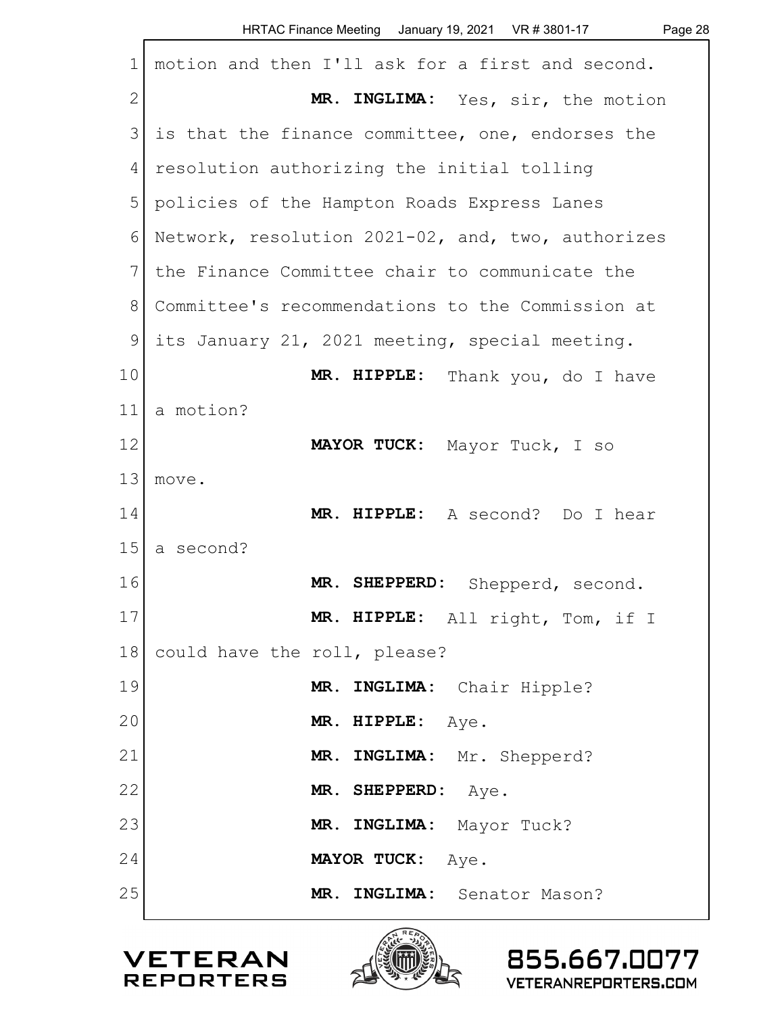|                | HRTAC Finance Meeting January 19, 2021 VR # 3801-17<br>Page 28 |
|----------------|----------------------------------------------------------------|
| $\mathbf 1$    | motion and then I'll ask for a first and second.               |
| $\overline{2}$ | MR. INGLIMA: Yes, sir, the motion                              |
| 3              | is that the finance committee, one, endorses the               |
| 4              | resolution authorizing the initial tolling                     |
| 5              | policies of the Hampton Roads Express Lanes                    |
| 6              | Network, resolution 2021-02, and, two, authorizes              |
| 7              | the Finance Committee chair to communicate the                 |
| 8              | Committee's recommendations to the Commission at               |
| 9              | its January 21, 2021 meeting, special meeting.                 |
| 10             | MR. HIPPLE: Thank you, do I have                               |
| 11             | a motion?                                                      |
| 12             | MAYOR TUCK: Mayor Tuck, I so                                   |
| 13             | move.                                                          |
| 14             | MR. HIPPLE: A second? Do I hear                                |
| 15             | a second?                                                      |
| 16             | MR. SHEPPERD:<br>Shepperd, second.                             |
| 17             | MR. HIPPLE: All right, Tom, if I                               |
| 18             | could have the roll, please?                                   |
| 19             | MR. INGLIMA: Chair Hipple?                                     |
| 20             | MR. HIPPLE: Aye.                                               |
| 21             | MR. INGLIMA: Mr. Shepperd?                                     |
| 22             | MR. SHEPPERD: Aye.                                             |
| 23             | MR. INGLIMA: Mayor Tuck?                                       |
| 24             | MAYOR TUCK: Aye.                                               |
| 25             | MR. INGLIMA: Senator Mason?                                    |



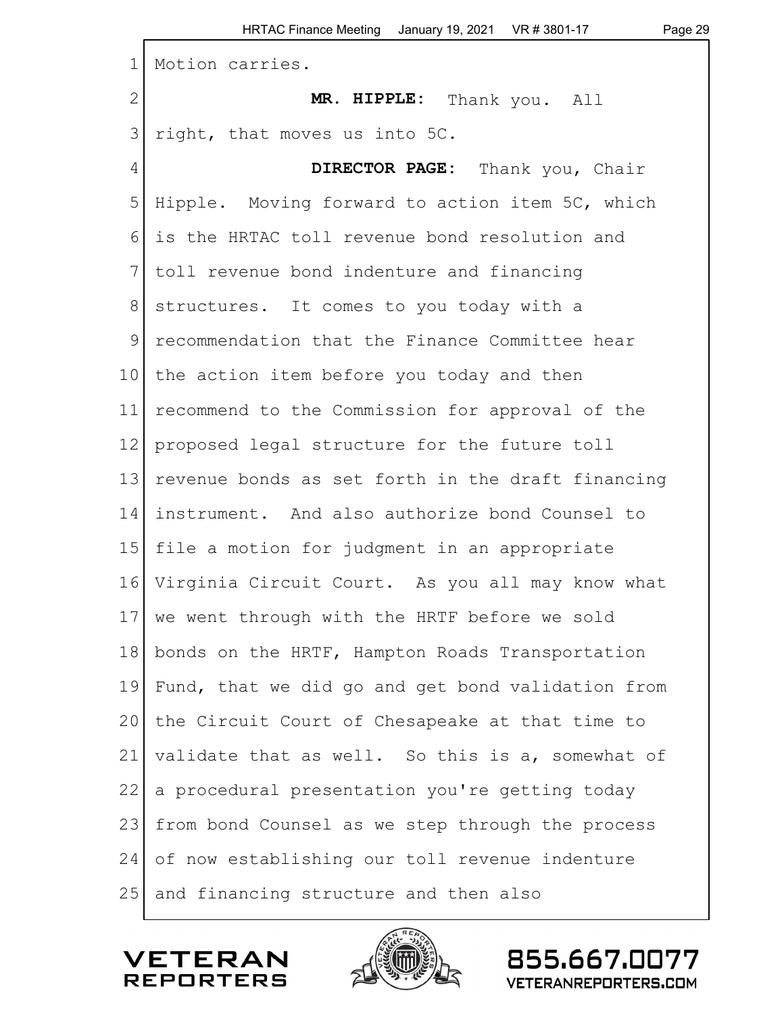| $\mathbf 1$     | Motion carries.                                   |
|-----------------|---------------------------------------------------|
| $\mathbf{2}$    | MR. HIPPLE: Thank you. All                        |
| 3               | right, that moves us into 5C.                     |
| 4               | DIRECTOR PAGE: Thank you, Chair                   |
| 5               | Hipple. Moving forward to action item 5C, which   |
| 6               | is the HRTAC toll revenue bond resolution and     |
| 7               | toll revenue bond indenture and financing         |
| 8               | structures. It comes to you today with a          |
| 9               | recommendation that the Finance Committee hear    |
| 10 <sup>1</sup> | the action item before you today and then         |
| 11              | recommend to the Commission for approval of the   |
| 12              | proposed legal structure for the future toll      |
| 13              | revenue bonds as set forth in the draft financing |
| 14              | instrument. And also authorize bond Counsel to    |
| 15              | file a motion for judgment in an appropriate      |
| 16              | Virginia Circuit Court. As you all may know what  |
|                 | 17 we went through with the HRTF before we sold   |
| 18              | bonds on the HRTF, Hampton Roads Transportation   |
| 19              | Fund, that we did go and get bond validation from |
| 20              | the Circuit Court of Chesapeake at that time to   |
| 21              | validate that as well. So this is a, somewhat of  |
| 22              | a procedural presentation you're getting today    |
| 23              | from bond Counsel as we step through the process  |
| 24              | of now establishing our toll revenue indenture    |
| 25              | and financing structure and then also             |



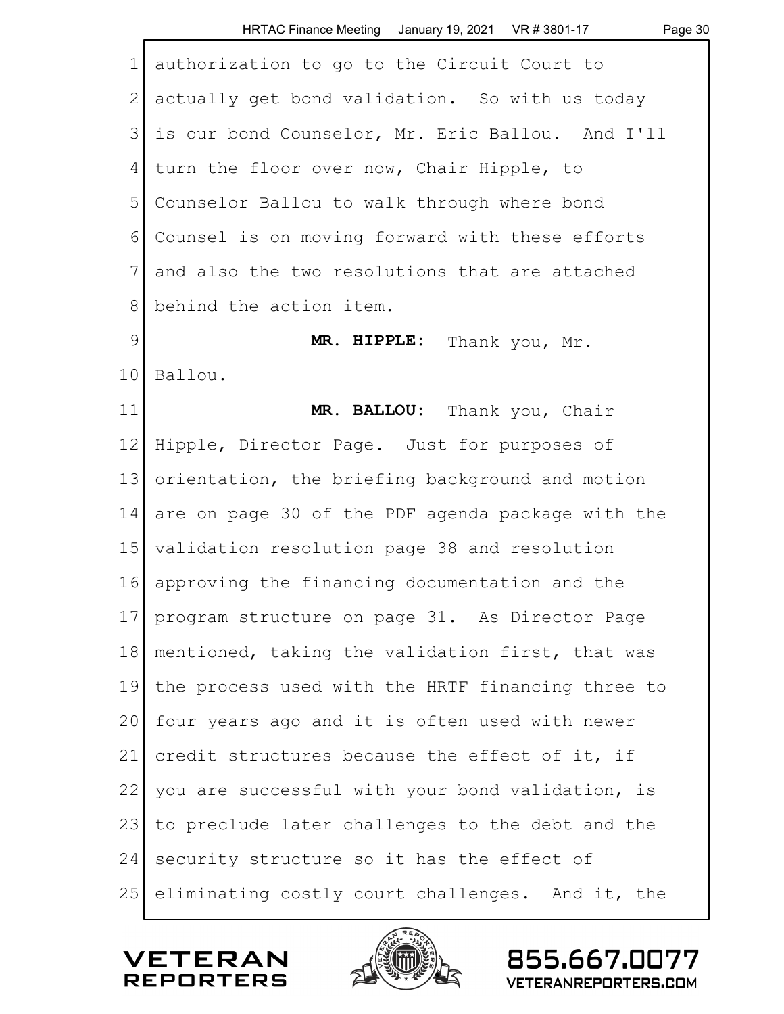| $\mathbf 1$   | authorization to go to the Circuit Court to       |
|---------------|---------------------------------------------------|
| $\mathbf{2}$  | actually get bond validation. So with us today    |
| 3             | is our bond Counselor, Mr. Eric Ballou. And I'll  |
| 4             | turn the floor over now, Chair Hipple, to         |
| 5             | Counselor Ballou to walk through where bond       |
| 6             | Counsel is on moving forward with these efforts   |
| 7             | and also the two resolutions that are attached    |
| $8\,$         | behind the action item.                           |
| $\mathcal{G}$ | MR. HIPPLE:<br>Thank you, Mr.                     |
| 10            | Ballou.                                           |
| 11            | MR. BALLOU: Thank you, Chair                      |
| 12            | Hipple, Director Page. Just for purposes of       |
| 13            | orientation, the briefing background and motion   |
| 14            | are on page 30 of the PDF agenda package with the |
| 15            | validation resolution page 38 and resolution      |
| 16            | approving the financing documentation and the     |
| 17            | program structure on page 31. As Director Page    |
| 18            | mentioned, taking the validation first, that was  |
| 19            | the process used with the HRTF financing three to |
| 20            | four years ago and it is often used with newer    |
| 21            | credit structures because the effect of it, if    |
| 22            | you are successful with your bond validation, is  |
| 23            | to preclude later challenges to the debt and the  |
| 24            | security structure so it has the effect of        |
| 25            | eliminating costly court challenges. And it, the  |



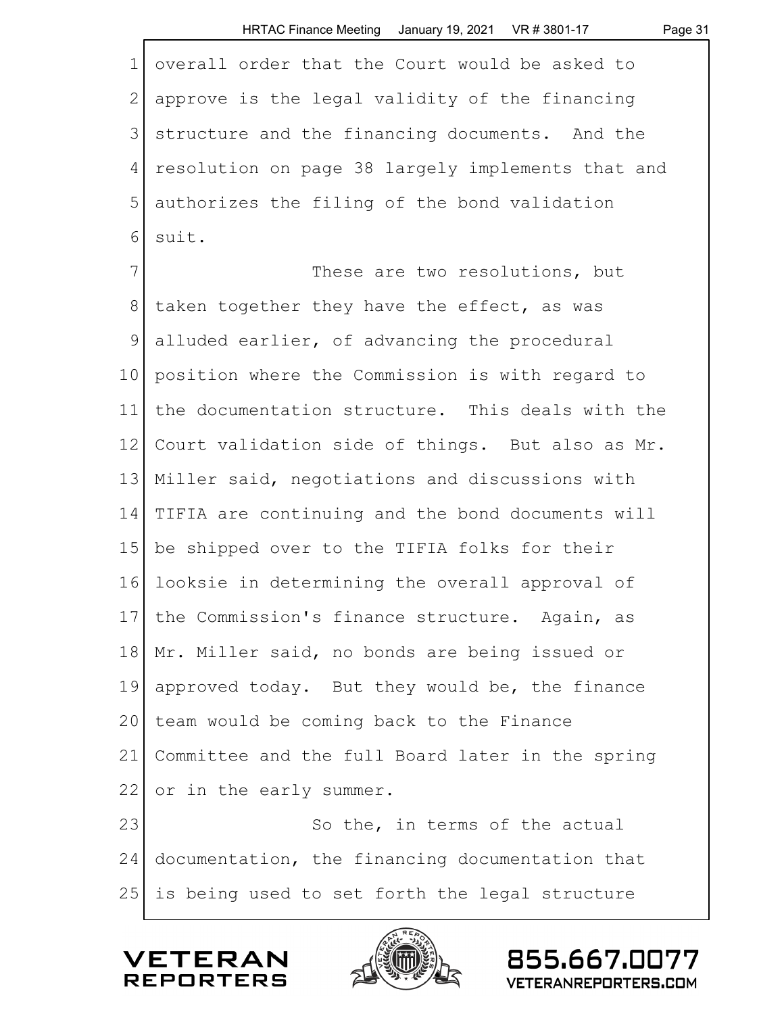| 1 overall order that the Court would be asked to    |
|-----------------------------------------------------|
| 2 approve is the legal validity of the financing    |
| 3 structure and the financing documents. And the    |
| 4 resolution on page 38 largely implements that and |
| 5 authorizes the filing of the bond validation      |
| $6$ suit.                                           |

7 These are two resolutions, but 8 taken together they have the effect, as was 9 alluded earlier, of advancing the procedural 10 position where the Commission is with regard to 11 the documentation structure. This deals with the 12 Court validation side of things. But also as Mr. 13 Miller said, negotiations and discussions with 14 TIFIA are continuing and the bond documents will 15 be shipped over to the TIFIA folks for their 16 looksie in determining the overall approval of 17 the Commission's finance structure. Again, as 18 Mr. Miller said, no bonds are being issued or 19 approved today. But they would be, the finance 20 team would be coming back to the Finance 21 Committee and the full Board later in the spring 22 or in the early summer. 23 So the, in terms of the actual

24 documentation, the financing documentation that 25 | is being used to set forth the legal structure





855.667.00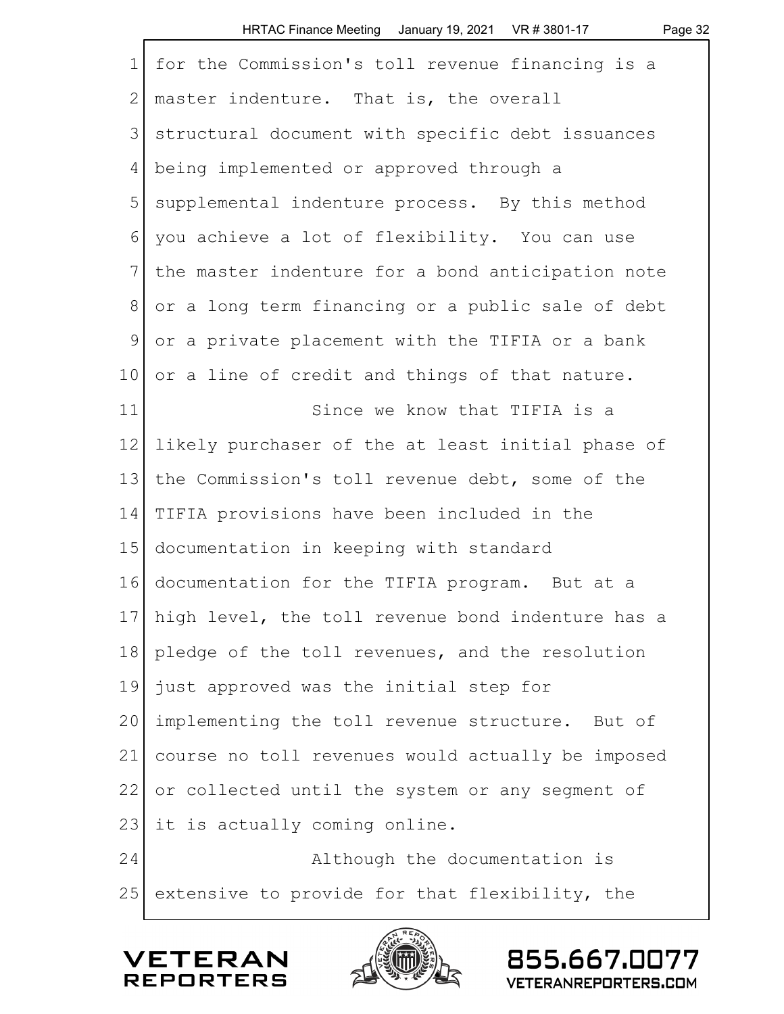| $\mathbf 1$     | for the Commission's toll revenue financing is a     |
|-----------------|------------------------------------------------------|
| $\mathbf{2}$    | master indenture. That is, the overall               |
| $\mathfrak{Z}$  | structural document with specific debt issuances     |
| 4               | being implemented or approved through a              |
| 5               | supplemental indenture process. By this method       |
| 6               | you achieve a lot of flexibility. You can use        |
| 7               | the master indenture for a bond anticipation note    |
| 8               | or a long term financing or a public sale of debt    |
| 9               | or a private placement with the TIFIA or a bank      |
| 10              | or a line of credit and things of that nature.       |
| 11              | Since we know that TIFIA is a                        |
| 12 <sup>°</sup> | likely purchaser of the at least initial phase of    |
| 13              | the Commission's toll revenue debt, some of the      |
| 14              | TIFIA provisions have been included in the           |
| 15              | documentation in keeping with standard               |
| 16              | documentation for the TIFIA program. But at a        |
|                 | 17 high level, the toll revenue bond indenture has a |
| 18              | pledge of the toll revenues, and the resolution      |
| 19              | just approved was the initial step for               |
| 20              | implementing the toll revenue structure. But of      |
| 21              | course no toll revenues would actually be imposed    |
| 22              | or collected until the system or any segment of      |
| 23              | it is actually coming online.                        |
| 24              | Although the documentation is                        |
| 25              | extensive to provide for that flexibility, the       |
|                 |                                                      |



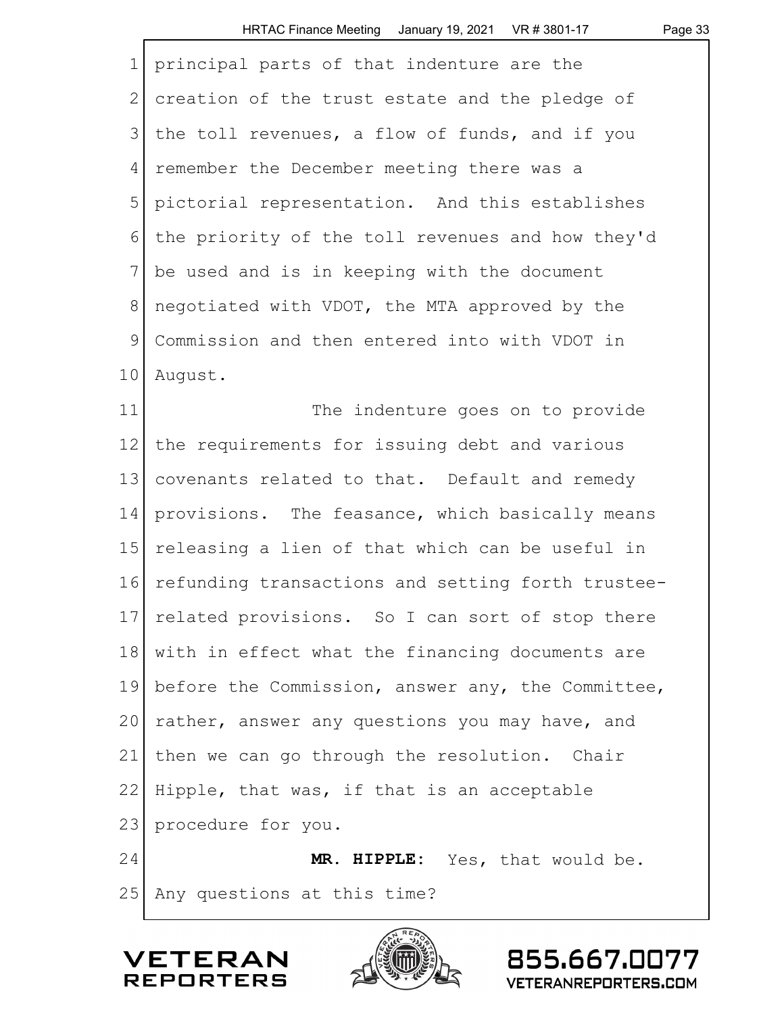| HRTAC Finance Meeting January 19, 2021 VR # 3801-17 |  | Page 33 |
|-----------------------------------------------------|--|---------|
|-----------------------------------------------------|--|---------|

| $\mathbf 1$    | principal parts of that indenture are the         |
|----------------|---------------------------------------------------|
| $\mathbf{2}$   | creation of the trust estate and the pledge of    |
| $\mathfrak{Z}$ | the toll revenues, a flow of funds, and if you    |
| 4              | remember the December meeting there was a         |
| 5              | pictorial representation. And this establishes    |
| 6              | the priority of the toll revenues and how they'd  |
| 7              | be used and is in keeping with the document       |
| $8\,$          | negotiated with VDOT, the MTA approved by the     |
| $\mathcal{G}$  | Commission and then entered into with VDOT in     |
| 10             | August.                                           |
| 11             | The indenture goes on to provide                  |
| 12             | the requirements for issuing debt and various     |
| 13             | covenants related to that. Default and remedy     |
| 14             | provisions. The feasance, which basically means   |
| 15             | releasing a lien of that which can be useful in   |
| 16             | refunding transactions and setting forth trustee- |
| 17             | related provisions. So I can sort of stop there   |
| 18             | with in effect what the financing documents are   |
| 19             | before the Commission, answer any, the Committee, |
| 20             | rather, answer any questions you may have, and    |
| 21             | then we can go through the resolution. Chair      |
| 22             | Hipple, that was, if that is an acceptable        |
| 23             | procedure for you.                                |
| 24             | MR. HIPPLE: Yes, that would be.                   |
| 25             | Any questions at this time?                       |



855.667.0077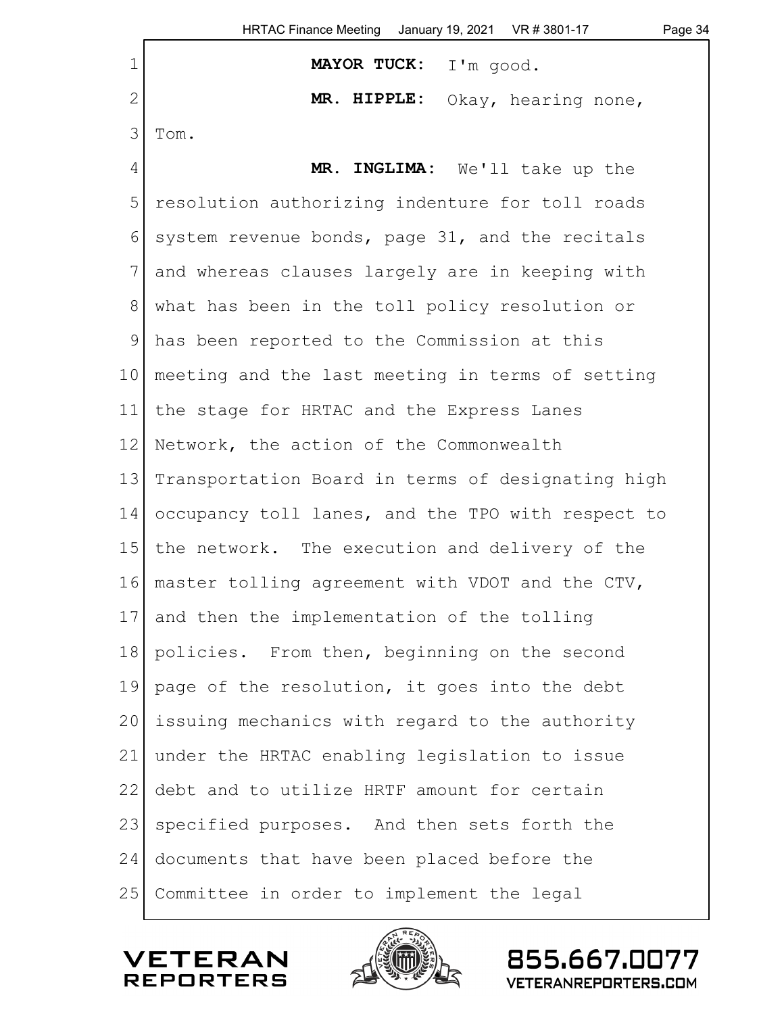| $\mathbf 1$    | MAYOR TUCK: I'm good.                             |  |
|----------------|---------------------------------------------------|--|
| $\mathbf{2}$   | MR. HIPPLE:<br>Okay, hearing none,                |  |
| 3              | Tom.                                              |  |
| $\overline{4}$ | MR. INGLIMA: We'll take up the                    |  |
| 5              | resolution authorizing indenture for toll roads   |  |
| 6              | system revenue bonds, page 31, and the recitals   |  |
| 7              | and whereas clauses largely are in keeping with   |  |
| $\,8\,$        | what has been in the toll policy resolution or    |  |
| $\mathsf{S}$   | has been reported to the Commission at this       |  |
| 10             | meeting and the last meeting in terms of setting  |  |
| 11             | the stage for HRTAC and the Express Lanes         |  |
| 12             | Network, the action of the Commonwealth           |  |
| 13             | Transportation Board in terms of designating high |  |
| 14             | occupancy toll lanes, and the TPO with respect to |  |
| 15             | the network. The execution and delivery of the    |  |
| 16             | master tolling agreement with VDOT and the CTV,   |  |
| 17             | and then the implementation of the tolling        |  |
| 18             | policies. From then, beginning on the second      |  |
| 19             | page of the resolution, it goes into the debt     |  |
| 20             | issuing mechanics with regard to the authority    |  |
| 21             | under the HRTAC enabling legislation to issue     |  |
| 22             | debt and to utilize HRTF amount for certain       |  |
| 23             | specified purposes. And then sets forth the       |  |
| 24             | documents that have been placed before the        |  |
| 25             | Committee in order to implement the legal         |  |
|                |                                                   |  |



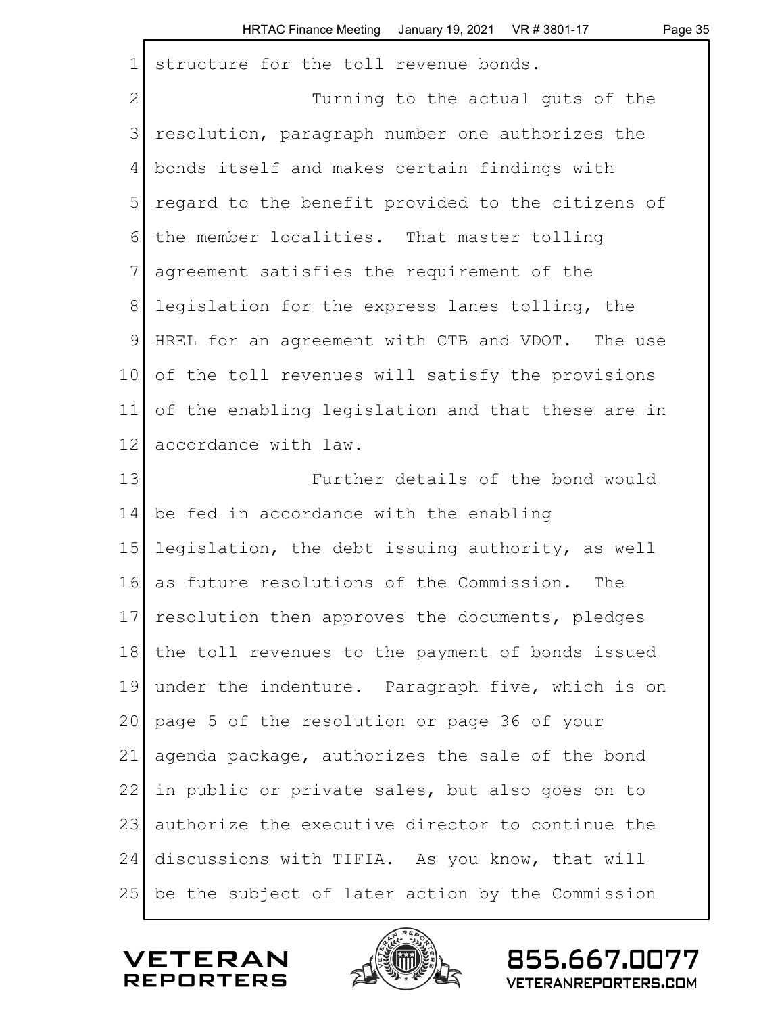|  | ane |  |
|--|-----|--|
|--|-----|--|

| $\mathbf 1$     | structure for the toll revenue bonds.             |
|-----------------|---------------------------------------------------|
| $\mathbf{2}$    | Turning to the actual guts of the                 |
| 3               | resolution, paragraph number one authorizes the   |
| 4               | bonds itself and makes certain findings with      |
| 5               | regard to the benefit provided to the citizens of |
| 6               | the member localities. That master tolling        |
| 7               | agreement satisfies the requirement of the        |
| 8               | legislation for the express lanes tolling, the    |
| $\mathsf 9$     | HREL for an agreement with CTB and VDOT. The use  |
| 10 <sub>1</sub> | of the toll revenues will satisfy the provisions  |
| 11              | of the enabling legislation and that these are in |
| 12              | accordance with law.                              |
| 13              | Further details of the bond would                 |
| 14              | be fed in accordance with the enabling            |
| 15              | legislation, the debt issuing authority, as well  |
| 16              | as future resolutions of the Commission.<br>The   |
| 17              | resolution then approves the documents, pledges   |
| 18              | the toll revenues to the payment of bonds issued  |
| 19              | under the indenture. Paragraph five, which is on  |
| 20              | page 5 of the resolution or page 36 of your       |
| 21              | agenda package, authorizes the sale of the bond   |
| 22              | in public or private sales, but also goes on to   |
| 23              | authorize the executive director to continue the  |
| 24              | discussions with TIFIA. As you know, that will    |
| 25              | be the subject of later action by the Commission  |



 $\Gamma$ 

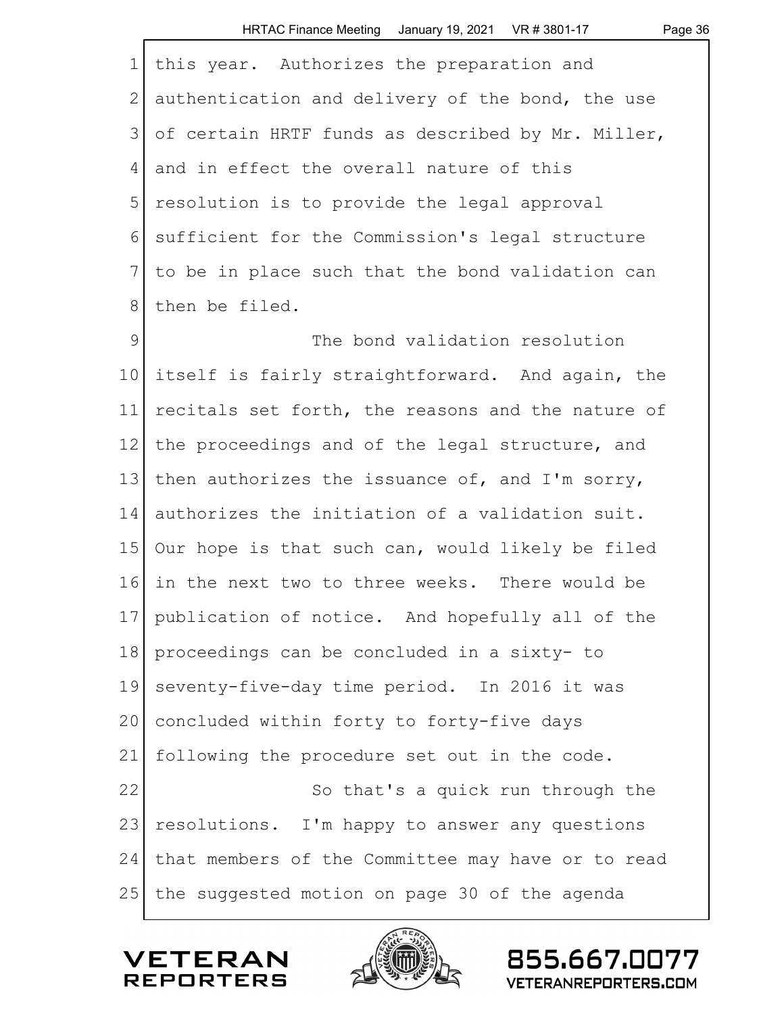| $\mathbf 1$  | this year. Authorizes the preparation and          |
|--------------|----------------------------------------------------|
| $\mathbf{2}$ | authentication and delivery of the bond, the use   |
| 3            | of certain HRTF funds as described by Mr. Miller,  |
| 4            | and in effect the overall nature of this           |
| 5            | resolution is to provide the legal approval        |
| 6            | sufficient for the Commission's legal structure    |
| 7            | to be in place such that the bond validation can   |
| $8\,$        | then be filed.                                     |
| 9            | The bond validation resolution                     |
| 10           | itself is fairly straightforward. And again, the   |
| 11           | recitals set forth, the reasons and the nature of  |
| 12           | the proceedings and of the legal structure, and    |
| 13           | then authorizes the issuance of, and I'm sorry,    |
| 14           | authorizes the initiation of a validation suit.    |
| 15           | Our hope is that such can, would likely be filed   |
| 16           | in the next two to three weeks. There would be     |
|              | 17 publication of notice. And hopefully all of the |
| 18           | proceedings can be concluded in a sixty- to        |
| 19           | seventy-five-day time period. In 2016 it was       |
| 20           | concluded within forty to forty-five days          |
| 21           | following the procedure set out in the code.       |
| 22           | So that's a quick run through the                  |
| 23           | resolutions. I'm happy to answer any questions     |
| 24           | that members of the Committee may have or to read  |
| 25           | the suggested motion on page 30 of the agenda      |



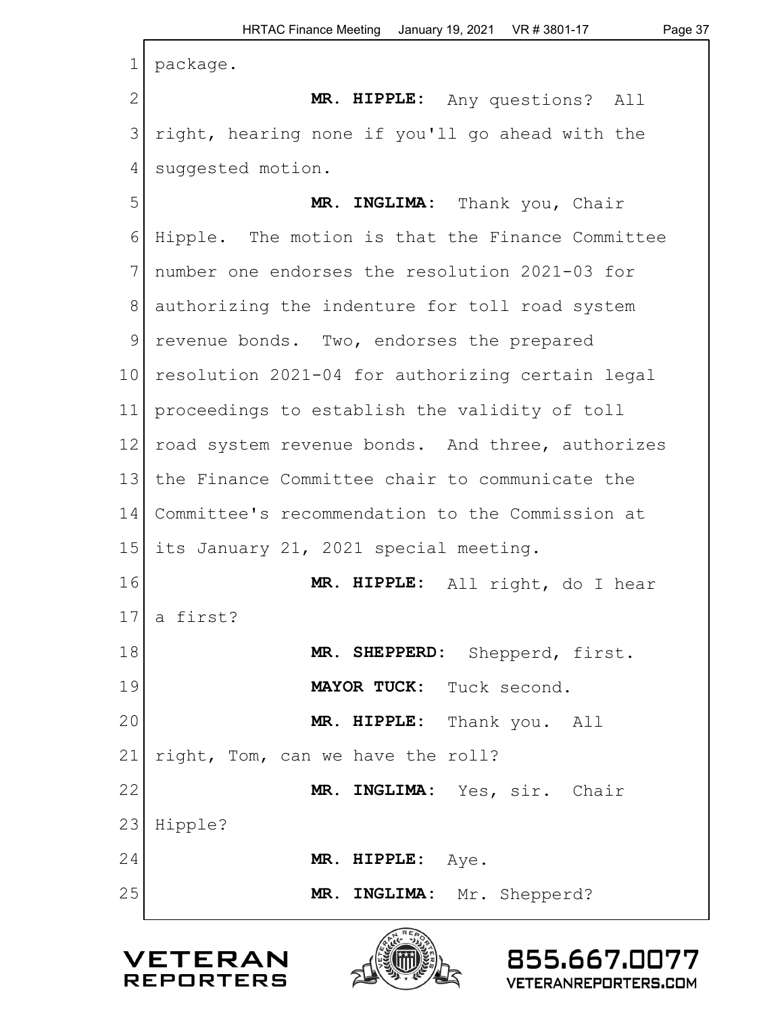| $\mathbf 1$    | package.                                         |
|----------------|--------------------------------------------------|
| $\mathbf{2}$   | MR. HIPPLE: Any questions? All                   |
| $\mathfrak{Z}$ | right, hearing none if you'll go ahead with the  |
| 4              | suggested motion.                                |
| 5              | MR. INGLIMA: Thank you, Chair                    |
| 6              | Hipple. The motion is that the Finance Committee |
| 7              | number one endorses the resolution 2021-03 for   |
| 8              | authorizing the indenture for toll road system   |
| $\mathcal{G}$  | revenue bonds. Two, endorses the prepared        |
| 10             | resolution 2021-04 for authorizing certain legal |
| 11             | proceedings to establish the validity of toll    |
| 12             | road system revenue bonds. And three, authorizes |
| 13             | the Finance Committee chair to communicate the   |
| 14             | Committee's recommendation to the Commission at  |
| 15             | its January 21, 2021 special meeting.            |
| 16             | MR. HIPPLE: All right, do I hear                 |
| 17             | a first?                                         |
| 18             | MR. SHEPPERD: Shepperd, first.                   |
| 19             | MAYOR TUCK: Tuck second.                         |
| 20             | MR. HIPPLE: Thank you. All                       |
| 21             | right, Tom, can we have the roll?                |
| 22             | MR. INGLIMA: Yes, sir. Chair                     |
| 23             | Hipple?                                          |
| 24             | MR. HIPPLE: $Aye$ .                              |
| 25             | MR. INGLIMA: Mr. Shepperd?                       |



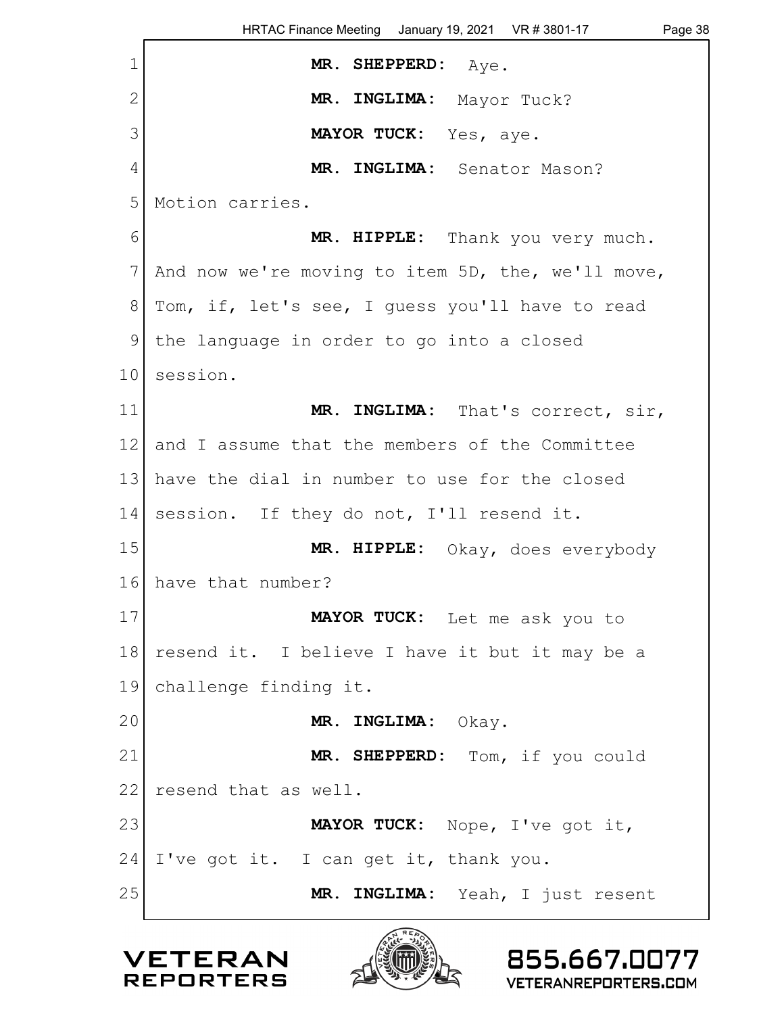|                | HRTAC Finance Meeting January 19, 2021 VR # 3801-17<br>Page 38 |
|----------------|----------------------------------------------------------------|
| $\mathbf{1}$   | MR. SHEPPERD: Aye.                                             |
| $\overline{2}$ | MR. INGLIMA: Mayor Tuck?                                       |
| 3              | MAYOR TUCK: Yes, aye.                                          |
| 4              | MR. INGLIMA: Senator Mason?                                    |
| 5              | Motion carries.                                                |
| 6              | MR. HIPPLE: Thank you very much.                               |
| 7              | And now we're moving to item 5D, the, we'll move,              |
| 8              | Tom, if, let's see, I guess you'll have to read                |
| 9              | the language in order to go into a closed                      |
| 10             | session.                                                       |
| 11             | MR. INGLIMA: That's correct, sir,                              |
| 12             | and I assume that the members of the Committee                 |
| 13             | have the dial in number to use for the closed                  |
| 14             | session. If they do not, I'll resend it.                       |
| 15             | MR. HIPPLE: Okay, does everybody                               |
| 16             | have that number?                                              |
| 17             | MAYOR TUCK: Let me ask you to                                  |
| 18             | resend it. I believe I have it but it may be a                 |
| 19             | challenge finding it.                                          |
| 20             | MR. INGLIMA:<br>Okay.                                          |
| 21             | MR. SHEPPERD: Tom, if you could                                |
| 22             | resend that as well.                                           |
| 23             | MAYOR TUCK: Nope, I've got it,                                 |
| 24             | I've got it. I can get it, thank you.                          |
| 25             | MR. INGLIMA: Yeah, I just resent                               |
|                |                                                                |



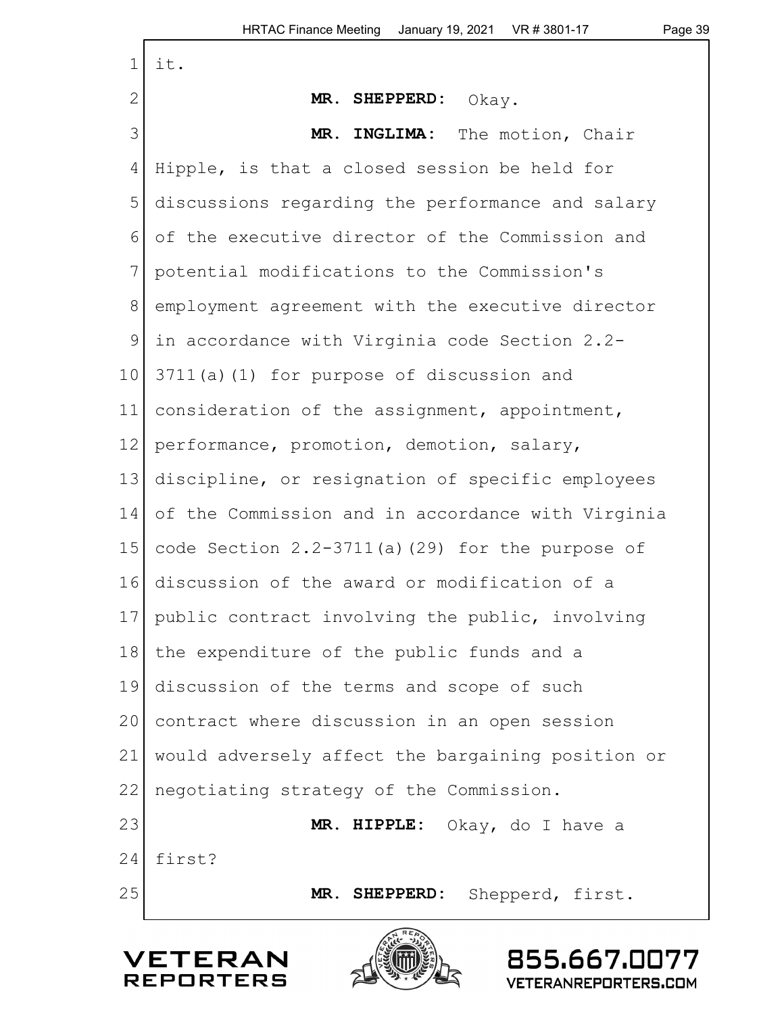| $\mathbf 1$   | it.                                                |
|---------------|----------------------------------------------------|
| 2             | MR. SHEPPERD: Okay.                                |
| 3             | MR. INGLIMA:<br>The motion, Chair                  |
| 4             | Hipple, is that a closed session be held for       |
| 5             | discussions regarding the performance and salary   |
| 6             | of the executive director of the Commission and    |
| 7             | potential modifications to the Commission's        |
| $8\,$         | employment agreement with the executive director   |
| $\mathcal{G}$ | in accordance with Virginia code Section 2.2-      |
| 10            | 3711(a)(1) for purpose of discussion and           |
| 11            | consideration of the assignment, appointment,      |
| 12            | performance, promotion, demotion, salary,          |
| 13            | discipline, or resignation of specific employees   |
| 14            | of the Commission and in accordance with Virginia  |
| 15            | code Section $2.2-3711(a)$ (29) for the purpose of |
| 16            | discussion of the award or modification of a       |
| 17            | public contract involving the public, involving    |
| 18            | the expenditure of the public funds and a          |
| 19            | discussion of the terms and scope of such          |
| 20            | contract where discussion in an open session       |
| 21            | would adversely affect the bargaining position or  |
| 22            | negotiating strategy of the Commission.            |
| 23            | MR. HIPPLE:<br>Okay, do I have a                   |
| 24            | first?                                             |
| 25            | MR. SHEPPERD:<br>Shepperd, first.                  |



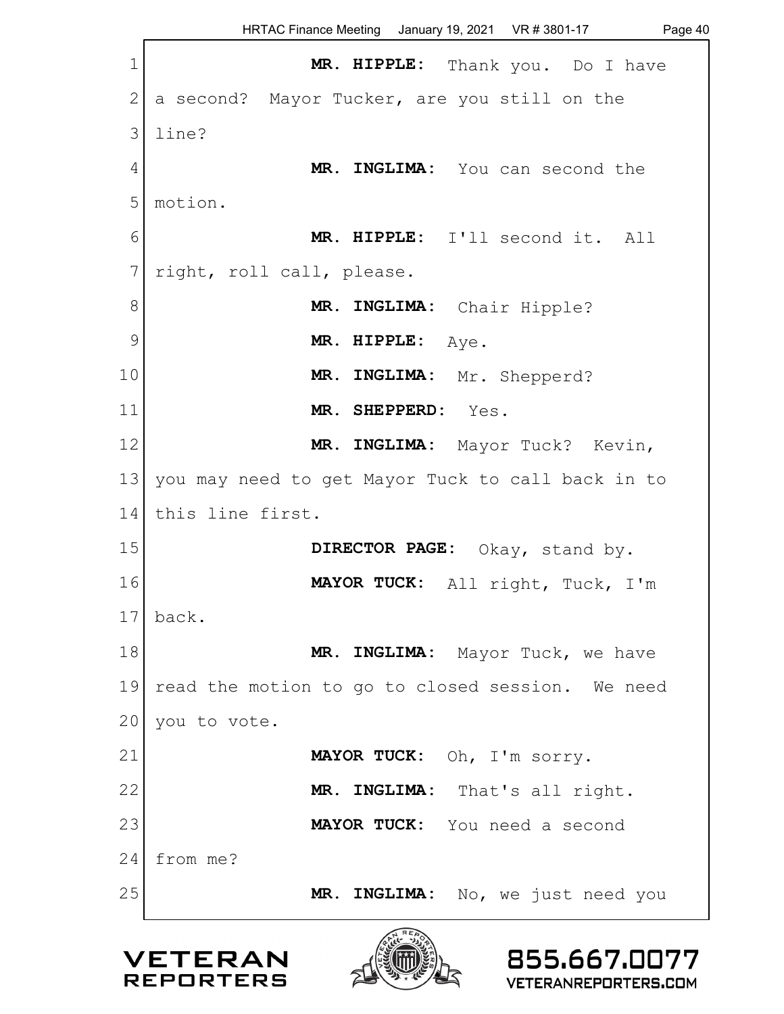HRTAC Finance Meeting January 19, 2021 VR # 3801-17 Page 40 1 **MR. HIPPLE:** Thank you. Do I have 2 a second? Mayor Tucker, are you still on the 3 line? 4 MR. INGLIMA: You can second the 5 motion. 6 **MR. HIPPLE:** I'll second it. All 7 right, roll call, please. 8 MR. INGLIMA: Chair Hipple? 9 | MR. HIPPLE: Aye. 10 **MR. INGLIMA:** Mr. Shepperd? 11 **MR. SHEPPERD:** Yes. 12 **MR. INGLIMA:** Mayor Tuck? Kevin, 13 you may need to get Mayor Tuck to call back in to 14 this line first. 15 **DIRECTOR PAGE:** Okay, stand by. 16 **MAYOR TUCK:** All right, Tuck, I'm  $17$  back. 18 **MR. INGLIMA:** Mayor Tuck, we have 19 read the motion to go to closed session. We need  $20$  you to vote. 21 **MAYOR TUCK:** Oh, I'm sorry. 22 MR. INGLIMA: That's all right. 23 **MAYOR TUCK:** You need a second 24 from me? 25 MR. INGLIMA: No, we just need you





855.667.0077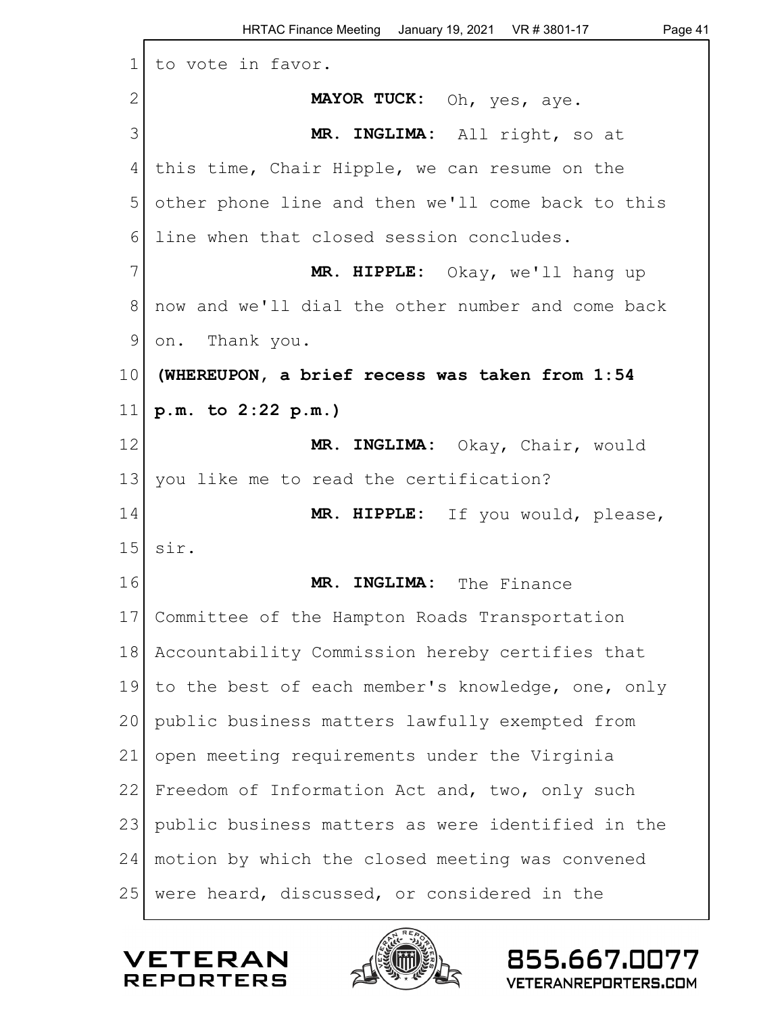| $\mathbf 1$     | to vote in favor.                                 |
|-----------------|---------------------------------------------------|
| $\mathbf{2}$    | MAYOR TUCK: Oh, yes, aye.                         |
| 3               | MR. INGLIMA: All right, so at                     |
| 4               | this time, Chair Hipple, we can resume on the     |
| 5               | other phone line and then we'll come back to this |
| 6               | line when that closed session concludes.          |
| 7               | MR. HIPPLE: Okay, we'll hang up                   |
| 8               | now and we'll dial the other number and come back |
| 9               | on. Thank you.                                    |
| 10 <sub>o</sub> | (WHEREUPON, a brief recess was taken from 1:54    |
| 11              | p.m. to 2:22 p.m.)                                |
| 12              | MR. INGLIMA: Okay, Chair, would                   |
| 13              | you like me to read the certification?            |
| 14              | MR. HIPPLE: If you would, please,                 |
| 15              | sir.                                              |
| 16              | MR. INGLIMA: The Finance                          |
|                 | 17 Committee of the Hampton Roads Transportation  |
| 18              | Accountability Commission hereby certifies that   |
| 19              | to the best of each member's knowledge, one, only |
| 20              | public business matters lawfully exempted from    |
| 21              | open meeting requirements under the Virginia      |
| 22              | Freedom of Information Act and, two, only such    |
| 23              | public business matters as were identified in the |
| 24              | motion by which the closed meeting was convened   |
| 25              | were heard, discussed, or considered in the       |



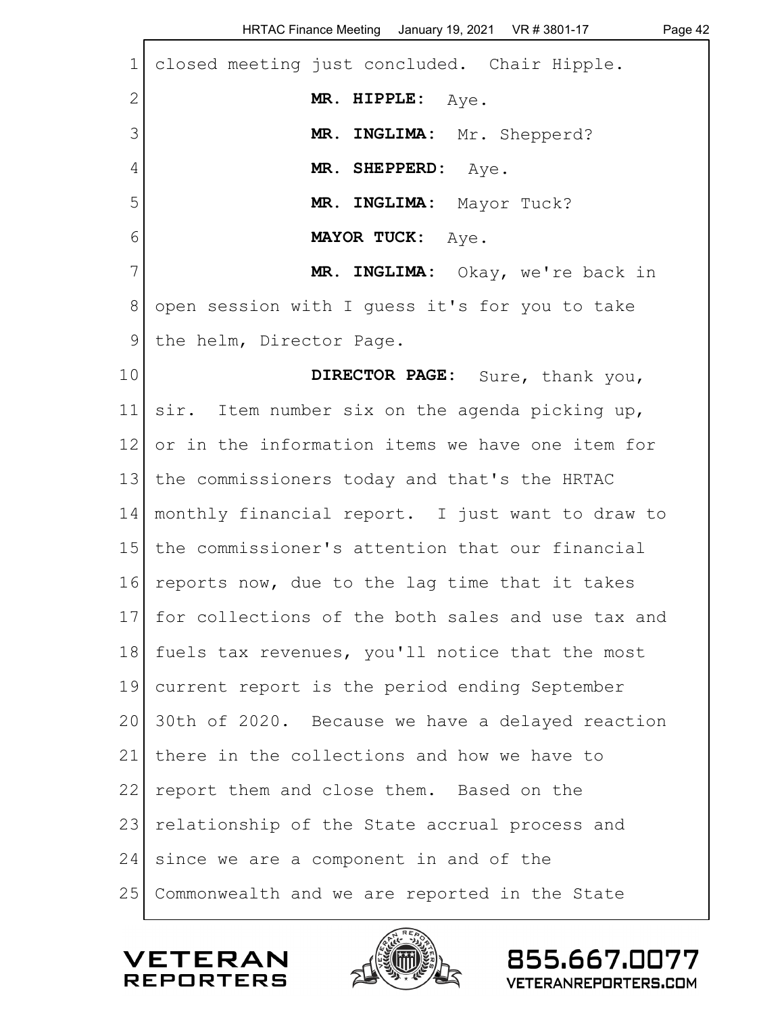|              | HRTAC Finance Meeting January 19, 2021    VR # 3801-17<br>Page 42 |
|--------------|-------------------------------------------------------------------|
| $\mathbf 1$  | closed meeting just concluded. Chair Hipple.                      |
| $\mathbf{2}$ | MR. HIPPLE: Aye.                                                  |
| 3            | MR. INGLIMA: Mr. Shepperd?                                        |
| 4            | MR. SHEPPERD: Aye.                                                |
| 5            | MR. INGLIMA: Mayor Tuck?                                          |
| 6            | MAYOR TUCK: Aye.                                                  |
| 7            | MR. INGLIMA: Okay, we're back in                                  |
| 8            | open session with I quess it's for you to take                    |
| 9            | the helm, Director Page.                                          |
| 10           | DIRECTOR PAGE: Sure, thank you,                                   |
| 11           | sir. Item number six on the agenda picking up,                    |
| 12           | or in the information items we have one item for                  |
| 13           | the commissioners today and that's the HRTAC                      |
| 14           | monthly financial report. I just want to draw to                  |
| 15           | the commissioner's attention that our financial                   |
| 16           | reports now, due to the lag time that it takes                    |
| 17           | for collections of the both sales and use tax and                 |
| 18           | fuels tax revenues, you'll notice that the most                   |
| 19           | current report is the period ending September                     |
| 20           | 30th of 2020. Because we have a delayed reaction                  |
| 21           | there in the collections and how we have to                       |
| 22           | report them and close them. Based on the                          |
| 23           | relationship of the State accrual process and                     |
| 24           | since we are a component in and of the                            |
| 25           | Commonwealth and we are reported in the State                     |
|              |                                                                   |

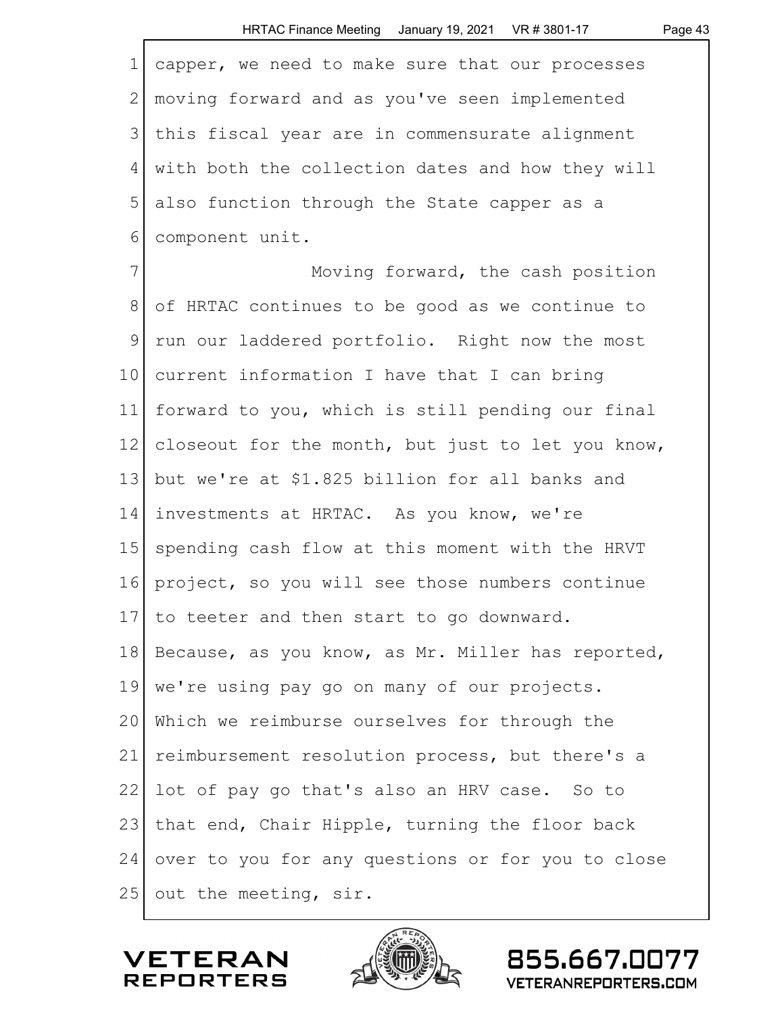| $\mathbf 1$   | capper, we need to make sure that our processes   |
|---------------|---------------------------------------------------|
| $\mathbf{2}$  | moving forward and as you've seen implemented     |
| 3             | this fiscal year are in commensurate alignment    |
| 4             | with both the collection dates and how they will  |
| 5             | also function through the State capper as a       |
| 6             | component unit.                                   |
| 7             | Moving forward, the cash position                 |
| $8\,$         | of HRTAC continues to be good as we continue to   |
| $\mathcal{G}$ | run our laddered portfolio. Right now the most    |
| 10            | current information I have that I can bring       |
| 11            | forward to you, which is still pending our final  |
| 12            | closeout for the month, but just to let you know, |
| 13            | but we're at \$1.825 billion for all banks and    |
| 14            | investments at HRTAC. As you know, we're          |
| 15            | spending cash flow at this moment with the HRVT   |
| 16            | project, so you will see those numbers continue   |
| 17            | to teeter and then start to go downward.          |
| 18            | Because, as you know, as Mr. Miller has reported, |
| 19            | we're using pay go on many of our projects.       |
| 20            | Which we reimburse ourselves for through the      |
| 21            | reimbursement resolution process, but there's a   |
| 22            | lot of pay go that's also an HRV case. So to      |
| 23            | that end, Chair Hipple, turning the floor back    |
| 24            | over to you for any questions or for you to close |
| 25            | out the meeting, sir.                             |



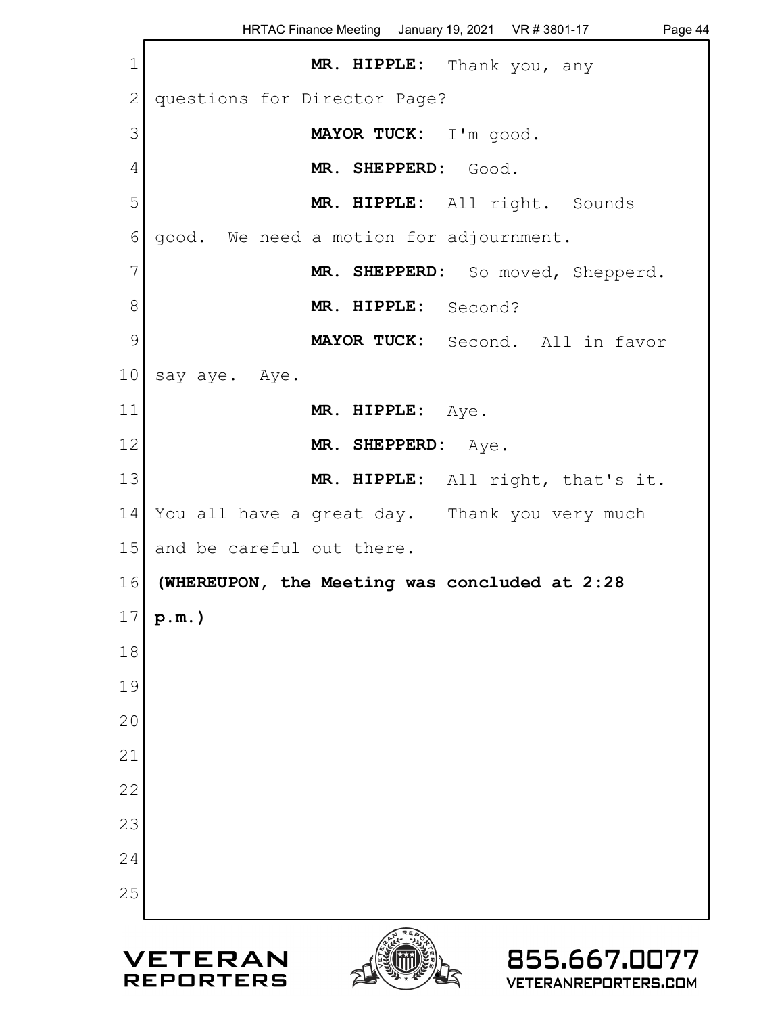HRTAC Finance Meeting January 19, 2021 VR # 3801-17 Page 44 1 **MR. HIPPLE:** Thank you, any 2 questions for Director Page? 3 **MAYOR TUCK:** I'm good. 4 **MR. SHEPPERD:** Good. 5 **MR. HIPPLE:** All right. Sounds 6 good. We need a motion for adjournment. 7 MR. SHEPPERD: So moved, Shepperd. 8 **MR. HIPPLE:** Second? 9 **MAYOR TUCK:** Second. All in favor 10 say aye. Aye. 11 **MR. HIPPLE:** Aye. 12 MR. SHEPPERD: Aye. 13 **MR. HIPPLE:** All right, that's it. 14 You all have a great day. Thank you very much 15 and be careful out there. 16 **(WHEREUPON, the Meeting was concluded at 2:28** 17 **p.m.)** 18 19 20 21 22 23 24 25855.667.0077 VETERAN



**REPORTERS**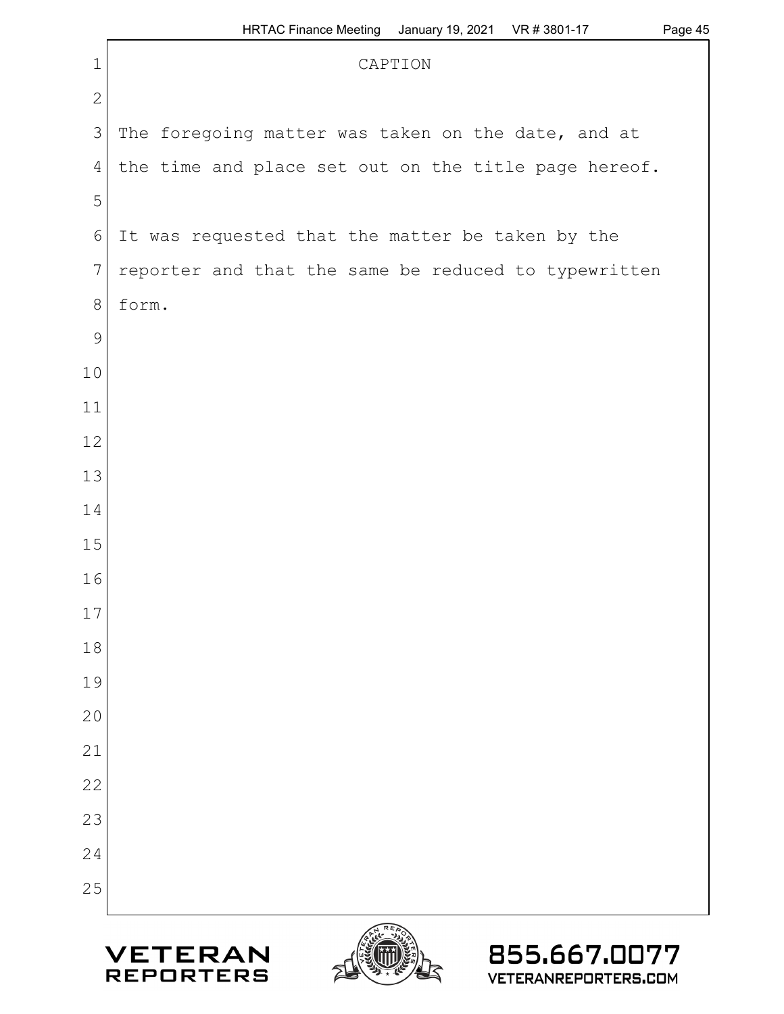|                 | $\overline{\phantom{a}}$                             |  |  |  |  |
|-----------------|------------------------------------------------------|--|--|--|--|
| $\mathbf 1$     | CAPTION                                              |  |  |  |  |
| $\mathbf{2}$    |                                                      |  |  |  |  |
| $\mathfrak{Z}$  | The foregoing matter was taken on the date, and at   |  |  |  |  |
| $\overline{4}$  | the time and place set out on the title page hereof. |  |  |  |  |
| $\mathsf S$     |                                                      |  |  |  |  |
| $\epsilon$      | It was requested that the matter be taken by the     |  |  |  |  |
| $7\phantom{.0}$ | reporter and that the same be reduced to typewritten |  |  |  |  |
| $\,8\,$         | form.                                                |  |  |  |  |
| $\mathsf 9$     |                                                      |  |  |  |  |
| 10              |                                                      |  |  |  |  |
| 11              |                                                      |  |  |  |  |
| 12              |                                                      |  |  |  |  |
| 13              |                                                      |  |  |  |  |
| 14              |                                                      |  |  |  |  |
| 15              |                                                      |  |  |  |  |
| 16              |                                                      |  |  |  |  |
| $17\,$          |                                                      |  |  |  |  |
| 18              |                                                      |  |  |  |  |
| 19              |                                                      |  |  |  |  |
| 20              |                                                      |  |  |  |  |
| 21              |                                                      |  |  |  |  |
| 22              |                                                      |  |  |  |  |
| 23              |                                                      |  |  |  |  |
| 24              |                                                      |  |  |  |  |
| 25              |                                                      |  |  |  |  |
|                 | <b>PHAREAD</b>                                       |  |  |  |  |





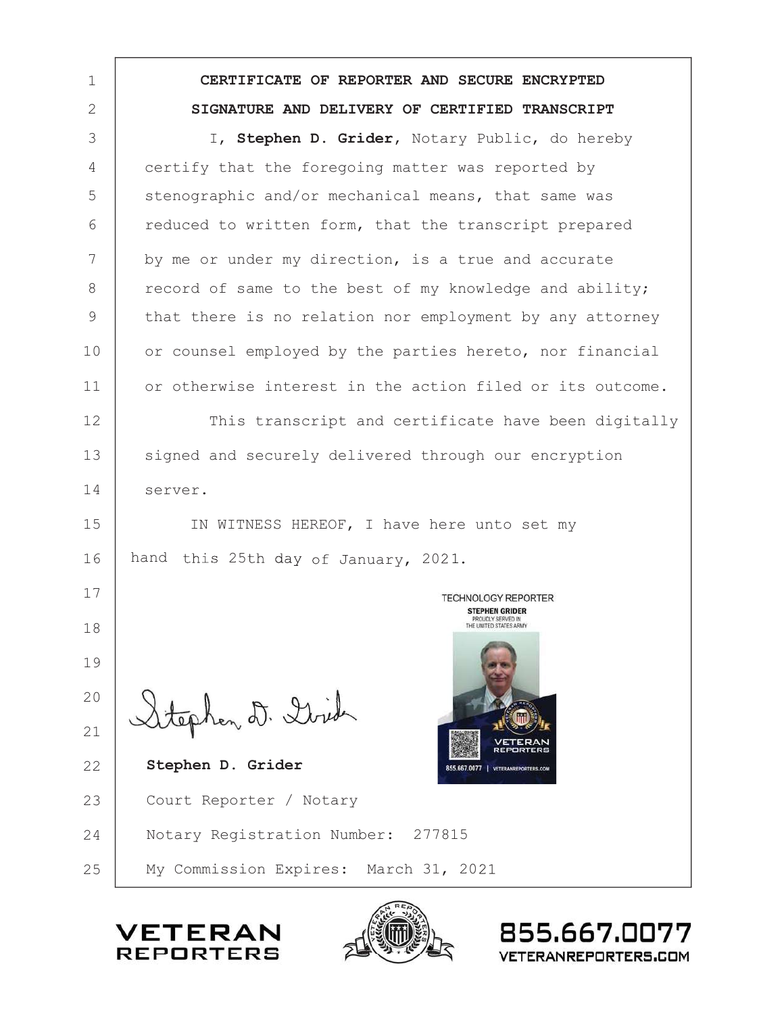1 **CERTIFICATE OF REPORTER AND SECURE ENCRYPTED** 2 **SIGNATURE AND DELIVERY OF CERTIFIED TRANSCRIPT** I, **Stephen D. Grider**, Notary Public, do hereby 3 4 certify that the foregoing matter was reported by 5 stenographic and/or mechanical means, that same was reduced to written form, that the transcript prepared 6 7 by me or under my direction, is a true and accurate record of same to the best of my knowledge and ability; 8 9 that there is no relation nor employment by any attorney 10 or counsel employed by the parties hereto, nor financial or otherwise interest in the action filed or its outcome. 11 12 This transcript and certificate have been digitally 13 signed and securely delivered through our encryption 14 server. 15 IN WITNESS HEREOF, I have here unto set my 16 hand this 25th day of January, 2021 17 **TECHNOLOGY REPORTER STEPHEN GRIDER** PROUDLY SERVED IN 18 19 20 ephen D. Dirida 21  **Stephen D. Grider** 22 23 Court Reporter / Notary Notary Registration Number: 277815 24

25 My Commission Expires: March 31, 2021

ETERA **REPORTERS** 



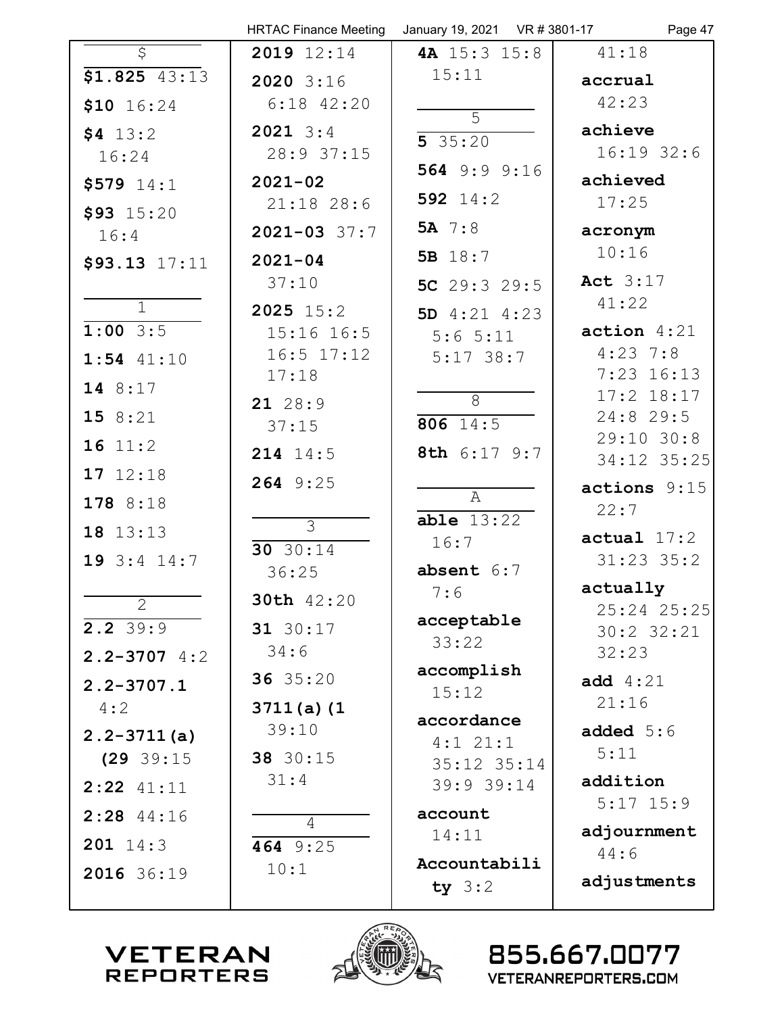|                          | <b>HRTAC Finance Meeting</b> | January 19, 2021 VR # 3801-17 | Page 47                    |
|--------------------------|------------------------------|-------------------------------|----------------------------|
| $\overline{\mathcal{S}}$ | 2019 12:14                   | 4A 15:3 15:8                  | 41:18                      |
| $51.825$ 43:13           | 2020 3:16                    | 15:11                         | accrual                    |
| \$10 $16:24$             | $6:18$ $42:20$               | $\overline{5}$                | 42:23                      |
| \$4 13:2                 | $2021 \t3:4$                 | 535:20                        | achieve                    |
| 16:24                    | 28:9 37:15                   |                               | $16:19$ 32:6               |
| $$579$ $14:1$            | $2021 - 02$                  | 564 9:9 9:16                  | achieved                   |
| $$93$ 15:20              | $21:18$ 28:6                 | 592 $14:2$                    | 17:25                      |
| 16:4                     | $2021 - 03$ 37:7             | 5A 7:8                        | acronym                    |
| \$93.13 17:11            | $2021 - 04$                  | 5B 18:7                       | 10:16                      |
|                          | 37:10                        | 5C $29:3$ 29:5                | Act 3:17                   |
| $\overline{1}$           | $2025$ $15:2$                | 5D $4:21$ $4:23$              | 41:22                      |
| $1:00$ 3:5               | $15:16$ $16:5$               | 5:65:11                       | action $4:21$              |
| $1:54$ $41:10$           | $16:5$ $17:12$<br>17:18      | $5:17$ 38:7                   | $4:23$ 7:8<br>$7:23$ 16:13 |
| 14 8:17                  |                              | 8                             | $17:2$ $18:17$             |
| 15 8:21                  | 21 28:9<br>37:15             | $806 \t14:5$                  | $24:8$ 29:5                |
| 16 11:2                  | 214 14:5                     | 8th 6:17 9:7                  | 29:10 30:8<br>34:12 35:25  |
| 17 12:18                 | 264 9:25                     |                               | actions 9:15               |
| 178 8:18                 |                              | $\mathbb{A}$                  | 22:7                       |
| 18 13:13                 | $\overline{\mathcal{E}}$     | able 13:22                    | actual 17:2                |
| 19 $3:4$ 14:7            | 30 $30:14$                   | 16:7                          | $31:23$ $35:2$             |
|                          | 36:25                        | absent $6:7$                  | actually                   |
| 2                        | 30th 42:20                   | 7:6                           | 25:24 25:25                |
| $2.2 \overline{39:9}$    | 31 30:17                     | acceptable                    | 30:2 32:21                 |
| $2.2 - 3707$ 4:2         | 34:6                         | 33:22                         | 32:23                      |
| $2.2 - 3707.1$           | 36 35:20                     | accomplish<br>15:12           | <b>add</b> $4:21$          |
| 4:2                      | $3711(a)$ (1                 |                               | 21:16                      |
| $2.2 - 3711(a)$          | 39:10                        | accordance<br>$4:1$ $21:1$    | added $5:6$                |
| (29 39:15                | 38 30:15                     | 35:12 35:14                   | 5:11                       |
| $2:22$ 41:11             | 31:4                         | 39:9 39:14                    | addition                   |
| $2:28$ 44:16             | 4                            | account                       | $5:17$ 15:9                |
| $201 \t14:3$             | 464 $9:25$                   | 14:11                         | adjournment                |
| 2016 36:19               | 10:1                         | Accountabili                  | 44:6                       |
|                          |                              | ty $3:2$                      | adjustments                |
|                          |                              |                               |                            |



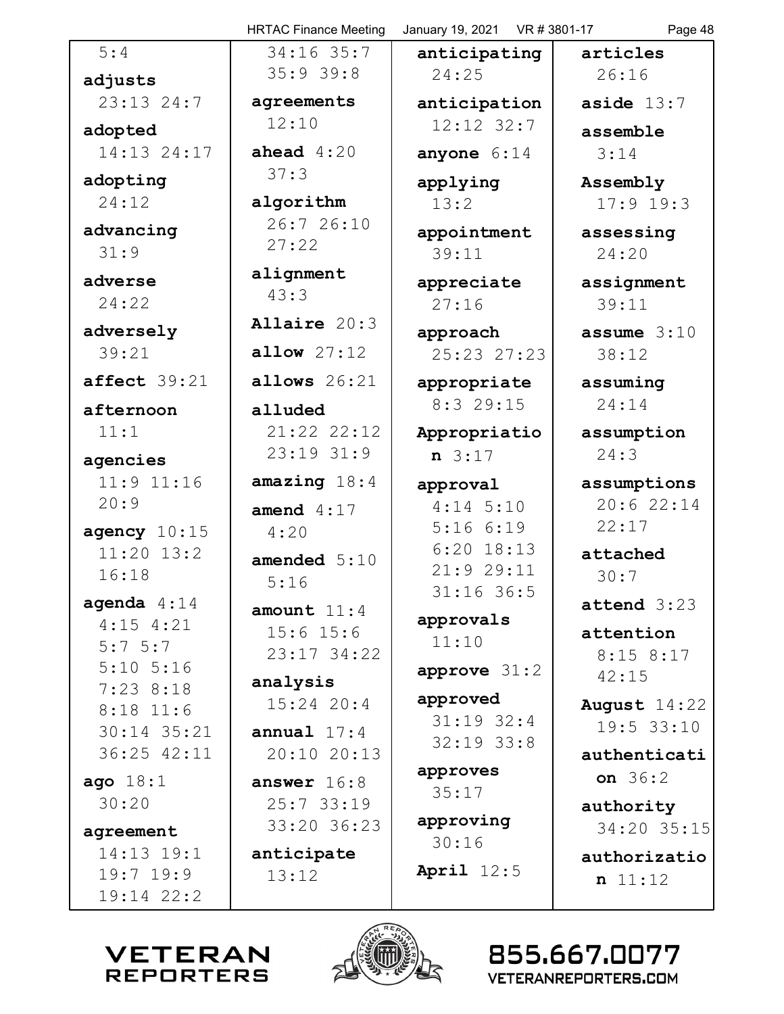|                              | <b>HRTAC Finance Meeting</b> | January 19, 2021  VR # 3801-17 | Page 48        |
|------------------------------|------------------------------|--------------------------------|----------------|
| 5:4                          | 34:16 35:7                   | anticipating                   | articles       |
| adjusts                      | 35:939:8                     | 24:25                          | 26:16          |
| 23:13 24:7                   | agreements                   | anticipation                   | aside $13:7$   |
| adopted                      | 12:10                        | 12:12 32:7                     | assemble       |
| 14:13 24:17                  | ahead $4:20$                 | anyone $6:14$                  | 3:14           |
| adopting                     | 37:3                         | applying                       | Assembly       |
| 24:12                        | algorithm                    | 13:2                           | $17:9$ 19:3    |
| advancing                    | 26:7 26:10                   | appointment                    | assessing      |
| 31:9                         | 27:22                        | 39:11                          | 24:20          |
| adverse                      | alignment                    | appreciate                     | assignment     |
| 24:22                        | 43:3                         | 27:16                          | 39:11          |
| adversely                    | Allaire 20:3                 | approach                       | assume $3:10$  |
| 39:21                        | allow 27:12                  | 25:23 27:23                    | 38:12          |
| affect 39:21                 | allows $26:21$               | appropriate                    | assuming       |
| afternoon                    | alluded                      | $8:3$ 29:15                    | 24:14          |
| 11:1                         | 21:22 22:12                  | Appropriatio                   | assumption     |
| agencies                     | $23:19$ $31:9$               | $n \; 3:17$                    | 24:3           |
| $11:9$ $11:16$               | amazing $18:4$               | approval                       | assumptions    |
| 20:9                         | amend $4:17$                 | $4:14$ 5:10                    | 20:6 22:14     |
| agency $10:15$               | 4:20                         | 5:166:19                       | 22:17          |
| $11:20$ $13:2$               | amended $5:10$               | $6:20$ 18:13                   | attached       |
| 16:18                        | 5:16                         | 21:9 29:11<br>31:16 36:5       | 30:7           |
| agenda $4:14$                | amount $11:4$                |                                | $attend$ 3:23  |
| $4:15$ $4:21$                | $15:6$ $15:6$                | approvals<br>11:10             | attention      |
| $5:7 \ 5:7$<br>$5:10$ $5:16$ | 23:17 34:22                  |                                | $8:15$ 8:17    |
| $7:23$ 8:18                  | analysis                     | approve $31:2$                 | 42:15          |
| $8:18$ 11:6                  | $15:24$ 20:4                 | approved                       | August $14:22$ |
| $30:14$ 35:21                | annual $17:4$                | $31:19$ 32:4<br>$32:19$ $33:8$ | 19:5 33:10     |
| 36:25 42:11                  | 20:10 20:13                  |                                | authenticati   |
| ago $18:1$                   | answer $16:8$                | approves<br>35:17              | on $36:2$      |
| 30:20                        | 25:733:19                    |                                | authority      |
| agreement                    | 33:20 36:23                  | approving<br>30:16             | 34:20 35:15    |
| 14:13 19:1                   | anticipate                   |                                | authorizatio   |
| $19:7$ 19:9                  | 13:12                        | April $12:5$                   | n 11:12        |
| 19:14 22:2                   |                              |                                |                |
|                              |                              |                                |                |



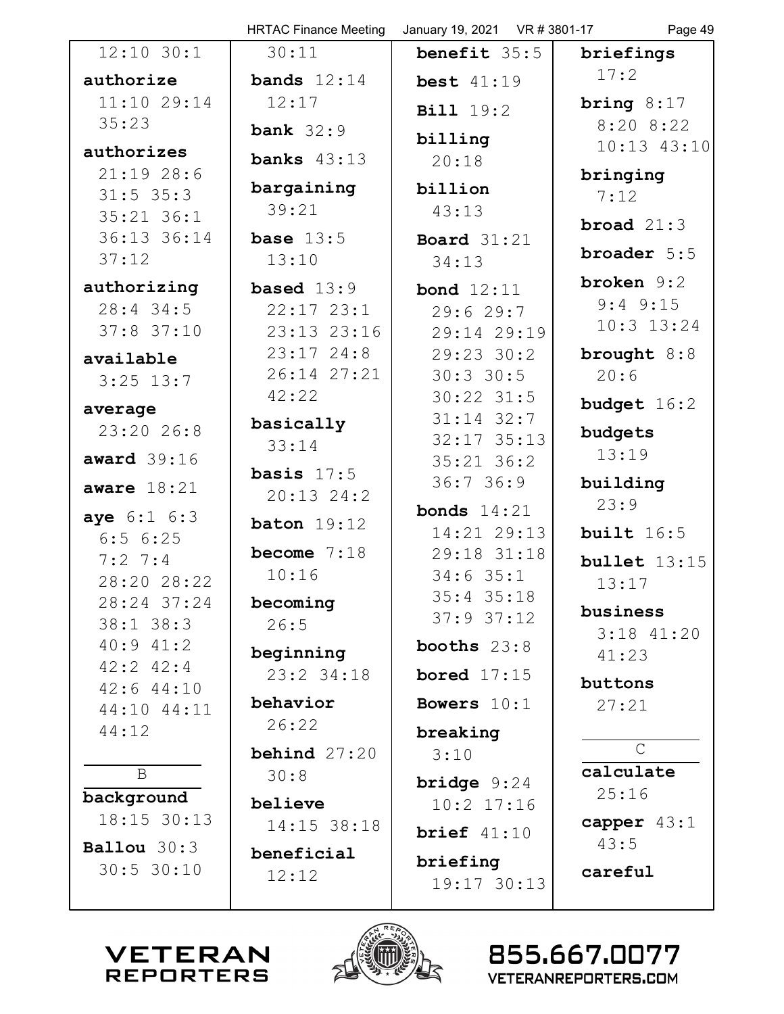|                               | <b>HRTAC Finance Meeting</b>   | January 19, 2021 VR # 3801-17          | Page 49         |
|-------------------------------|--------------------------------|----------------------------------------|-----------------|
| $12:10$ $30:1$                | 30:11                          | benefit 35:5                           | briefings       |
| authorize                     | bands $12:14$                  | best $41:19$                           | 17:2            |
| 11:1029:14                    | 12:17                          | <b>Bill</b> 19:2                       | bring $8:17$    |
| 35:23                         | <b>bank</b> $32:9$             | billing                                | $8:20$ $8:22$   |
| authorizes                    | banks $43:13$                  | 20:18                                  | $10:13$ $43:10$ |
| 21:1928:6                     | bargaining                     | billion                                | bringing        |
| $31:5$ 35:3<br>$35:21$ $36:1$ | 39:21                          | 43:13                                  | 7:12            |
| 36:13 36:14                   | base $13:5$                    | Board $31:21$                          | broad $21:3$    |
| 37:12                         | 13:10                          | 34:13                                  | broader 5:5     |
| authorizing                   | <b>based</b> $13:9$            | bond $12:11$                           | broken $9:2$    |
| $28:4$ 34:5                   | $22:17$ $23:1$                 | 29:629:7                               | $9:4$ $9:15$    |
| $37:8$ 37:10                  | $23:13$ $23:16$                | 29:14 29:19                            | $10:3$ $13:24$  |
| available                     | $23:17$ $24:8$                 | 29:23 30:2                             | brought 8:8     |
| $3:25$ 13:7                   | 26:14 27:21<br>42:22           | $30:3$ 30:5                            | 20:6            |
| average                       |                                | $30:22$ $31:5$<br>$31:14$ $32:7$       | budget $16:2$   |
| 23:20 26:8                    | basically<br>33:14             | $32:17$ 35:13                          | budgets         |
| award $39:16$                 |                                | $35:21$ $36:2$                         | 13:19           |
| aware $18:21$                 | basis $17:5$<br>$20:13$ $24:2$ | 36:736:9                               | building        |
| aye 6:1 6:3                   | baton $19:12$                  | <b>bonds</b> $14:21$                   | 23:9            |
| 6:56:25                       |                                | 14:21 29:13                            | built $16:5$    |
| $7:2 \ 7:4$                   | become $7:18$<br>10:16         | 29:18 31:18<br>$34:6$ 35:1             | bullet $13:15$  |
| 28:20 28:22                   |                                | $35:4$ $35:18$                         | 13:17           |
| 28:24 37:24<br>$38:1$ $38:3$  | becoming<br>26:5               | $37:9$ $37:12$                         | business        |
| $40:9$ $41:2$                 |                                | booths $23:8$                          | $3:18$ $41:20$  |
| $42:2$ $42:4$                 | beginning<br>23:2 34:18        | bored $17:15$                          | 41:23           |
| $42:6$ $44:10$                |                                |                                        | buttons         |
| 44:10 44:11                   | behavior<br>26:22              | Bowers $10:1$                          | 27:21           |
| 44:12                         | behind $27:20$                 | breaking                               | $\mathcal{C}$   |
| $\mathbf B$                   | 30:8                           | 3:10                                   | calculate       |
| background                    | believe                        | <b>bridge</b> $9:24$<br>$10:2$ $17:16$ | 25:16           |
| 18:15 30:13                   | 14:15 38:18                    |                                        | capper $43:1$   |
| Ballou $30:3$                 | beneficial                     | brief $41:10$                          | 43:5            |
| 30:5 30:10                    | 12:12                          | briefing                               | careful         |
|                               |                                | 19:17 30:13                            |                 |



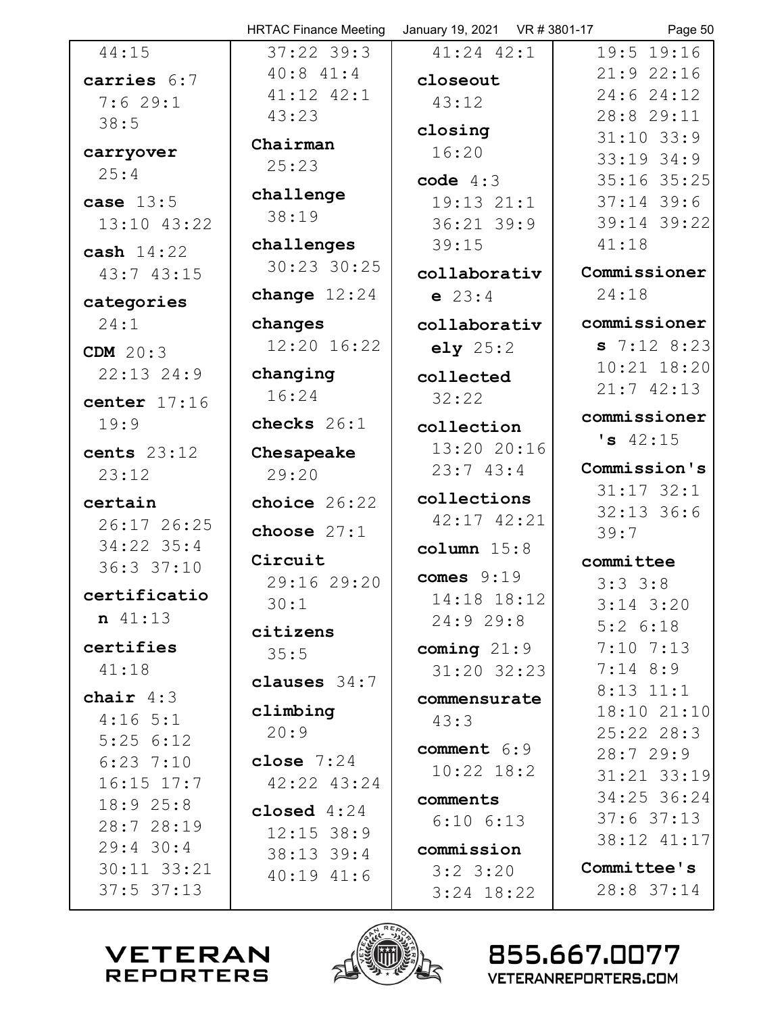|                   | <b>HRTAC Finance Meeting</b> | January 19, 2021  VR # 3801-17 | Page 50                 |
|-------------------|------------------------------|--------------------------------|-------------------------|
| 44:15             | $37:22$ 39:3                 | $41:24$ $42:1$                 | $19:5$ 19:16            |
| carries 6:7       | 40:841:4                     | closeout                       | 21:922:16               |
| 7:629:1           | $41:12$ $42:1$               | 43:12                          | 24:624:12               |
| 38:5              | 43:23                        |                                | 28:8 29:11              |
|                   | Chairman                     | closing                        | $31:10$ 33:9            |
| carryover<br>25:4 | 25:23                        | 16:20                          | $33:19$ $34:9$          |
|                   | challenge                    | code $4:3$                     | 35:16 35:25             |
| case $13:5$       | 38:19                        | $19:13$ $21:1$                 | $37:14$ 39:6            |
| 13:10 43:22       |                              | $36:21$ 39:9                   | 39:14 39:22             |
| cash $14:22$      | challenges                   | 39:15                          | 41:18                   |
| 43:743:15         | 30:23 30:25                  | collaborativ                   | Commissioner            |
| categories        | change $12:24$               | $e$ 23:4                       | 24:18                   |
| 24:1              | changes                      | collaborativ                   | commissioner            |
| <b>CDM</b> 20:3   | $12:20$ $16:22$              | ely $25:2$                     | 57:128:23               |
| $22:13$ $24:9$    | changing                     | collected                      | $10:21$ $18:20$         |
| center $17:16$    | 16:24                        | 32:22                          | 21:742:13               |
| 19:9              | checks $26:1$                | collection                     | commissioner            |
| cents $23:12$     | Chesapeake                   | 13:20 20:16                    | 's 42:15                |
| 23:12             | 29:20                        | 23:743:4                       | Commission's            |
| certain           | choice $26:22$               | collections                    | $31:17$ $32:1$          |
| 26:17 26:25       |                              | 42:17 42:21                    | $32:13$ 36:6            |
| $34:22$ 35:4      | choose $27:1$                | column $15:8$                  | 39:7                    |
| 36:337:10         | Circuit                      |                                | committee               |
| certificatio      | 29:16 29:20                  | comes $9:19$                   | 3:33:8                  |
| $n \ 41:13$       | 30:1                         | 14:18 18:12                    | $3:14$ $3:20$           |
|                   | citizens                     | 24:929:8                       | $5:2$ $6:18$            |
| certifies         | 35:5                         | coming $21:9$                  | $7:10$ $7:13$           |
| 41:18             | clauses 34:7                 | $31:20$ $32:23$                | $7:14$ 8:9              |
| chair $4:3$       |                              | commensurate                   | $8:13$ $11:1$           |
| $4:16$ 5:1        | climbing                     | 43:3                           | 18:10 21:10             |
| 5:256:12          | 20:9                         | comment 6:9                    | $25:22$ 28:3            |
| $6:23$ 7:10       | close $7:24$                 | $10:22$ $18:2$                 | 28:729:9<br>31:21 33:19 |
| $16:15$ $17:7$    | 42:22 43:24                  |                                | 34:25 36:24             |
| 18:925:8          | closed $4:24$                | comments<br>$6:10$ $6:13$      | $37:6$ 37:13            |
| 28:7 28:19        | $12:15$ 38:9                 |                                | 38:12 41:17             |
| $29:4$ 30:4       | 38:13 39:4                   | commission                     |                         |
| 30:11 33:21       | $40:19$ $41:6$               | $3:2$ 3:20                     | Committee's             |
| $37:5$ $37:13$    |                              | $3:24$ 18:22                   | 28:8 37:14              |



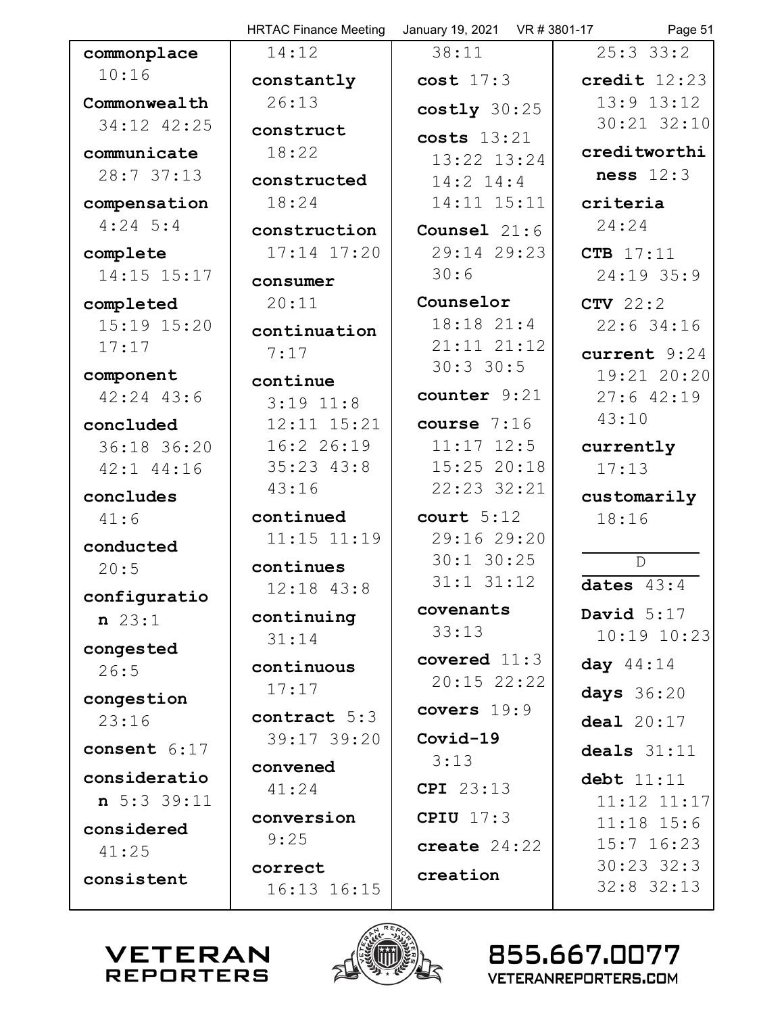|                     | <b>HRTAC Finance Meeting</b> | January 19, 2021 VR # 3801-17 | Page 51                       |
|---------------------|------------------------------|-------------------------------|-------------------------------|
| commonplace         | 14:12                        | 38:11                         | $25:3$ 33:2                   |
| 10:16               | constantly                   | $cost$ 17:3                   | credit $12:23$                |
| Commonwealth        | 26:13                        | $costly$ 30:25                | $13:9$ $13:12$                |
| 34:12 42:25         | construct                    | costs 13:21                   | 30:21 32:10                   |
| communicate         | 18:22                        | 13:22 13:24                   | creditworthi                  |
| 28:7 37:13          | constructed                  | $14:2$ $14:4$                 | ness $12:3$                   |
| compensation        | 18:24                        | 14:11 15:11                   | criteria                      |
| $4:24$ 5:4          | construction                 | Counsel $21:6$                | 24:24                         |
| complete            | $17:14$ $17:20$              | 29:14 29:23                   | CTB 17:11                     |
| 14:15 15:17         | consumer                     | 30:6                          | 24:19 35:9                    |
| completed           | 20:11                        | Counselor                     | $CTV$ 22:2                    |
| $15:19$ $15:20$     | continuation                 | $18:18$ $21:4$                | $22:6$ 34:16                  |
| 17:17               | 7:17                         | $21:11$ $21:12$               | current 9:24                  |
| component           | continue                     | $30:3$ 30:5                   | 19:21 20:20                   |
| $42:24$ $43:6$      | $3:19$ $11:8$                | counter 9:21                  | $27:6$ 42:19                  |
| concluded           | 12:11 15:21                  | course $7:16$                 | 43:10                         |
| 36:18 36:20         | 16:2 26:19                   | $11:17$ $12:5$                | currently                     |
| 42:1 44:16          | $35:23$ $43:8$               | 15:25 20:18                   | 17:13                         |
| concludes           | 43:16                        | 22:23 32:21                   | customarily                   |
| 41:6                | continued                    | court $5:12$                  | 18:16                         |
| conducted           | $11:15$ $11:19$              | 29:16 29:20                   |                               |
| 20:5                | continues                    | $30:1$ $30:25$                | $\mathbb{D}$                  |
| configuratio        | $12:18$ $43:8$               | $31:1$ $31:12$                | dates $43:4$                  |
| $n \ 23:1$          | continuing                   | covenants                     | David $5:17$                  |
| congested           | 31:14                        | 33:13                         | $10:19$ $10:23$               |
| 26:5                | continuous                   | covered $11:3$                | day $44:14$                   |
| congestion          | 17:17                        | $20:15$ $22:22$               | days 36:20                    |
| 23:16               | contract 5:3                 | covers 19:9                   | deal $20:17$                  |
| consent 6:17        | 39:17 39:20                  | Covid-19                      | deals $31:11$                 |
| consideratio        | convened                     | 3:13                          |                               |
| n 5:3 39:11         | 41:24                        | CPI 23:13                     | debt 11:11<br>$11:12$ $11:17$ |
|                     | conversion                   | CPIU $17:3$                   | $11:18$ 15:6                  |
| considered<br>41:25 | 9:25                         | create $24:22$                | $15:7$ $16:23$                |
|                     | correct                      | creation                      | $30:23$ 32:3                  |
| consistent          | 16:13 16:15                  |                               | $32:8$ 32:13                  |
|                     |                              |                               |                               |



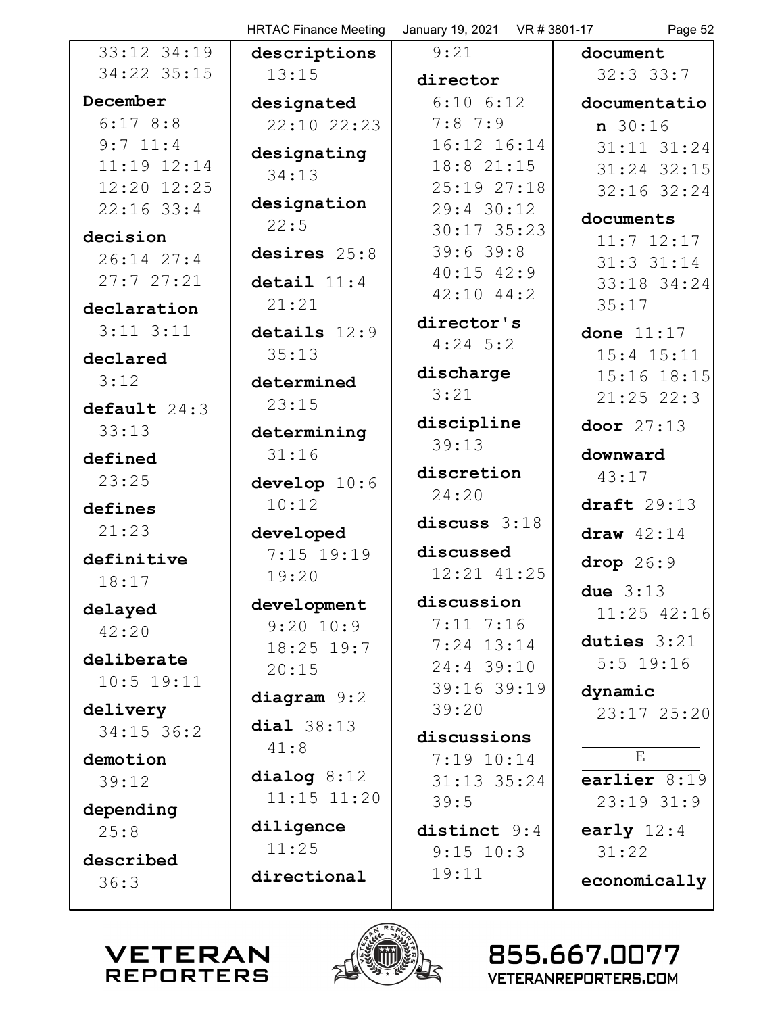|                 | <b>HRTAC Finance Meeting</b> | January 19, 2021 VR # 3801-17 | Page 52            |
|-----------------|------------------------------|-------------------------------|--------------------|
| 33:12 34:19     | descriptions                 | 9:21                          | document           |
| 34:22 35:15     | 13:15                        | director                      | $32:3$ $33:7$      |
| December        | designated                   | $6:10$ $6:12$                 | documentatio       |
| 6:178:8         | $22:10$ $22:23$              | $7:8$ 7:9                     | $n \ 30:16$        |
| $9:7$ 11:4      | designating                  | 16:12 16:14                   | 31:11 31:24        |
| $11:19$ $12:14$ | 34:13                        | 18:8 21:15                    | 31:24 32:15        |
| 12:20 12:25     |                              | 25:19 27:18                   | 32:16 32:24        |
| $22:16$ 33:4    | designation<br>22:5          | $29:4$ 30:12                  | documents          |
| decision        |                              | $30:17$ 35:23                 | $11:7$ $12:17$     |
| $26:14$ $27:4$  | desires 25:8                 | $39:6$ 39:8                   | $31:3$ $31:14$     |
| 27:727:21       | detail $11:4$                | $40:15$ $42:9$                | 33:18 34:24        |
| declaration     | 21:21                        | $42:10$ $44:2$                | 35:17              |
| $3:11$ $3:11$   | details $12:9$               | director's                    | done $11:17$       |
| declared        | 35:13                        | $4:24$ 5:2                    | $15:4$ $15:11$     |
| 3:12            |                              | discharge                     | 15:16 18:15        |
|                 | determined                   | 3:21                          | $21:25$ 22:3       |
| default 24:3    | 23:15                        | discipline                    | door $27:13$       |
| 33:13           | determining                  | 39:13                         |                    |
| defined         | 31:16                        |                               | downward           |
| 23:25           | develop $10:6$               | discretion                    | 43:17              |
| defines         | 10:12                        | 24:20                         | draft $29:13$      |
| 21:23           | developed                    | discuss 3:18                  | draw $42:14$       |
| definitive      | 7:15 19:19                   | discussed                     |                    |
| 18:17           | 19:20                        | 12:21 41:25                   | drop 26:9          |
|                 | development                  | discussion                    | due $3:13$         |
| delayed         | $9:20$ 10:9                  | $7:11$ $7:16$                 | $11:25$ $42:16$    |
| 42:20           | $18:25$ 19:7                 | $7:24$ 13:14                  | duties $3:21$      |
| deliberate      | 20:15                        | 24:4 39:10                    | $5:5$ 19:16        |
| $10:5$ 19:11    |                              | 39:16 39:19                   | dynamic            |
| delivery        | diagram $9:2$                | 39:20                         | 23:17 25:20        |
| $34:15$ 36:2    | dia1 38:13                   | discussions                   |                    |
| demotion        | 41:8                         | $7:19$ $10:14$                | $\mathbf{E}% _{0}$ |
| 39:12           | dialog $8:12$                | $31:13$ $35:24$               | earlier 8:19       |
|                 | $11:15$ $11:20$              | 39:5                          | $23:19$ $31:9$     |
| depending       | diligence                    |                               |                    |
| 25:8            | 11:25                        | distinct 9:4                  | early $12:4$       |
| described       |                              | $9:15$ 10:3                   | 31:22              |
| 36:3            | directional                  | 19:11                         | economically       |
|                 |                              |                               |                    |



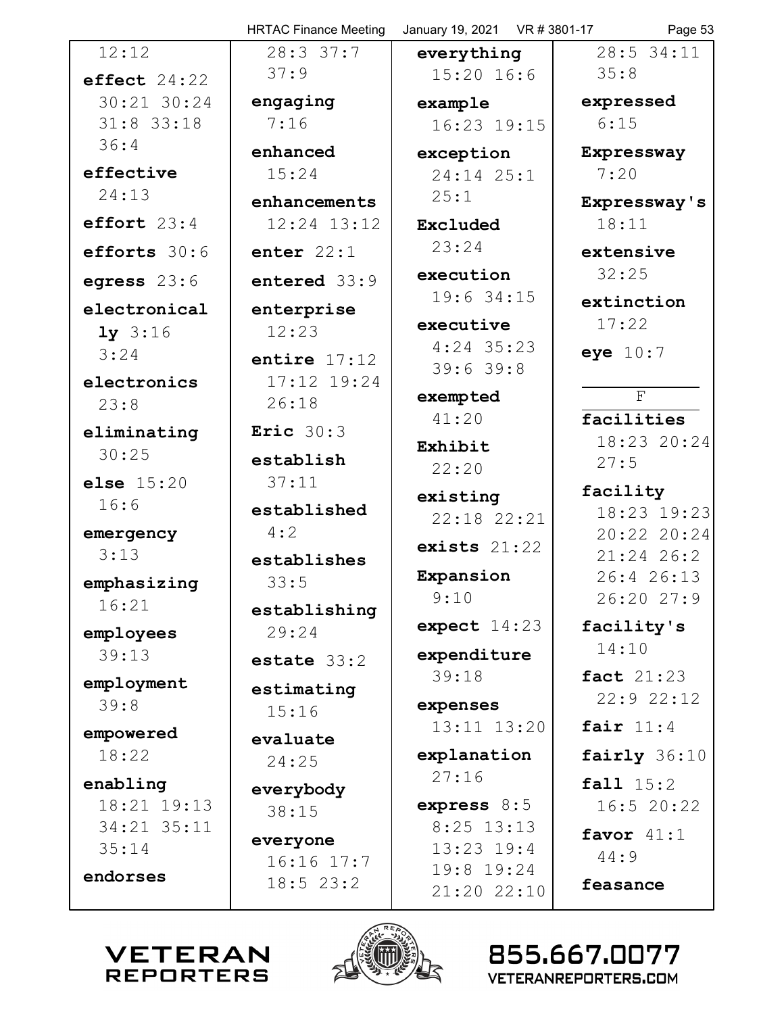|                            | <b>HRTAC Finance Meeting</b> | January 19, 2021 VR # 3801-17 | Page 53                    |
|----------------------------|------------------------------|-------------------------------|----------------------------|
| 12:12                      | 28:337:7                     | everything                    | 28:5 34:11                 |
| effect $24:22$             | 37:9                         | $15:20$ 16:6                  | 35:8                       |
| 30:21 30:24                | engaging                     | example                       | expressed                  |
| $31:8$ 33:18               | 7:16                         | 16:23 19:15                   | 6:15                       |
| 36:4                       | enhanced                     | exception                     | Expressway                 |
| effective                  | 15:24                        | $24:14$ $25:1$                | 7:20                       |
| 24:13                      | enhancements                 | 25:1                          | Expressway's               |
| effort $23:4$              | $12:24$ $13:12$              | Excluded                      | 18:11                      |
| efforts 30:6               | enter $22:1$                 | 23:24                         | extensive                  |
| egress $23:6$              | entered 33:9                 | execution                     | 32:25                      |
| electronical               | enterprise                   | 19:6 34:15                    | extinction                 |
| $1y$ 3:16                  | 12:23                        | executive                     | 17:22                      |
| 3:24                       | entire $17:12$               | $4:24$ 35:23                  | eye $10:7$                 |
| electronics                | 17:12 19:24                  | 39:639:8                      |                            |
| 23:8                       | 26:18                        | exempted                      | F                          |
| eliminating                | Eric $30:3$                  | 41:20                         | facilities                 |
| 30:25                      | establish                    | Exhibit                       | 18:23 20:24<br>27:5        |
| <b>else</b> $15:20$        | 37:11                        | 22:20                         |                            |
| 16:6                       | established                  | existing                      | facility                   |
| emergency                  | 4:2                          | $22:18$ $22:21$               | 18:23 19:23<br>20:22 20:24 |
| 3:13                       | establishes                  | exists $21:22$                | $21:24$ 26:2               |
| emphasizing                | 33:5                         | Expansion                     | 26:4 26:13                 |
| 16:21                      |                              | 9:10                          | 26:20 27:9                 |
|                            | establishing<br>29:24        | expect $14:23$                | facility's                 |
| employees<br>39:13         |                              | expenditure                   | 14:10                      |
|                            | estate $33:2$                | 39:18                         | <b>fact</b> 21:23          |
| employment<br>39:8         | estimating                   | expenses                      | 22:922:12                  |
|                            | 15:16                        | $13:11$ $13:20$               | fair $11:4$                |
| empowered                  | evaluate                     |                               |                            |
| 18:22                      | 24:25                        | explanation<br>27:16          | fairly 36:10               |
| enabling                   | everybody                    |                               | fall 15:2                  |
| 18:21 19:13<br>34:21 35:11 | 38:15                        | express $8:5$<br>$8:25$ 13:13 | 16:520:22                  |
| 35:14                      | everyone                     | $13:23$ $19:4$                | favor $41:1$               |
|                            | $16:16$ $17:7$               | 19:8 19:24                    | 44:9                       |
| endorses                   | $18:5$ 23:2                  | 21:20 22:10                   | feasance                   |
|                            | A REA                        |                               |                            |



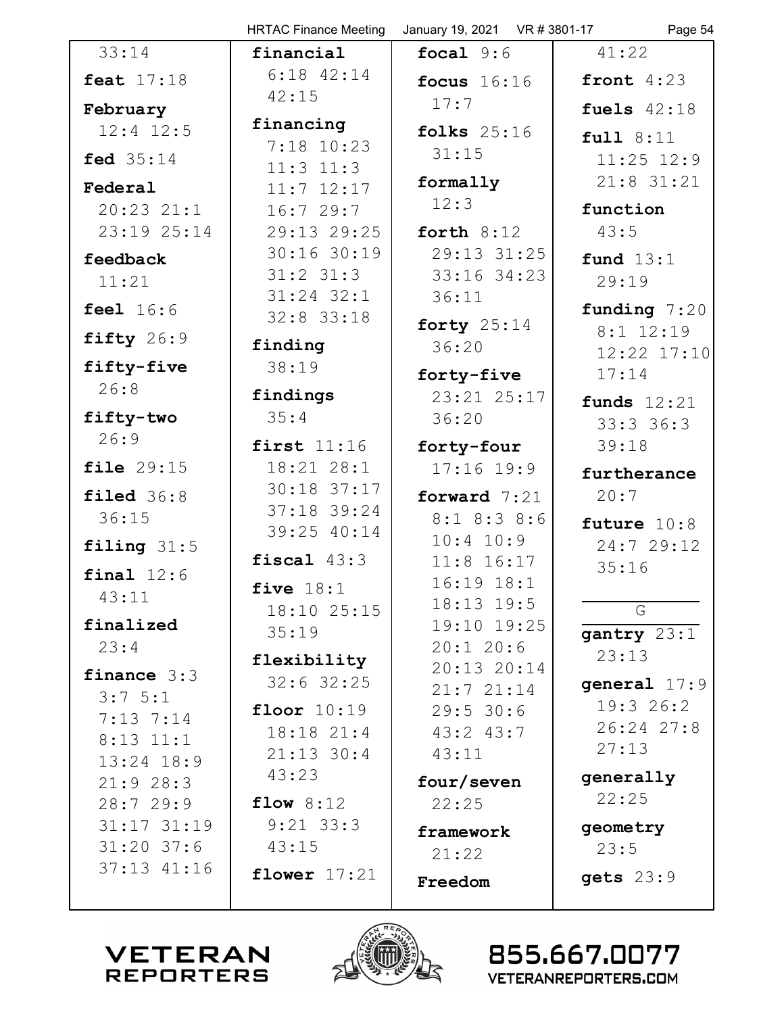|                                | <b>HRTAC Finance Meeting</b>   | January 19, 2021  VR # 3801-17 | Page 54                      |
|--------------------------------|--------------------------------|--------------------------------|------------------------------|
| 33:14                          | financial                      | focal $9:6$                    | 41:22                        |
| <b>feat</b> 17:18              | $6:18$ $42:14$                 | focus $16:16$                  | front $4:23$                 |
| February                       | 42:15                          | 17:7                           | fuels $42:18$                |
| $12:4$ $12:5$                  | financing                      | folks $25:16$                  | full 8:11                    |
| <b>fed</b> 35:14               | 7:18 10:23                     | 31:15                          | $11:25$ $12:9$               |
| Federal                        | $11:3$ $11:3$                  | formally                       | $21:8$ 31:21                 |
| $20:23$ $21:1$                 | $11:7$ $12:17$<br>16:729:7     | 12:3                           | function                     |
| 23:19 25:14                    | 29:13 29:25                    | forth $8:12$                   | 43:5                         |
|                                | 30:16 30:19                    | 29:13 31:25                    |                              |
| feedback<br>11:21              | $31:2$ $31:3$                  | 33:16 34:23                    | fund $13:1$<br>29:19         |
|                                | $31:24$ $32:1$                 | 36:11                          |                              |
| <b>feel</b> 16:6               | $32:8$ 33:18                   | forty $25:14$                  | funding $7:20$               |
| fifty 26:9                     | finding                        | 36:20                          | $8:1$ 12:19                  |
| fifty-five                     | 38:19                          | forty-five                     | 12:22 17:10<br>17:14         |
| 26:8                           | findings                       | 23:21 25:17                    |                              |
| fifty-two                      | 35:4                           | 36:20                          | funds $12:21$<br>$33:3$ 36:3 |
| 26:9                           | first $11:16$                  | forty-four                     | 39:18                        |
| file 29:15                     | 18:21 28:1                     | $17:16$ 19:9                   |                              |
|                                | $30:18$ 37:17                  |                                | furtherance                  |
| $\texttt{filed}$ 36:8<br>36:15 | $37:18$ 39:24                  | forward $7:21$                 | 20:7                         |
|                                | 39:25 40:14                    | $8:1$ $8:3$ $8:6$<br>10:4 10:9 | future 10:8                  |
| filing $31:5$                  | fiscal $43:3$                  | $11:8$ 16:17                   | 24:7 29:12                   |
| final $12:6$                   | five $18:1$                    | $16:19$ $18:1$                 | 35:16                        |
| 43:11                          | 18:10 25:15                    | $18:13$ $19:5$                 | G                            |
| finalized                      | 35:19                          | 19:10 19:25                    | gantry 23:1                  |
| 23:4                           |                                | $20:1$ 20:6                    | 23:13                        |
| finance $3:3$                  | flexibility<br>$32:6$ 32:25    | $20:13$ $20:14$                | general $17:9$               |
| $3:7 \; 5:1$                   |                                | 21:721:14                      | 19:326:2                     |
| $7:13$ $7:14$                  | floor $10:19$                  | 29:5 30:6                      | 26:24 27:8                   |
| $8:13$ $11:1$                  | $18:18$ $21:4$<br>$21:13$ 30:4 | $43:2$ $43:7$<br>43:11         | 27:13                        |
| $13:24$ $18:9$                 | 43:23                          |                                | generally                    |
| 21:928:3                       | flow $8:12$                    | four/seven                     | 22:25                        |
| 28:729:9<br>$31:17$ $31:19$    | $9:21$ 33:3                    | 22:25                          |                              |
| $31:20$ 37:6                   | 43:15                          | framework                      | geometry<br>23:5             |
| $37:13$ $41:16$                |                                | 21:22                          |                              |
|                                | flower $17:21$                 | Freedom                        | gets 23:9                    |
|                                |                                |                                |                              |

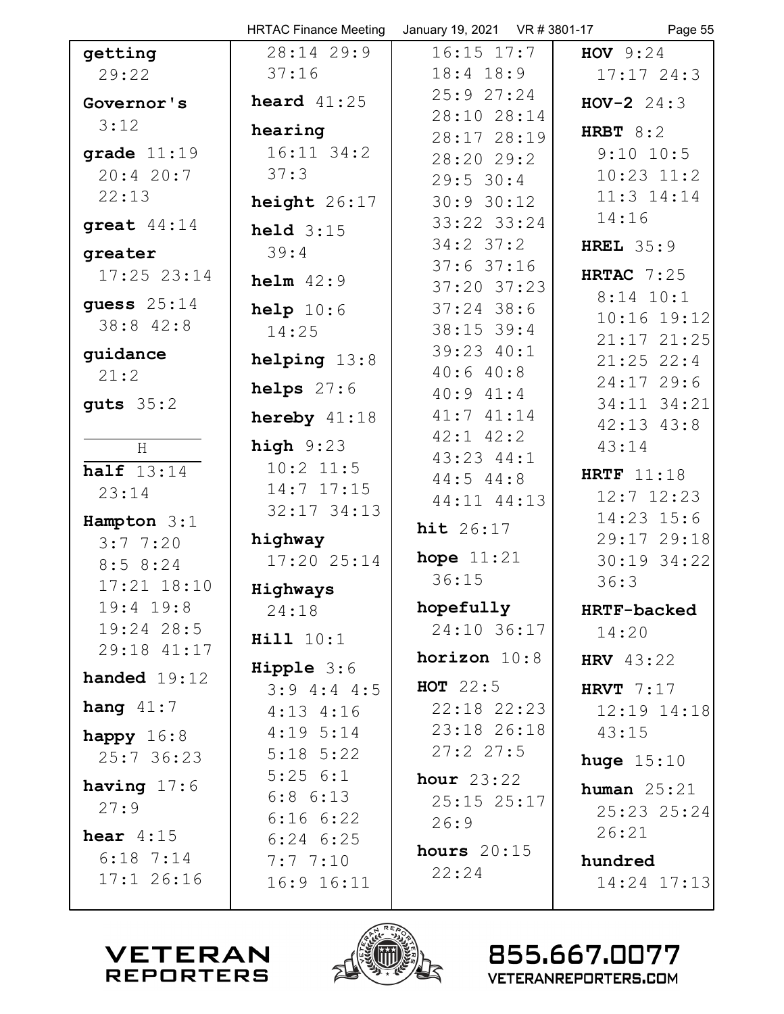|                 | <b>HRTAC Finance Meeting</b>  | January 19, 2021 VR # 3801-17 | Page 55                      |
|-----------------|-------------------------------|-------------------------------|------------------------------|
| getting         | 28:14 29:9                    | $16:15$ $17:7$                | <b>HOV</b> $9:24$            |
| 29:22           | 37:16                         | $18:4$ $18:9$                 | 17:1724:3                    |
| Governor's      | heard $41:25$                 | 25:927:24                     | $HOV-2$ 24:3                 |
| 3:12            | hearing                       | 28:10 28:14                   | HRBT $8:2$                   |
| grade $11:19$   | $16:11$ 34:2                  | 28:17 28:19<br>28:20 29:2     | $9:10$ 10:5                  |
| 20:420:7        | 37:3                          | 29:5 30:4                     | $10:23$ $11:2$               |
| 22:13           | height $26:17$                | 30:930:12                     | 11:3 14:14                   |
| great $44:14$   |                               | 33:22 33:24                   | 14:16                        |
|                 | held $3:15$                   | $34:2$ $37:2$                 | HREL $35:9$                  |
| greater         | 39:4                          | $37:6$ 37:16                  |                              |
| $17:25$ $23:14$ | $helm$ 42:9                   | $37:20$ $37:23$               | HRTAC $7:25$                 |
| guess $25:14$   | help $10:6$                   | $37:24$ 38:6                  | $8:14$ 10:1<br>$10:16$ 19:12 |
| 38:8 42:8       | 14:25                         | $38:15$ 39:4                  | $21:17$ $21:25$              |
| guidance        | helping 13:8                  | 39:23 40:1                    | $21:25$ 22:4                 |
| 21:2            |                               | 40:640:8                      | 24:1729:6                    |
| guts $35:2$     | helps $27:6$                  | 40:941:4                      | 34:11 34:21                  |
|                 | hereby $41:18$                | 41:741:14                     | $42:13$ $43:8$               |
| H               | high $9:23$                   | $42:1$ $42:2$                 | 43:14                        |
| half $13:14$    | $10:2$ 11:5                   | 43:23 44:1<br>$44:5$ $44:8$   | HRTF $11:18$                 |
| 23:14           | $14:7$ $17:15$                | 44:11 44:13                   | $12:7$ $12:23$               |
| Hampton 3:1     | $32:17$ $34:13$               |                               | 14:23 15:6                   |
| 3:77:20         | highway                       | <b>hit</b> 26:17              | 29:17 29:18                  |
| 8:58:24         | 17:2025:14                    | hope $11:21$                  | 30:19 34:22                  |
| $17:21$ $18:10$ | Highways                      | 36:15                         | 36:3                         |
| $19:4$ $19:8$   | 24:18                         | hopefully                     | HRTF-backed                  |
| $19:24$ 28:5    | <b>Hill</b> 10:1              | 24:10 36:17                   | 14:20                        |
| 29:18 41:17     |                               | horizon $10:8$                | <b>HRV</b> 43:22             |
| handed $19:12$  | $Hipple 3:6$<br>$3:9$ 4:4 4:5 | HOT $22:5$                    | HRVT $7:17$                  |
| hang $41:7$     | $4:13$ $4:16$                 | $22:18$ $22:23$               | 12:19 14:18                  |
| happy $16:8$    | $4:19$ 5:14                   | 23:18 26:18                   | 43:15                        |
| 25:736:23       | $5:18$ $5:22$                 | 27:227:5                      |                              |
|                 | 5:256:1                       | hour $23:22$                  | huge $15:10$                 |
| having $17:6$   | $6:8$ $6:13$                  | 25:15 25:17                   | human $25:21$                |
| 27:9            | 6:166:22                      | 26:9                          | 25:23 25:24                  |
| hear $4:15$     | $6:24$ $6:25$                 | hours $20:15$                 | 26:21                        |
| $6:18$ 7:14     | 7:77:10                       | 22:24                         | hundred                      |
| $17:1$ 26:16    | 16:9 16:11                    |                               | 14:24 17:13                  |
|                 |                               |                               |                              |

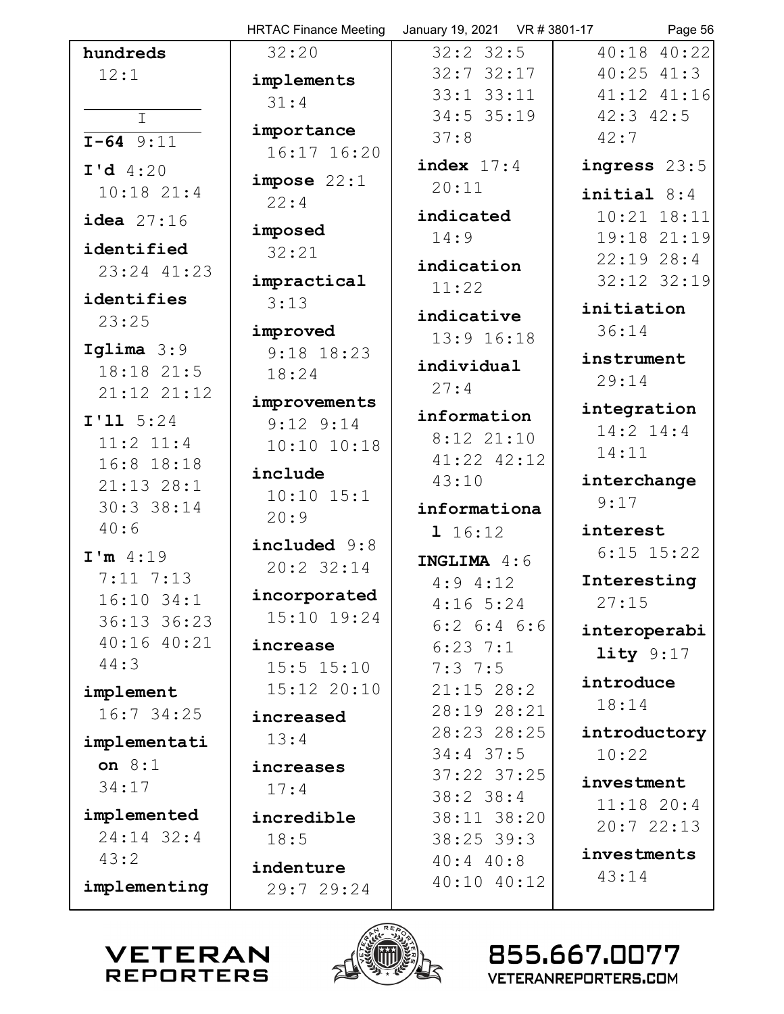|                               | <b>HRTAC Finance Meeting</b> | January 19, 2021  VR # 3801-17 | Page 56         |
|-------------------------------|------------------------------|--------------------------------|-----------------|
| hundreds                      | 32:20                        | $32:2$ 32:5                    | 40:18 40:22     |
| 12:1                          | implements                   | $32:7$ $32:17$                 | $40:25$ $41:3$  |
|                               | 31:4                         | $33:1$ $33:11$                 | $41:12$ $41:16$ |
| $\mathbf I$                   |                              | $34:5$ 35:19                   | $42:3$ $42:5$   |
| $I-64$ 9:11                   | importance                   | 37:8                           | 42:7            |
| $I'd$ 4:20                    | 16:17 16:20                  | index $17:4$                   | ingress 23:5    |
| $10:18$ $21:4$                | impose 22:1                  | 20:11                          |                 |
|                               | 22:4                         |                                | initial $8:4$   |
| idea $27:16$                  | imposed                      | indicated                      | $10:21$ $18:11$ |
| identified                    | 32:21                        | 14:9                           | 19:18 21:19     |
| 23:24 41:23                   |                              | indication                     | $22:19$ $28:4$  |
|                               | impractical                  | 11:22                          | 32:12 32:19     |
| identifies                    | 3:13                         | indicative                     | initiation      |
| 23:25                         | improved                     | 13:9 16:18                     | 36:14           |
| Iglima $3:9$                  | $9:18$ 18:23                 |                                | instrument      |
| 18:18 21:5                    | 18:24                        | individual                     | 29:14           |
| 21:12 21:12                   | improvements                 | 27:4                           |                 |
| I'11 5:24                     | $9:12$ $9:14$                | information                    | integration     |
| $11:2$ $11:4$                 | 10:10 10:18                  | $8:12$ $21:10$                 | 14:2 14:4       |
| 16:8 18:18                    |                              | 41:22 42:12                    | 14:11           |
| $21:13$ $28:1$                | include                      | 43:10                          | interchange     |
| 30:3 38:14                    | $10:10$ $15:1$               | informationa                   | 9:17            |
| 40:6                          | 20:9                         | 1 16:12                        | interest        |
| I'm 4:19                      | included 9:8                 |                                | $6:15$ $15:22$  |
|                               | $20:2$ 32:14                 | INGLIMA 4:6                    |                 |
| $7:11$ $7:13$<br>$16:10$ 34:1 | incorporated                 | $4:9$ $4:12$                   | Interesting     |
| 36:13 36:23                   | $15:10$ $19:24$              | $4:16$ 5:24                    | 27:15           |
| 40:16 40:21                   |                              | $6:2$ $6:4$ $6:6$              | interoperabi    |
| 44:3                          | increase                     | $6:23$ 7:1                     | lity $9:17$     |
|                               | $15:5$ $15:10$               | $7:3$ 7:5                      | introduce       |
| implement                     | $15:12$ $20:10$              | $21:15$ 28:2                   | 18:14           |
| 16:7 34:25                    | increased                    | 28:19 28:21                    |                 |
| implementati                  | 13:4                         | 28:23 28:25                    | introductory    |
| on $8:1$                      | increases                    | $34:4$ 37:5                    | 10:22           |
| 34:17                         | 17:4                         | $37:22$ $37:25$                | investment      |
|                               |                              | $38:2$ 38:4                    | $11:18$ 20:4    |
| implemented<br>24:14 32:4     | incredible                   | 38:11 38:20                    | 20:722:13       |
| 43:2                          | 18:5                         | $38:25$ 39:3                   | investments     |
|                               | indenture                    | $40:4$ $40:8$                  | 43:14           |
| implementing                  | 29:7 29:24                   | 40:10 40:12                    |                 |
|                               |                              |                                |                 |



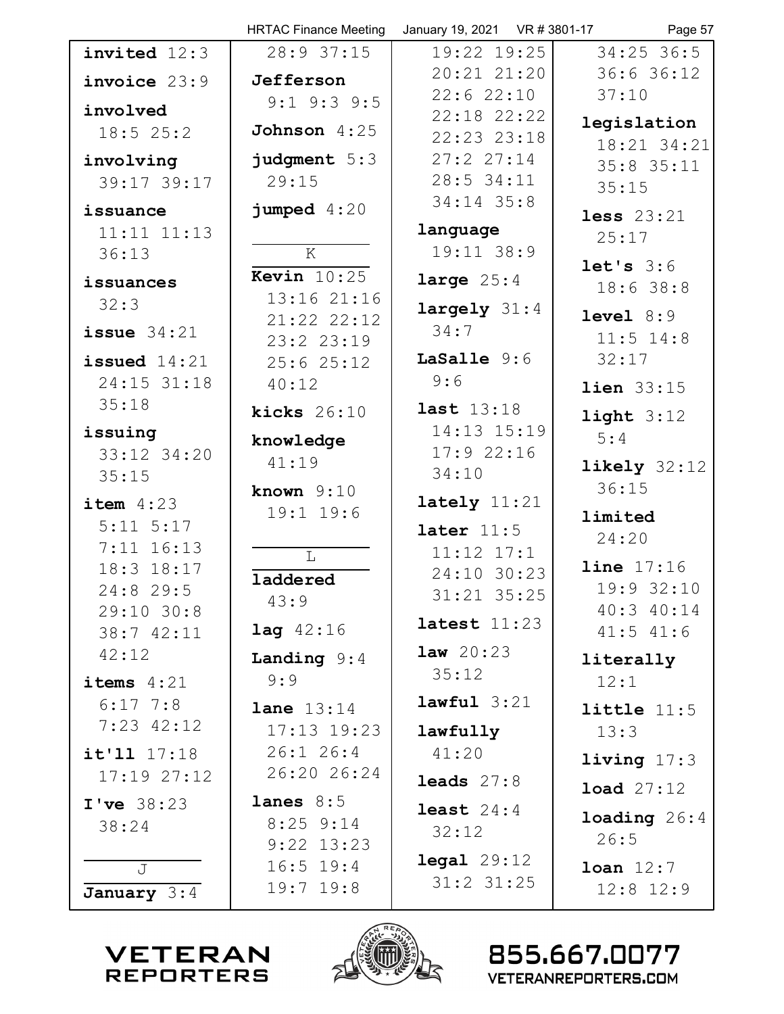|                 | <b>HRTAC Finance Meeting</b>  | January 19, 2021 VR # 3801-17 | Page 57                 |
|-----------------|-------------------------------|-------------------------------|-------------------------|
| invited 12:3    | 28:9 37:15                    | 19:22 19:25                   | $34:25$ 36:5            |
| invoice 23:9    | Jefferson                     | $20:21$ $21:20$               | 36:6 36:12              |
| involved        | $9:1$ $9:3$ $9:5$             | 22:622:10                     | 37:10                   |
| $18:5$ 25:2     | Johnson $4:25$                | $22:18$ $22:22$               | legislation             |
|                 |                               | 22:23 23:18                   | 18:21 34:21             |
| involving       | judgment 5:3                  | 27:227:14                     | $35:8$ 35:11            |
| 39:17 39:17     | 29:15                         | $28:5$ 34:11                  | 35:15                   |
| issuance        | jumped $4:20$                 | $34:14$ 35:8                  | less $23:21$            |
| $11:11$ $11:13$ |                               | language                      | 25:17                   |
| 36:13           | $\overline{\mathbf{K}}$       | 19:11 38:9                    | let's 3:6               |
| issuances       | <b>Kevin</b> $10:25$          | large $25:4$                  | 18:638:8                |
| 32:3            | 13:16 21:16<br>21:22 22:12    | $large 1y$ 31:4               | level 8:9               |
| issue $34:21$   | 23:223:19                     | 34:7                          | $11:5$ $14:8$           |
| issued $14:21$  | 25:625:12                     | LaSalle 9:6                   | 32:17                   |
| 24:15 31:18     | 40:12                         | 9:6                           | <b>lien</b> 33:15       |
| 35:18           | kicks $26:10$                 | <b>last</b> 13:18             | light $3:12$            |
| issuing         | knowledge                     | 14:13 15:19                   | 5:4                     |
| 33:12 34:20     | 41:19                         | 17:922:16                     |                         |
| 35:15           |                               | 34:10                         | likely $32:12$<br>36:15 |
| item $4:23$     | known $9:10$<br>$19:1$ $19:6$ | lately $11:21$                |                         |
| $5:11$ $5:17$   |                               | later $11:5$                  | limited                 |
| $7:11$ $16:13$  | $\mathbb L$                   | $11:12$ $17:1$                | 24:20                   |
| 18:3 18:17      | laddered                      | 24:10 30:23                   | line 17:16              |
| 24:8 29:5       | 43:9                          | 31:21 35:25                   | 19:9 32:10              |
| 29:10 30:8      |                               | latest $11:23$                | 40:3 40:14              |
| 38:7 42:11      | <b>lag</b> $42:16$            | <b>law</b> $20:23$            | $41:5$ $41:6$           |
| 42:12           | <b>Landing</b> $9:4$          | 35:12                         | literally               |
| items $4:21$    | 9:9                           |                               | 12:1                    |
| $6:17$ 7:8      | <b>lane</b> $13:14$           | $lawful$ 3:21                 | little $11:5$           |
| $7:23$ 42:12    | $17:13$ $19:23$               | lawfully                      | 13:3                    |
| it'11 17:18     | $26:1$ 26:4                   | 41:20                         | living $17:3$           |
| 17:1927:12      | 26:20 26:24                   | leads $27:8$                  | <b>load</b> $27:12$     |
| I've 38:23      | lanes $8:5$                   | least $24:4$                  | <b>loading</b> $26:4$   |
| 38:24           | $8:25$ 9:14                   | 32:12                         | 26:5                    |
|                 | $9:22$ 13:23                  | $\texttt{legal } 29:12$       |                         |
| J               | $16:5$ 19:4<br>$19:7$ $19:8$  | $31:2$ $31:25$                | $\texttt{Ioan}$ $12:7$  |
| January $3:4$   |                               |                               | $12:8$ $12:9$           |



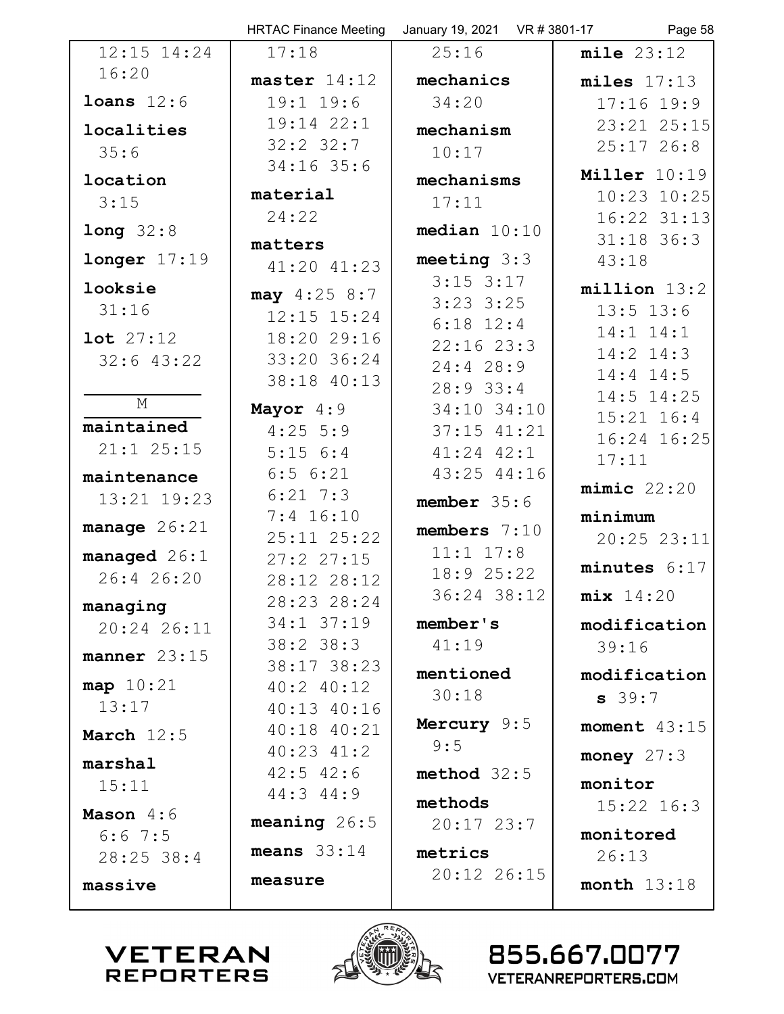|                           | <b>HRTAC Finance Meeting</b>   | January 19, 2021 VR # 3801-17 | Page 58              |
|---------------------------|--------------------------------|-------------------------------|----------------------|
| $12:15$ $14:24$           | 17:18                          | 25:16                         | mile 23:12           |
| 16:20                     | master $14:12$                 | mechanics                     | $miles$ $17:13$      |
| loans $12:6$              | $19:1$ $19:6$                  | 34:20                         | $17:16$ 19:9         |
| localities                | 19:14 22:1                     | mechanism                     | 23:21 25:15          |
| 35:6                      | $32:2$ $32:7$                  | 10:17                         | $25:17$ 26:8         |
| location                  | $34:16$ 35:6                   | mechanisms                    | Miller 10:19         |
| 3:15                      | material                       | 17:11                         | 10:23 10:25          |
|                           | 24:22                          | median $10:10$                | 16:22 31:13          |
| long 32:8                 | matters                        |                               | $31:18$ 36:3         |
| longer 17:19              | 41:20 41:23                    | meeting $3:3$                 | 43:18                |
| looksie                   | $\text{may } 4:25 8:7$         | $3:15$ $3:17$                 | $million$ 13:2       |
| 31:16                     | $12:15$ $15:24$                | $3:23$ $3:25$                 | $13:5$ $13:6$        |
| $1$ ot $27:12$            | 18:20 29:16                    | $6:18$ 12:4<br>$22:16$ $23:3$ | 14:1 14:1            |
| $32:6$ 43:22              | 33:20 36:24                    | 24:428:9                      | $14:2$ $14:3$        |
|                           | 38:18 40:13                    | $28:9$ 33:4                   | $14:4$ $14:5$        |
| $\mathop{\rm M}\nolimits$ | Mayor 4:9                      | 34:10 34:10                   | 14:5 14:25           |
| maintained                | $4:25$ 5:9                     | $37:15$ $41:21$               | $15:21$ $16:4$       |
| $21:1$ $25:15$            | 5:156:4                        | $41:24$ $42:1$                | 16:24 16:25<br>17:11 |
| maintenance               | 6:56:21                        | 43:25 44:16                   |                      |
| 13:21 19:23               | $6:21$ 7:3                     | member $35:6$                 | $minic$ 22:20        |
| manage $26:21$            | $7:4$ 16:10                    | members $7:10$                | minimum              |
| managed $26:1$            | 25:11 25:22                    | $11:1$ $17:8$                 | 20:25 23:11          |
| 26:4 26:20                | 27:227:15<br>28:12 28:12       | 18:9 25:22                    | minutes $6:17$       |
|                           | 28:23 28:24                    | 36:24 38:12                   | mix 14:20            |
| managing<br>20:24 26:11   | 34:1 37:19                     | member's                      | modification         |
|                           | $38:2$ 38:3                    | 41:19                         | 39:16                |
| manner $23:15$            | 38:17 38:23                    | mentioned                     | modification         |
| map 10:21                 | $40:2$ $40:12$                 | 30:18                         | $s$ 39:7             |
| 13:17                     | 40:13 40:16                    | Mercury 9:5                   |                      |
| March $12:5$              | $40:18$ $40:21$                | 9:5                           | moment $43:15$       |
| marshal                   | $40:23$ $41:2$                 |                               | money $27:3$         |
| 15:11                     | $42:5$ $42:6$<br>$44:3$ $44:9$ | method $32:5$                 | monitor              |
| Mason $4:6$               |                                | methods                       | $15:22$ $16:3$       |
| $6:6$ 7:5                 | meaning $26:5$                 | $20:17$ $23:7$                | monitored            |
| 28:25 38:4                | means $33:14$                  | metrics                       | 26:13                |
| massive                   | measure                        | 20:12 26:15                   | month $13:18$        |
|                           |                                |                               |                      |



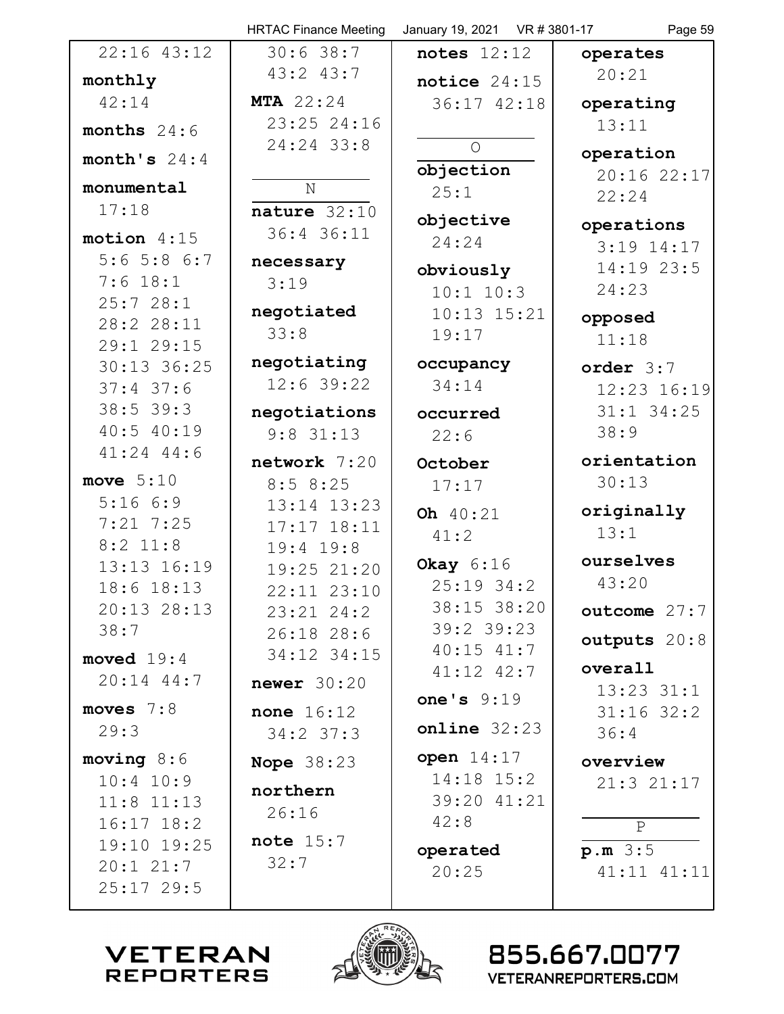|                           | <b>HRTAC Finance Meeting</b> | January 19, 2021  VR # 3801-17 | Page 59                    |
|---------------------------|------------------------------|--------------------------------|----------------------------|
| $22:16$ $43:12$           | 30:638:7                     | notes $12:12$                  | operates                   |
| monthly                   | 43:2 43:7                    | notice $24:15$                 | 20:21                      |
| 42:14                     | <b>MTA</b> 22:24             | 36:17 42:18                    | operating                  |
| months $24:6$             | 23:25 24:16                  |                                | 13:11                      |
| month's $24:4$            | 24:24 33:8                   | $\circ$                        | operation                  |
|                           |                              | objection                      | 20:16 22:17                |
| monumental                | $\mathbf N$                  | 25:1                           | 22:24                      |
| 17:18                     | nature $32:10$               | objective                      | operations                 |
| motion $4:15$             | 36:4 36:11                   | 24:24                          | $3:19$ 14:17               |
| $5:6$ 5:8 6:7             | necessary                    | obviously                      | 14:19 23:5                 |
| $7:6$ 18:1                | 3:19                         | $10:1$ $10:3$                  | 24:23                      |
| 25:728:1                  | negotiated                   | $10:13$ $15:21$                | opposed                    |
| 28:2 28:11                | 33:8                         | 19:17                          | 11:18                      |
| 29:1 29:15<br>30:13 36:25 | negotiating                  | occupancy                      |                            |
| $37:4$ 37:6               | $12:6$ 39:22                 | 34:14                          | order $3:7$<br>12:23 16:19 |
| $38:5$ 39:3               | negotiations                 |                                | $31:1$ $34:25$             |
| 40:540:19                 | $9:8$ 31:13                  | occurred<br>22:6               | 38:9                       |
| $41:24$ $44:6$            |                              |                                |                            |
| move $5:10$               | $network$ 7:20               | October                        | orientation<br>30:13       |
| 5:166:9                   | 8:58:25<br>$13:14$ $13:23$   | 17:17                          |                            |
| $7:21$ $7:25$             | $17:17$ $18:11$              | Oh 40:21                       | originally                 |
| $8:2$ 11:8                | $19:4$ 19:8                  | 41:2                           | 13:1                       |
| 13:13 16:19               | 19:25 21:20                  | Okay $6:16$                    | ourselves                  |
| 18:6 18:13                | 22:11 23:10                  | $25:19$ 34:2                   | 43:20                      |
| $20:13$ $28:13$           | $23:21$ $24:2$               | 38:15 38:20                    | outcome 27:7               |
| 38:7                      | 26:1828:6                    | $39:2$ 39:23                   | outputs 20:8               |
| moved $19:4$              | 34:12 34:15                  | $40:15$ $41:7$                 |                            |
| $20:14$ 44:7              | newer $30:20$                | $41:12$ $42:7$                 | overall<br>$13:23$ $31:1$  |
| moves $7:8$               | <b>none</b> $16:12$          | one's $9:19$                   | $31:16$ 32:2               |
| 29:3                      | $34:2$ 37:3                  | $online$ 32:23                 | 36:4                       |
| moving 8:6                | <b>Nope 38:23</b>            | open $14:17$                   | overview                   |
| $10:4$ $10:9$             |                              | $14:18$ $15:2$                 | 21:321:17                  |
| $11:8$ $11:13$            | northern                     | 39:20 41:21                    |                            |
| $16:17$ $18:2$            | 26:16                        | 42:8                           | $\mathsf{P}$               |
| 19:10 19:25               | note $15:7$                  | operated                       | p.m.3:5                    |
| $20:1$ $21:7$             | 32:7                         | 20:25                          | 41:11 41:11                |
| $25:17$ 29:5              |                              |                                |                            |
|                           |                              |                                |                            |



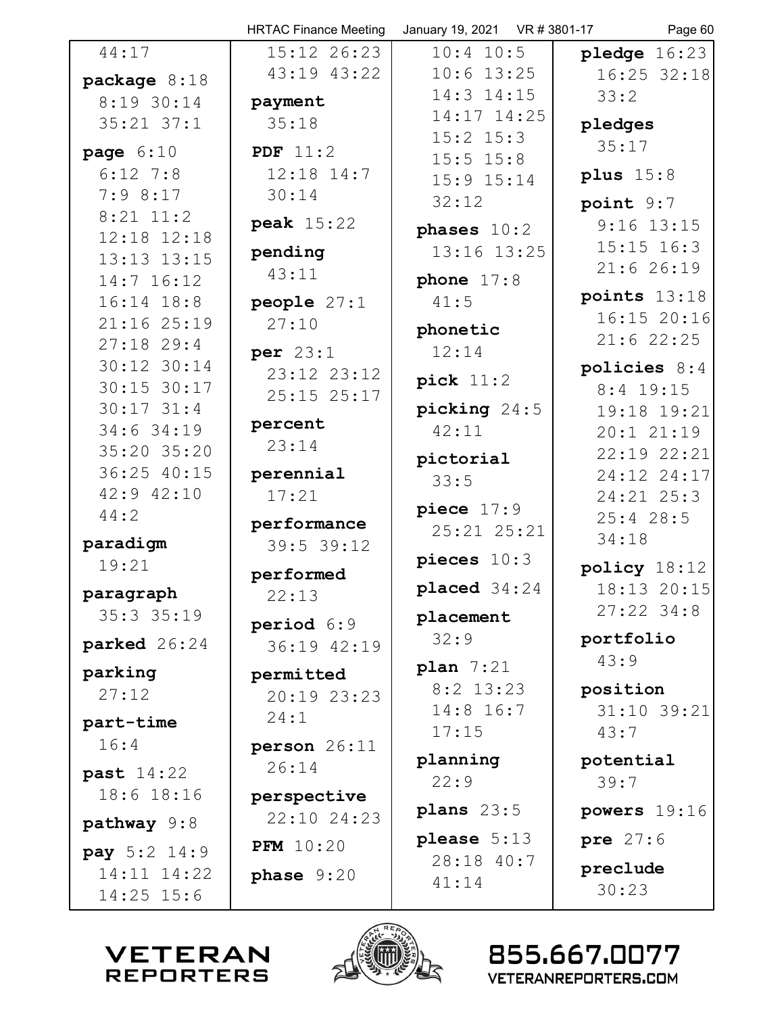|                           | <b>HRTAC Finance Meeting</b> | January 19, 2021 VR # 3801-17 | Page 60        |
|---------------------------|------------------------------|-------------------------------|----------------|
| 44:17                     | 15:12 26:23                  | $10:4$ 10:5                   | pledge $16:23$ |
| package $8:18$            | 43:19 43:22                  | $10:6$ 13:25                  | 16:25 32:18    |
| 8:19 30:14                | payment                      | 14:3 14:15                    | 33:2           |
| $35:21$ $37:1$            | 35:18                        | 14:17 14:25                   | pledges        |
|                           | PDF $11:2$                   | $15:2$ $15:3$                 | 35:17          |
| page $6:10$<br>$6:12$ 7:8 | $12:18$ $14:7$               | $15:5$ $15:8$                 |                |
| 7:98:17                   |                              | $15:9$ $15:14$                | plus $15:8$    |
| $8:21$ 11:2               | 30:14                        | 32:12                         | point 9:7      |
| 12:18 12:18               | peak 15:22                   | phases $10:2$                 | $9:16$ 13:15   |
| 13:13 13:15               | pending                      | 13:16 13:25                   | $15:15$ $16:3$ |
| 14:7 16:12                | 43:11                        | phone $17:8$                  | 21:626:19      |
| $16:14$ $18:8$            | people $27:1$                | 41:5                          | points $13:18$ |
| 21:16 25:19               | 27:10                        |                               | 16:1520:16     |
| $27:18$ 29:4              |                              | phonetic                      | $21:6$ 22:25   |
| 30:12 30:14               | per $23:1$                   | 12:14                         | policies $8:4$ |
| 30:15 30:17               | 23:12 23:12                  | pick $11:2$                   | 8:4 19:15      |
| $30:17$ $31:4$            | 25:15 25:17                  | picking $24:5$                | 19:18 19:21    |
| 34:6 34:19                | percent                      | 42:11                         | 20:1 21:19     |
| 35:20 35:20               | 23:14                        |                               | 22:19 22:21    |
| 36:25 40:15               | perennial                    | pictorial                     | 24:12 24:17    |
| 42:9 42:10                | 17:21                        | 33:5                          | 24:21 25:3     |
| 44:2                      |                              | piece $17:9$                  | $25:4$ 28:5    |
| paradigm                  | performance                  | 25:21 25:21                   | 34:18          |
| 19:21                     | 39:5 39:12                   | pieces $10:3$                 |                |
|                           | performed                    |                               | policy $18:12$ |
| paragraph                 | 22:13                        | placed $34:24$                | 18:13 20:15    |
| $35:3$ $35:19$            | period 6:9                   | placement                     | $27:22$ 34:8   |
| parked 26:24              | 36:19 42:19                  | 32:9                          | portfolio      |
| parking                   | permitted                    | plan $7:21$                   | 43:9           |
| 27:12                     | 20:19 23:23                  | $8:2$ 13:23                   | position       |
|                           | 24:1                         | 14:8 16:7                     | 31:10 39:21    |
| part-time                 |                              | 17:15                         | 43:7           |
| 16:4                      | person 26:11                 | planning                      | potential      |
| past 14:22                | 26:14                        | 22:9                          | 39:7           |
| 18:6 18:16                | perspective                  |                               |                |
| pathway $9:8$             | 22:10 24:23                  | plans $23:5$                  | powers 19:16   |
| <b>pay</b> $5:2$ 14:9     | <b>PFM</b> 10:20             | please $5:13$                 | pre 27:6       |
| 14:11 14:22               | phase $9:20$                 | 28:18 40:7                    | preclude       |
| $14:25$ 15:6              |                              | 41:14                         | 30:23          |
|                           |                              |                               |                |
|                           | <b>REA</b>                   |                               |                |



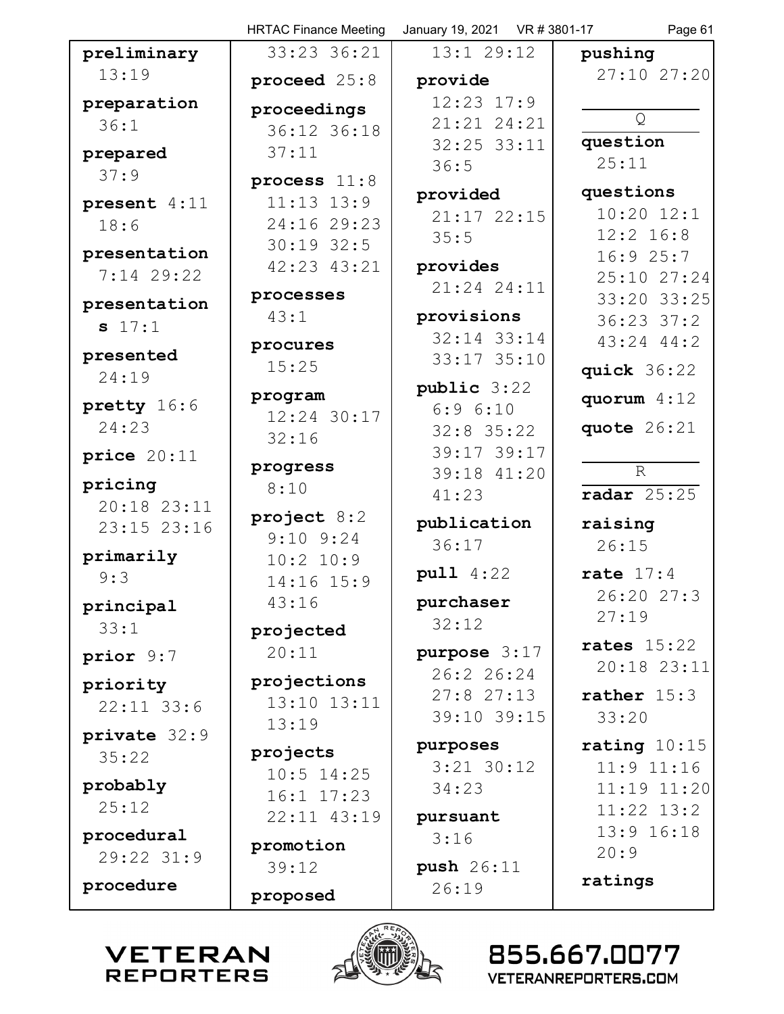|                                                 | <b>HRTAC Finance Meeting</b>     | January 19, 2021 VR # 3801-17 | Page 61                       |
|-------------------------------------------------|----------------------------------|-------------------------------|-------------------------------|
| preliminary                                     | 33:23 36:21                      | $13:1$ 29:12                  | pushing                       |
| 13:19                                           | proceed $25:8$                   | provide                       | 27:10 27:20                   |
| preparation                                     | proceedings                      | $12:23$ $17:9$                |                               |
| 36:1                                            | 36:12 36:18                      | 21:21 24:21                   | Q                             |
| prepared                                        | 37:11                            | 32:25 33:11                   | question                      |
| 37:9                                            |                                  | 36:5                          | 25:11                         |
|                                                 | process $11:8$<br>$11:13$ $13:9$ | provided                      | questions                     |
| present 4:11                                    | 24:16 29:23                      | $21:17$ $22:15$               | $10:20$ $12:1$                |
| 18:6                                            | $30:19$ 32:5                     | 35:5                          | $12:2$ $16:8$                 |
| presentation                                    | 42:23 43:21                      | provides                      | 16:925:7                      |
| 7:14 29:22                                      |                                  | 21:24 24:11                   | 25:10 27:24                   |
| presentation                                    | processes                        |                               | 33:20 33:25                   |
| s 17:1                                          | 43:1                             | provisions                    | $36:23$ $37:2$                |
| presented                                       | procures                         | 32:14 33:14                   | $43:24$ $44:2$                |
| 24:19                                           | 15:25                            | $33:17$ $35:10$               | quick $36:22$                 |
|                                                 | program                          | public 3:22                   | quorum $4:12$                 |
| pretty 16:6                                     | 12:24 30:17                      | 6:96:10                       |                               |
| 24:23                                           | 32:16                            | $32:8$ 35:22                  | quote 26:21                   |
| price $20:11$                                   | progress                         | 39:17 39:17                   |                               |
| pricing                                         | 8:10                             | 39:18 41:20                   | R                             |
| 20:18 23:11                                     |                                  | 41:23                         | radar $25:25$                 |
| 23:15 23:16                                     | project $8:2$<br>$9:10$ $9:24$   | publication                   | raising                       |
| primarily                                       | 10:2 10:9                        | 36:17                         | 26:15                         |
| 9:3                                             | 14:16 15:9                       | pull 4:22                     | rate $17:4$                   |
|                                                 | 43:16                            | purchaser                     | 26:20 27:3                    |
| principal<br>33:1                               |                                  | 32:12                         | 27:19                         |
|                                                 | projected                        |                               | rates $15:22$                 |
| prior 9:7                                       | 20:11                            | purpose 3:17<br>26:226:24     | 20:18 23:11                   |
| priority                                        | projections                      | 27:827:13                     | rather $15:3$                 |
| $22:11$ 33:6                                    | 13:10 13:11                      | 39:10 39:15                   | 33:20                         |
| private 32:9                                    | 13:19                            |                               |                               |
| 35:22                                           | projects                         | purposes                      | rating $10:15$                |
| probably                                        | $10:5$ 14:25                     | $3:21$ $30:12$                | $11:9$ $11:16$                |
| 25:12                                           | 16:1 17:23                       | 34:23                         | 11:19 11:20<br>$11:22$ $13:2$ |
|                                                 | 22:11 43:19                      | pursuant                      | $13:9$ $16:18$                |
| procedural                                      | promotion                        | 3:16                          | 20:9                          |
| $29:22$ $31:9$                                  | 39:12                            | push 26:11                    |                               |
| procedure                                       | proposed                         | 26:19                         | ratings                       |
|                                                 |                                  |                               |                               |
|                                                 |                                  |                               |                               |
| <b>VETERAN</b>                                  |                                  |                               | 855.667.0077                  |
| <b>REPORTERS</b><br><b>VETERANREPORTERS.COM</b> |                                  |                               |                               |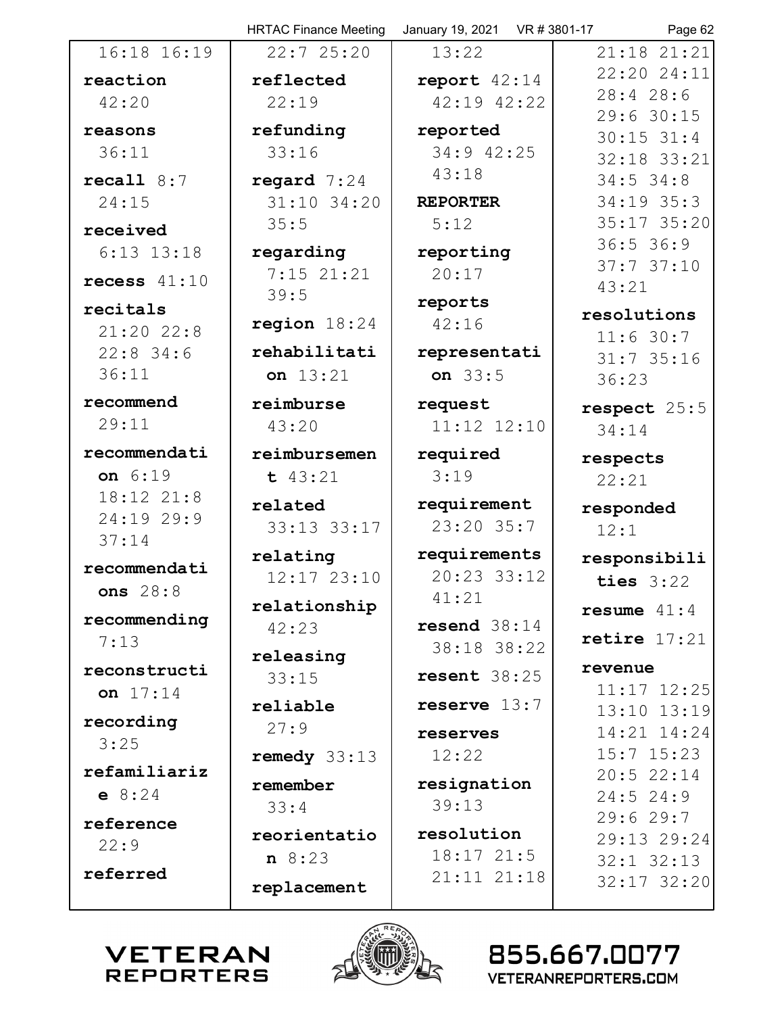|                      | <b>HRTAC Finance Meeting</b> | January 19, 2021 VR # 3801-17 | Page 62                        |
|----------------------|------------------------------|-------------------------------|--------------------------------|
| 16:18 16:19          | 22:725:20                    | 13:22                         | 21:18 21:21                    |
| reaction             | reflected                    | report $42:14$                | 22:20 24:11                    |
| 42:20                | 22:19                        | 42:19 42:22                   | 28:428:6                       |
| reasons              | refunding                    | reported                      | 29:6 30:15                     |
| 36:11                | 33:16                        | 34:9 42:25                    | $30:15$ $31:4$<br>32:18 33:21  |
| recall $8:7$         | regard $7:24$                | 43:18                         | $34:5$ 34:8                    |
| 24:15                | 31:10 34:20                  | <b>REPORTER</b>               | $34:19$ 35:3                   |
| received             | 35:5                         | 5:12                          | 35:17 35:20                    |
| $6:13$ $13:18$       | regarding                    | reporting                     | 36:536:9                       |
|                      | $7:15$ 21:21                 | 20:17                         | 37:737:10                      |
| recess $41:10$       | 39:5                         | reports                       | 43:21                          |
| recitals             | region $18:24$               | 42:16                         | resolutions                    |
| $21:20$ 22:8         |                              |                               | 11:6 30:7                      |
| $22:8$ 34:6<br>36:11 | rehabilitati                 | representati<br>on $33:5$     | $31:7$ 35:16                   |
|                      | on 13:21                     |                               | 36:23                          |
| recommend            | reimburse                    | request                       | respect 25:5                   |
| 29:11                | 43:20                        | 11:12 12:10                   | 34:14                          |
| recommendati         | reimbursemen                 | required                      | respects                       |
| on 6:19              | t 43:21                      | 3:19                          | 22:21                          |
| 18:12 21:8           | related                      | requirement                   | responded                      |
| 24:19 29:9<br>37:14  | 33:13 33:17                  | 23:20 35:7                    | 12:1                           |
|                      | relating                     | requirements                  | responsibili                   |
| recommendati         | 12:17 23:10                  | 20:23 33:12                   | ties $3:22$                    |
| ons $28:8$           | relationship                 | 41:21                         | resume $41:4$                  |
| recommending         | 42:23                        | resend $38:14$                |                                |
| 7:13                 | releasing                    | 38:18 38:22                   | retire $17:21$                 |
| reconstructi         | 33:15                        | resent $38:25$                | revenue                        |
| on $17:14$           | reliable                     | reserve $13:7$                | $11:17$ $12:25$                |
| recording            | 27:9                         |                               | 13:10 13:19<br>$14:21$ $14:24$ |
| 3:25                 |                              | reserves<br>12:22             | $15:7$ $15:23$                 |
| refamiliariz         | remedy $33:13$               |                               | 20:522:14                      |
| e 8:24               | remember                     | resignation                   | $24:5$ 24:9                    |
| reference            | 33:4                         | 39:13                         | 29:629:7                       |
| 22:9                 | reorientatio                 | resolution                    | 29:13 29:24                    |
| referred             | $n \t 8:23$                  | 18:1721:5                     | $32:1$ $32:13$                 |
|                      | replacement                  | 21:11 21:18                   | $32:17$ $32:20$                |
|                      | N REA                        |                               |                                |



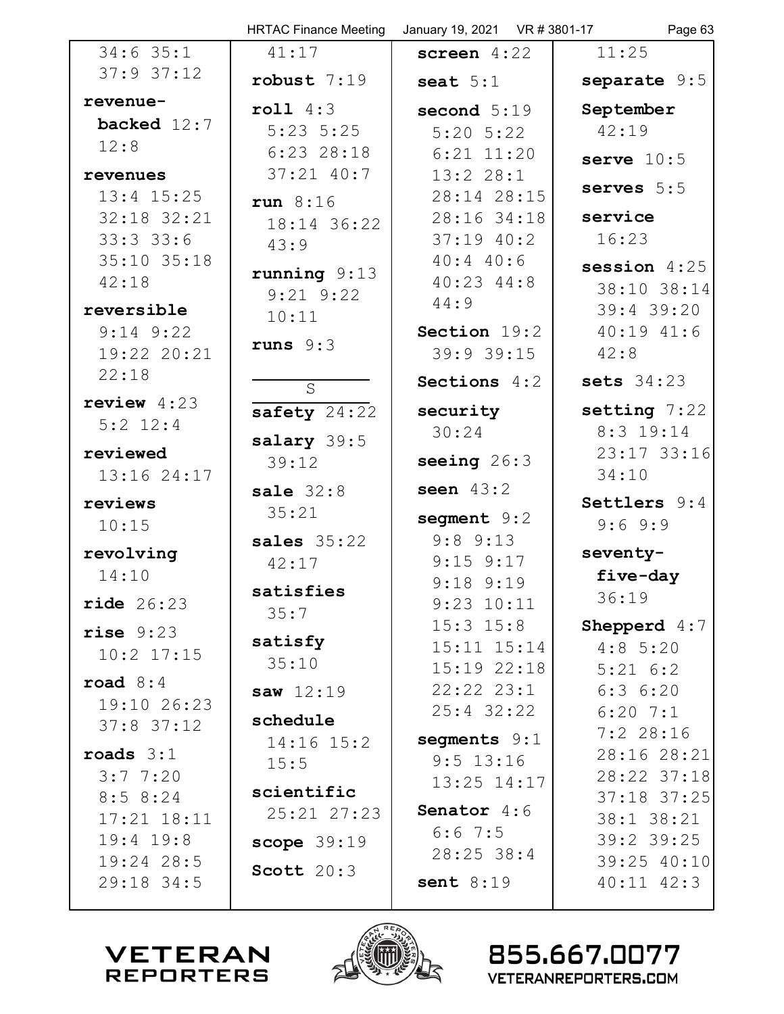|                          | <b>HRTAC Finance Meeting</b> | January 19, 2021 VR # 3801-17  | Page 63                       |
|--------------------------|------------------------------|--------------------------------|-------------------------------|
| $34:6$ 35:1              | 41:17                        | screen $4:22$                  | 11:25                         |
| $37:9$ 37:12             | robust $7:19$                | seat $5:1$                     | separate 9:5                  |
| revenue-                 | roll 4:3                     | second $5:19$                  | September                     |
| backed $12:7$            | $5:23$ $5:25$                | $5:20$ $5:22$                  | 42:19                         |
| 12:8                     | $6:23$ 28:18                 | $6:21$ $11:20$                 | serve $10:5$                  |
| revenues                 | $37:21$ $40:7$               | 13:228:1                       | serves $5:5$                  |
| $13:4$ $15:25$           | run $8:16$                   | 28:14 28:15                    |                               |
| 32:18 32:21              | 18:14 36:22                  | 28:16 34:18                    | service                       |
| 33:33:36                 | 43:9                         | $37:19$ $40:2$                 | 16:23                         |
| 35:10 35:18              | running $9:13$               | $40:4$ $40:6$                  | session $4:25$                |
| 42:18                    | $9:21$ $9:22$                | $40:23$ $44:8$<br>44:9         | 38:10 38:14                   |
| reversible               | 10:11                        |                                | 39:4 39:20                    |
| $9:14$ $9:22$            | runs $9:3$                   | Section 19:2                   | $40:19$ $41:6$                |
| 19:22 20:21              |                              | 39:9 39:15                     | 42:8                          |
| 22:18                    | $\overline{S}$               | Sections 4:2                   | sets $34:23$                  |
| review $4:23$            | safety $24:22$               | security                       | setting $7:22$                |
| $5:2$ 12:4               | salary 39:5                  | 30:24                          | 8:3 19:14                     |
| reviewed                 | 39:12                        | seeing $26:3$                  | 23:17 33:16                   |
| 13:16 24:17              |                              | seen $43:2$                    | 34:10                         |
| reviews                  | sale $32:8$<br>35:21         |                                | Settlers 9:4                  |
| 10:15                    |                              | segment 9:2                    | 9:69::9                       |
| revolving                | sales $35:22$                | $9:8$ $9:13$                   | seventy-                      |
| 14:10                    | 42:17                        | $9:15$ $9:17$<br>$9:18$ $9:19$ | five-day                      |
| ride 26:23               | satisfies                    | $9:23$ $10:11$                 | 36:19                         |
|                          | 35:7                         | $15:3$ $15:8$                  | Shepperd 4:7                  |
| rise 9:23                | satisfy                      | $15:11$ $15:14$                | $4:8$ 5:20                    |
| $10:2$ $17:15$           | 35:10                        | $15:19$ 22:18                  | $5:21 \t6:2$                  |
| road $8:4$               | saw $12:19$                  | $22:22$ $23:1$                 | 6:36:20                       |
| 19:10 26:23              | schedule                     | $25:4$ 32:22                   | $6:20$ 7:1                    |
| $37:8$ $37:12$           | $14:16$ $15:2$               | segments 9:1                   | $7:2$ 28:16                   |
| roads $3:1$              | 15:5                         | $9:5$ 13:16                    | 28:16 28:21                   |
| 3:7,7:20                 |                              | $13:25$ $14:17$                | 28:22 37:18                   |
| 8:58:24                  | scientific<br>25:21 27:23    | <b>Senator</b> $4:6$           | 37:18 37:25                   |
| $17:21$ $18:11$          |                              | $6:6$ 7:5                      | 38:1 38:21                    |
| $19:4$ $19:8$            | scope $39:19$                | $28:25$ 38:4                   | $39:2$ 39:25                  |
| 19:24 28:5<br>29:18 34:5 | Scott $20:3$                 | sent $8:19$                    | 39:25 40:10<br>$40:11$ $42:3$ |
|                          |                              |                                |                               |



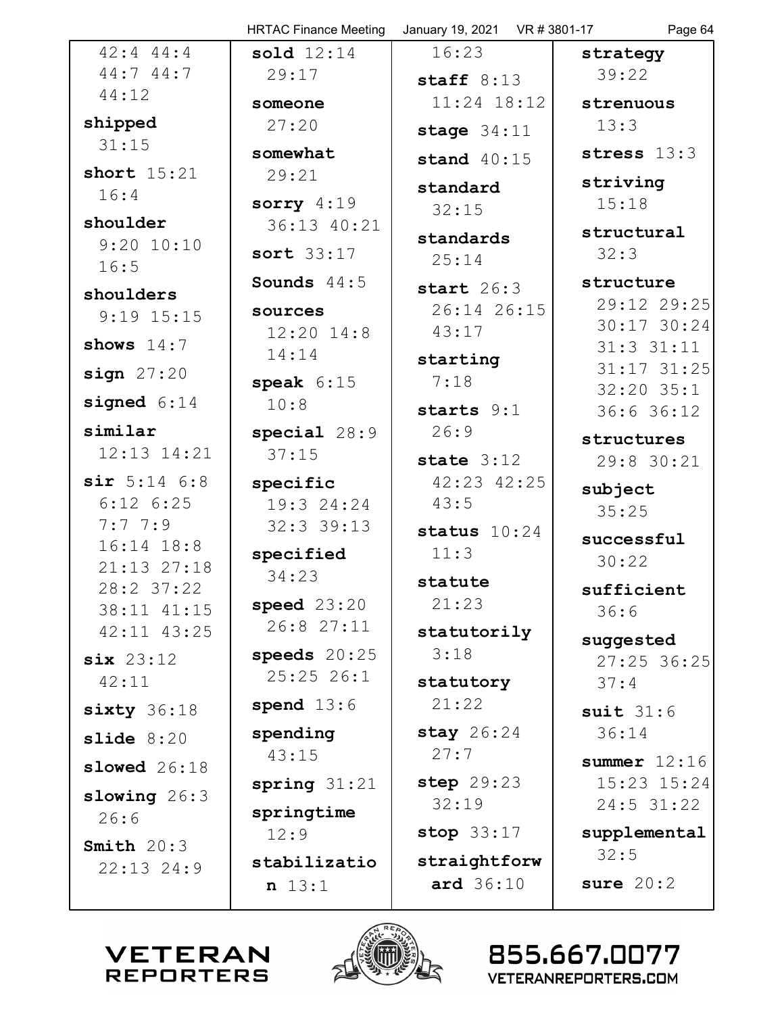|                           | <b>HRTAC Finance Meeting</b> | January 19, 2021 VR # 3801-17 | Page 64                       |
|---------------------------|------------------------------|-------------------------------|-------------------------------|
| $42:4$ $44:4$             | sold $12:14$                 | 16:23                         | strategy                      |
| 44:744:7                  | 29:17                        | staff $8:13$                  | 39:22                         |
| 44:12                     | someone                      | $11:24$ 18:12                 | strenuous                     |
| shipped                   | 27:20                        | stage $34:11$                 | 13:3                          |
| 31:15                     | somewhat                     | stand $40:15$                 | stress $13:3$                 |
| short $15:21$             | 29:21                        |                               | striving                      |
| 16:4                      | sorry $4:19$                 | standard                      | 15:18                         |
| shoulder                  | 36:13 40:21                  | 32:15                         | structural                    |
| $9:20$ $10:10$            | sort 33:17                   | standards                     | 32:3                          |
| 16:5                      |                              | 25:14                         |                               |
| shoulders                 | Sounds $44:5$                | start $26:3$                  | structure<br>29:12 29:25      |
| $9:19$ $15:15$            | sources                      | 26:14 26:15                   | 30:17 30:24                   |
| shows $14:7$              | $12:20$ $14:8$               | 43:17                         | $31:3$ $31:11$                |
| sign 27:20                | 14:14                        | starting                      | $31:17$ $31:25$               |
|                           | speak $6:15$                 | 7:18                          | $32:20$ 35:1                  |
| signed $6:14$             | 10:8                         | starts 9:1                    | 36:636:12                     |
| similar                   | special $28:9$               | 26:9                          | structures                    |
| 12:13 14:21               | 37:15                        | state $3:12$                  | 29:8 30:21                    |
| $sir$ 5:14 6:8            | specific                     | 42:23 42:25                   | subject                       |
| $6:12$ $6:25$             | 19:3 24:24                   | 43:5                          | 35:25                         |
| 7:7.7:9                   | $32:3$ 39:13                 | status $10:24$                | successful                    |
| 16:14 18:8                | specified                    | 11:3                          | 30:22                         |
| 21:13 27:18<br>28:2 37:22 | 34:23                        | statute                       | sufficient                    |
| 38:11 41:15               | speed $23:20$                | 21:23                         | 36:6                          |
| 42:11 43:25               | 26:8 27:11                   | statutorily                   |                               |
| six 23:12                 | speeds $20:25$               | 3:18                          | suggested<br>$27:25$ 36:25    |
| 42:11                     | 25:2526:1                    | statutory                     | 37:4                          |
| $sixty$ 36:18             | spend $13:6$                 | 21:22                         | suit $31:6$                   |
|                           | spending                     | stay $26:24$                  | 36:14                         |
| slide $8:20$              | 43:15                        | 27:7                          |                               |
| slowed $26:18$            |                              | step 29:23                    | summer $12:16$<br>15:23 15:24 |
| slowing $26:3$            | spring $31:21$               | 32:19                         | $24:5$ 31:22                  |
| 26:6                      | springtime                   |                               |                               |
| Smith $20:3$              | 12:9                         | stop $33:17$                  | supplemental<br>32:5          |
| $22:13$ $24:9$            | stabilizatio                 | straightforw                  |                               |
|                           | n 13:1                       | ard $36:10$                   | sure $20:2$                   |
|                           |                              |                               |                               |



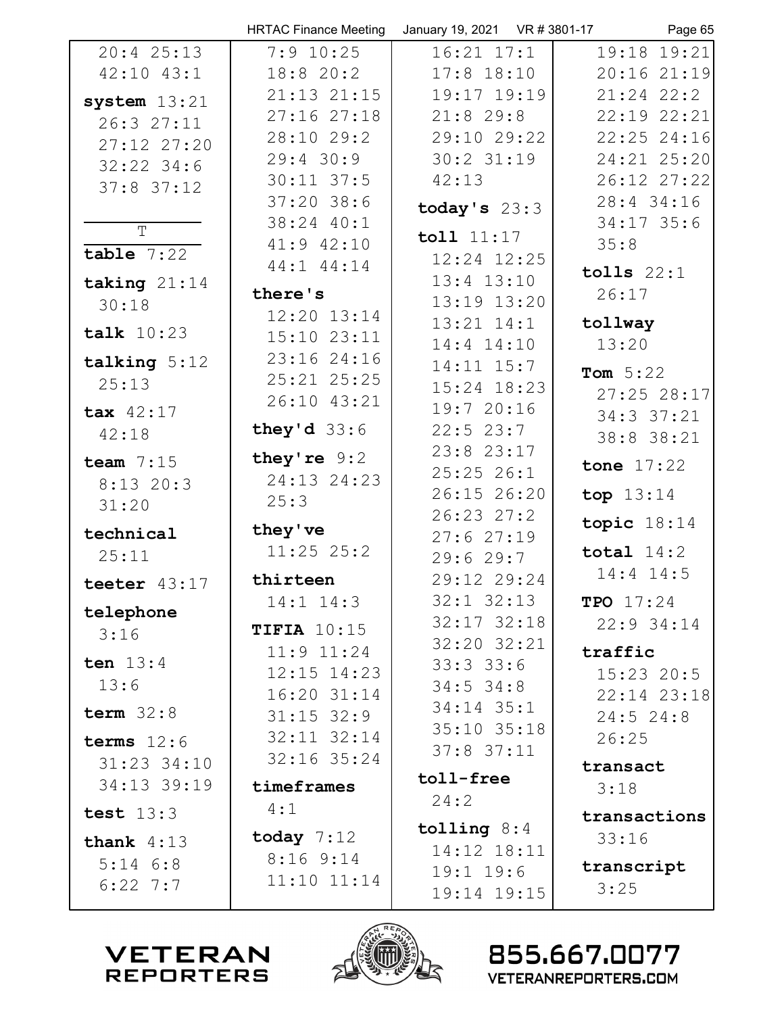|                | <b>HRTAC Finance Meeting</b> | January 19, 2021 VR # 3801-17 | Page 65          |
|----------------|------------------------------|-------------------------------|------------------|
| $20:4$ 25:13   | $7:9$ 10:25                  | $16:21$ $17:1$                | $19:18$ 19:21    |
| $42:10$ $43:1$ | 18:8 20:2                    | $17:8$ $18:10$                | $20:16$ $21:19$  |
| system $13:21$ | $21:13$ $21:15$              | 19:17 19:19                   | $21:24$ $22:2$   |
| 26:3 27:11     | 27:1627:18                   | $21:8$ 29:8                   | 22:19 22:21      |
| 27:12 27:20    | 28:10 29:2                   | 29:10 29:22                   | $22:25$ $24:16$  |
| $32:22$ 34:6   | $29:4$ 30:9                  | $30:2$ $31:19$                | 24:21 25:20      |
| $37:8$ 37:12   | $30:11$ $37:5$               | 42:13                         | 26:12 27:22      |
|                | $37:20$ 38:6                 | today's $23:3$                | $28:4$ 34:16     |
| T              | 38:24 40:1                   |                               | $34:17$ 35:6     |
| $table$ 7:22   | 41:9 42:10                   | toll 11:17                    | 35:8             |
|                | 44:1 44:14                   | 12:24 12:25                   | tolls $22:1$     |
| taking $21:14$ | there's                      | $13:4$ $13:10$                | 26:17            |
| 30:18          | $12:20$ $13:14$              | 13:19 13:20                   |                  |
| talk $10:23$   | $15:10$ $23:11$              | $13:21$ $14:1$                | tollway          |
| talking $5:12$ | 23:1624:16                   | $14:4$ $14:10$                | 13:20            |
| 25:13          | 25:21 25:25                  | 14:11 15:7<br>15:24 18:23     | Tom $5:22$       |
|                | 26:10 43:21                  | 19:720:16                     | 27:25 28:17      |
| tax 42:17      | they'd $33:6$                | $22:5$ 23:7                   | 34:3 37:21       |
| 42:18          |                              | $23:8$ $23:17$                | 38:8 38:21       |
| team $7:15$    | they're $9:2$                | 25:2526:1                     | tone $17:22$     |
| $8:13$ 20:3    | 24:13 24:23                  | 26:15 26:20                   | top $13:14$      |
| 31:20          | 25:3                         | $26:23$ $27:2$                |                  |
| technical      | they've                      | 27:627:19                     | topic $18:14$    |
| 25:11          | $11:25$ $25:2$               | 29:629:7                      | total $14:2$     |
| teeter $43:17$ | thirteen                     | 29:12 29:24                   | $14:4$ $14:5$    |
|                | $14:1$ $14:3$                | $32:1$ $32:13$                | <b>TPO</b> 17:24 |
| telephone      | TIFIA $10:15$                | 32:17 32:18                   | $22:9$ 34:14     |
| 3:16           | $11:9$ $11:24$               | 32:20 32:21                   | traffic          |
| ten $13:4$     | $12:15$ $14:23$              | 33:333:6                      | $15:23$ 20:5     |
| 13:6           | $16:20$ $31:14$              | $34:5$ 34:8                   | 22:14 23:18      |
| term $32:8$    | $31:15$ $32:9$               | $34:14$ 35:1                  | $24:5$ 24:8      |
| terms $12:6$   | $32:11$ $32:14$              | 35:10 35:18                   | 26:25            |
| 31:23 34:10    | $32:16$ $35:24$              | $37:8$ $37:11$                | transact         |
| 34:13 39:19    | timeframes                   | toll-free                     | 3:18             |
|                | 4:1                          | 24:2                          |                  |
| test $13:3$    |                              | tolling $8:4$                 | transactions     |
| thank $4:13$   | today $7:12$                 | 14:12 18:11                   | 33:16            |
| $5:14$ $6:8$   | 8:169:14                     | $19:1$ $19:6$                 | transcript       |
| $6:22$ 7:7     | $11:10$ $11:14$              | 19:14 19:15                   | 3:25             |
|                |                              |                               |                  |



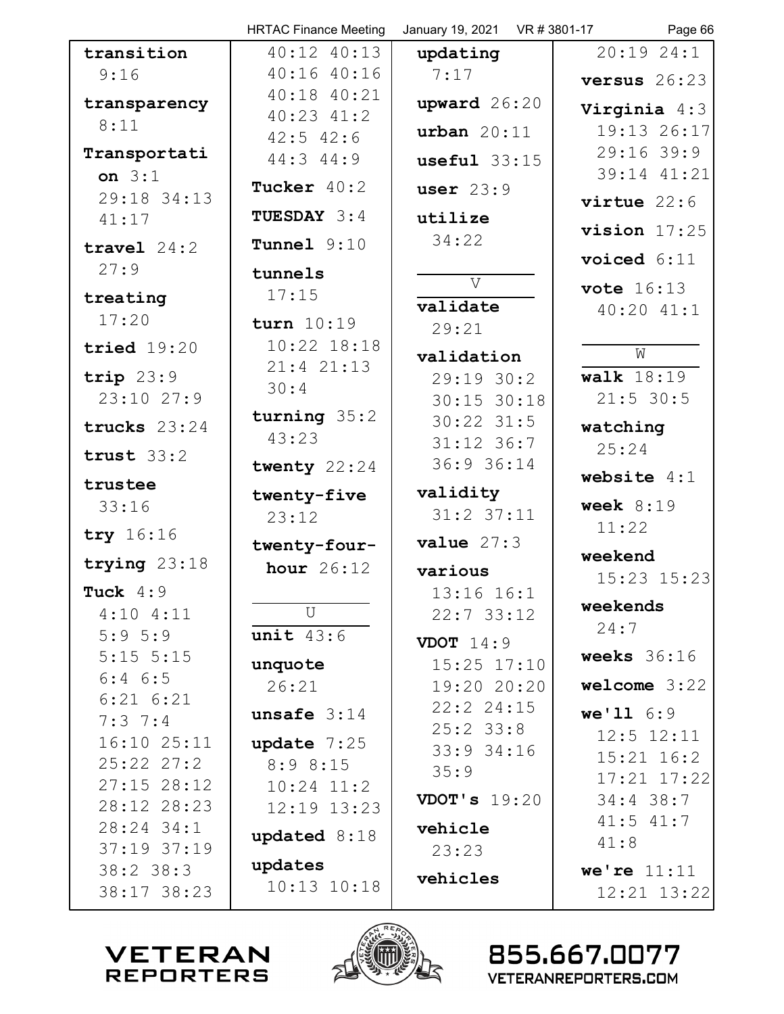|                            | <b>HRTAC Finance Meeting</b>  | January 19, 2021 VR # 3801-17 | Page 66                |
|----------------------------|-------------------------------|-------------------------------|------------------------|
| transition                 | 40:12 40:13                   | updating                      | $20:19$ $24:1$         |
| 9:16                       | 40:1640:16                    | 7:17                          | versus $26:23$         |
| transparency               | $40:18$ $40:21$               | upward $26:20$                | Virginia $4:3$         |
| 8:11                       | $40:23$ $41:2$                | urban $20:11$                 | 19:13 26:17            |
| Transportati               | $42:5$ $42:6$                 |                               | $29:16$ 39:9           |
| on $3:1$                   | $44:3$ $44:9$                 | $useful$ 33:15                | 39:14 41:21            |
| 29:18 34:13                | Tucker $40:2$                 | user $23:9$                   | virtue $22:6$          |
| 41:17                      | <b>TUESDAY 3:4</b>            | utilize                       |                        |
| travel $24:2$              | Tunnel $9:10$                 | 34:22                         | vision $17:25$         |
| 27:9                       | tunnels                       |                               | voiced $6:11$          |
| treating                   | 17:15                         | $\overline{V}$                | <b>vote</b> 16:13      |
| 17:20                      |                               | validate                      | $40:20$ $41:1$         |
|                            | turn 10:19<br>$10:22$ $18:18$ | 29:21                         |                        |
| tried $19:20$              | $21:4$ $21:13$                | validation                    | W                      |
| trip $23:9$                | 30:4                          | 29:19.30:2                    | walk $18:19$           |
| 23:10 27:9                 |                               | $30:15$ $30:18$               | $21:5$ 30:5            |
| trucks $23:24$             | turning $35:2$<br>43:23       | $30:22$ $31:5$                | watching               |
| trust $33:2$               |                               | $31:12$ 36:7                  | 25:24                  |
| trustee                    | twenty $22:24$                | 36:9 36:14                    | website $4:1$          |
| 33:16                      | twenty-five                   | validity                      | week $8:19$            |
|                            | 23:12                         | $31:2$ $37:11$                | 11:22                  |
| try 16:16                  | twenty-four-                  | value 27:3                    |                        |
| trying 23:18               | hour $26:12$                  | various                       | weekend<br>15:23 15:23 |
| Tuck $4:9$                 |                               | 13:16 16:1                    |                        |
| $4:10$ $4:11$              | $\mathbf U$                   | $22:7$ 33:12                  | weekends               |
| 5:95:9                     | unit 43:6                     | <b>VDOT</b> $14:9$            | 24:7                   |
| $5:15$ $5:15$              | unquote                       | $15:25$ $17:10$               | weeks $36:16$          |
| $6:4$ $6:5$                | 26:21                         | 19:20 20:20                   | welcome $3:22$         |
| $6:21$ $6:21$              | unsafe $3:14$                 | 22:22:4:15                    | we'116:9               |
| $7:3 \t7:4$<br>16:10 25:11 |                               | $25:2$ 33:8                   | $12:5$ $12:11$         |
| $25:22$ $27:2$             | update $7:25$<br>8:98:15      | $33:9$ 34:16                  | $15:21$ $16:2$         |
| $27:15$ 28:12              | $10:24$ $11:2$                | 35:9                          | 17:21 17:22            |
| 28:12 28:23                | 12:19 13:23                   | VDOT's $19:20$                | $34:4$ 38:7            |
| $28:24$ 34:1               | updated 8:18                  | vehicle                       | $41:5$ $41:7$          |
| $37:19$ $37:19$            |                               | 23:23                         | 41:8                   |
| $38:2$ 38:3                | updates                       | vehicles                      | we're $11:11$          |
| 38:17 38:23                | $10:13$ $10:18$               |                               | 12:21 13:22            |